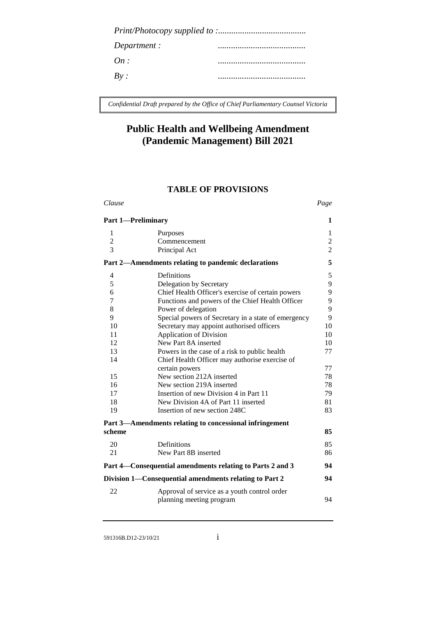| Department : |  |  |
|--------------|--|--|
| On:          |  |  |
| $By$ :       |  |  |

# **Public Health and Wellbeing Amendment (Pandemic Management) Bill 2021**

# **TABLE OF PROVISIONS**

| Clause                                                    |                                                                          | Page           |
|-----------------------------------------------------------|--------------------------------------------------------------------------|----------------|
|                                                           | <b>Part 1-Preliminary</b>                                                | $\mathbf{1}$   |
| 1                                                         | Purposes                                                                 | $\mathbf{1}$   |
| $\overline{c}$                                            | Commencement                                                             | $\mathbf{2}$   |
| $\overline{3}$                                            | Principal Act                                                            | $\overline{2}$ |
| Part 2—Amendments relating to pandemic declarations       |                                                                          |                |
| 4                                                         | Definitions                                                              | $\sqrt{5}$     |
| 5                                                         | Delegation by Secretary                                                  | 9              |
| 6                                                         | Chief Health Officer's exercise of certain powers                        | 9              |
| 7                                                         | Functions and powers of the Chief Health Officer                         | 9              |
| 8                                                         | Power of delegation                                                      | $\mathbf{9}$   |
| 9                                                         | Special powers of Secretary in a state of emergency                      | 9              |
| 10                                                        | Secretary may appoint authorised officers                                | 10             |
| 11                                                        | <b>Application of Division</b>                                           | 10             |
| 12                                                        | New Part 8A inserted                                                     | 10             |
| 13                                                        | Powers in the case of a risk to public health                            | 77             |
| 14                                                        | Chief Health Officer may authorise exercise of                           |                |
|                                                           | certain powers                                                           | 77             |
| 15                                                        | New section 212A inserted                                                | 78             |
| 16                                                        | New section 219A inserted                                                | 78             |
| 17                                                        | Insertion of new Division 4 in Part 11                                   | 79             |
| 18                                                        | New Division 4A of Part 11 inserted                                      | 81             |
| 19                                                        | Insertion of new section 248C                                            | 83             |
|                                                           | Part 3-Amendments relating to concessional infringement                  |                |
| scheme                                                    |                                                                          | 85             |
| 20                                                        | Definitions                                                              | 85             |
| 21                                                        | New Part 8B inserted                                                     | 86             |
| Part 4—Consequential amendments relating to Parts 2 and 3 |                                                                          | 94             |
|                                                           | Division 1—Consequential amendments relating to Part 2                   | 94             |
| 22                                                        | Approval of service as a youth control order<br>planning meeting program | 94             |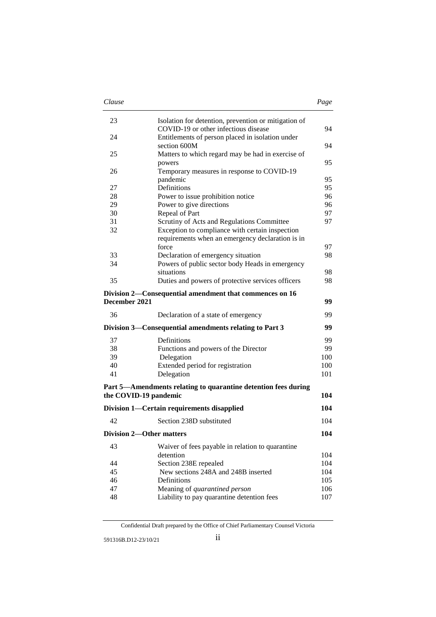| Clause        |                                                                                                     | Page |
|---------------|-----------------------------------------------------------------------------------------------------|------|
| 23            | Isolation for detention, prevention or mitigation of<br>COVID-19 or other infectious disease        | 94   |
| 24            | Entitlements of person placed in isolation under<br>section 600M                                    | 94   |
| 25            | Matters to which regard may be had in exercise of                                                   |      |
|               | powers                                                                                              | 95   |
| 26            | Temporary measures in response to COVID-19<br>pandemic                                              | 95   |
| 27            | Definitions                                                                                         | 95   |
| 28            | Power to issue prohibition notice                                                                   | 96   |
| 29            | Power to give directions                                                                            | 96   |
| 30            | Repeal of Part                                                                                      | 97   |
| 31            | Scrutiny of Acts and Regulations Committee                                                          | 97   |
| 32            | Exception to compliance with certain inspection<br>requirements when an emergency declaration is in |      |
|               | force                                                                                               | 97   |
| 33<br>34      | Declaration of emergency situation<br>Powers of public sector body Heads in emergency               | 98   |
|               | situations                                                                                          | 98   |
| 35            | Duties and powers of protective services officers                                                   | 98   |
|               | Division 2—Consequential amendment that commences on 16                                             |      |
| December 2021 |                                                                                                     | 99   |
| 36            | Declaration of a state of emergency                                                                 | 99   |
|               | Division 3—Consequential amendments relating to Part 3                                              | 99   |
| 37            | Definitions                                                                                         | 99   |
| 38            | Functions and powers of the Director                                                                | 99   |
| 39            | Delegation                                                                                          | 100  |
| 40            | Extended period for registration                                                                    | 100  |
| 41            | Delegation                                                                                          | 101  |
|               | Part 5—Amendments relating to quarantine detention fees during                                      |      |
|               | the COVID-19 pandemic                                                                               | 104  |
|               | Division 1—Certain requirements disapplied                                                          | 104  |
| 42            | Section 238D substituted                                                                            | 104  |
|               | <b>Division 2-Other matters</b>                                                                     | 104  |
| 43            | Waiver of fees payable in relation to quarantine                                                    |      |
|               | detention                                                                                           | 104  |
| 44            | Section 238E repealed                                                                               | 104  |
| 45            | New sections 248A and 248B inserted                                                                 | 104  |
| 46            | Definitions                                                                                         | 105  |
| 47            | Meaning of quarantined person                                                                       | 106  |
| 48            | Liability to pay quarantine detention fees                                                          | 107  |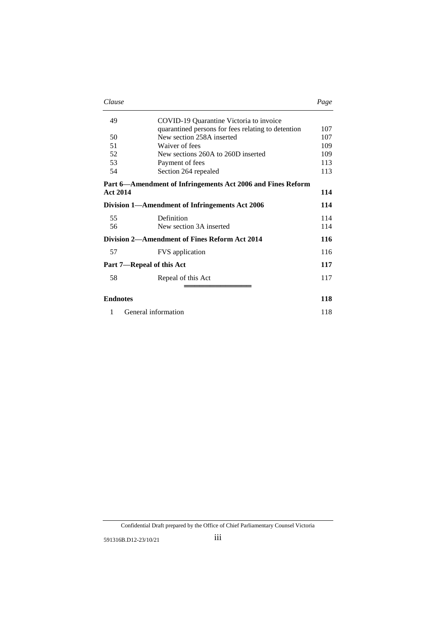| Clause                                         |                                                             | Page |
|------------------------------------------------|-------------------------------------------------------------|------|
| 49                                             | COVID-19 Quarantine Victoria to invoice                     |      |
|                                                | quarantined persons for fees relating to detention          | 107  |
| 50                                             | New section 258A inserted                                   | 107  |
| 51                                             | Waiver of fees                                              | 109  |
| 52                                             | New sections 260A to 260D inserted                          | 109  |
| 53                                             | Payment of fees                                             | 113  |
| 54                                             | Section 264 repealed                                        | 113  |
|                                                | Part 6—Amendment of Infringements Act 2006 and Fines Reform |      |
| <b>Act 2014</b>                                |                                                             | 114  |
| Division 1—Amendment of Infringements Act 2006 |                                                             | 114  |
| 55                                             | Definition                                                  | 114  |
| 56                                             | New section 3A inserted                                     | 114  |
|                                                | Division 2-Amendment of Fines Reform Act 2014               | 116  |
| 57                                             | FVS application                                             | 116  |
| Part 7—Repeal of this Act                      |                                                             | 117  |
| 58                                             | Repeal of this Act                                          | 117  |
|                                                |                                                             |      |
| <b>Endnotes</b>                                |                                                             | 118  |
| 1                                              | General information                                         | 118  |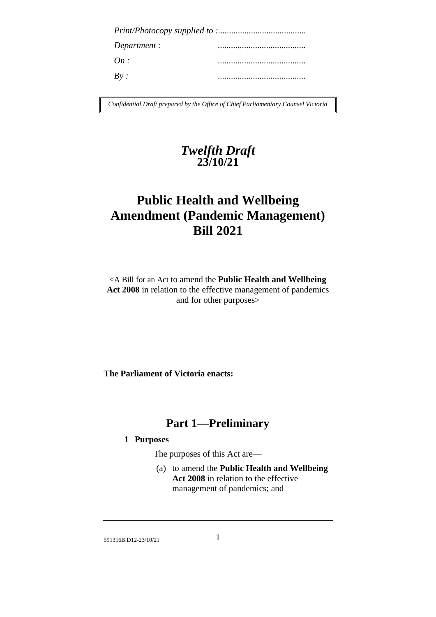| Department : |  |  |
|--------------|--|--|
| On:          |  |  |
| $By$ :       |  |  |

# *Twelfth Draft*  **23/10/21**

# **Public Health and Wellbeing Amendment (Pandemic Management) Bill 2021**

<A Bill for an Act to amend the **Public Health and Wellbeing Act 2008** in relation to the effective management of pandemics and for other purposes>

**The Parliament of Victoria enacts:**

# **Part 1—Preliminary**

# **1 Purposes**

The purposes of this Act are—

(a) to amend the **Public Health and Wellbeing Act 2008** in relation to the effective management of pandemics; and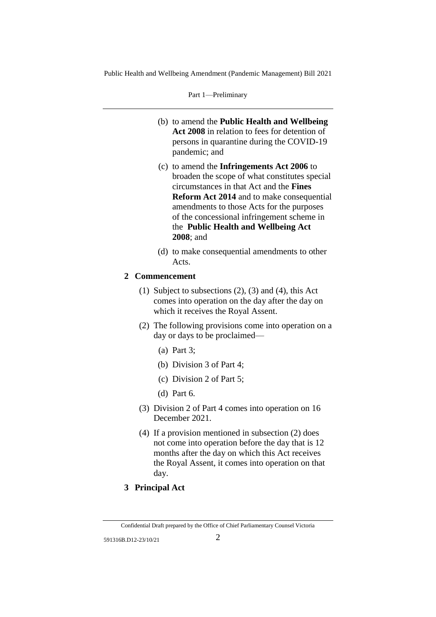Part 1—Preliminary

- (b) to amend the **Public Health and Wellbeing Act 2008** in relation to fees for detention of persons in quarantine during the COVID-19 pandemic; and
- (c) to amend the **Infringements Act 2006** to broaden the scope of what constitutes special circumstances in that Act and the **Fines Reform Act 2014** and to make consequential amendments to those Acts for the purposes of the concessional infringement scheme in the **Public Health and Wellbeing Act 2008**; and
- (d) to make consequential amendments to other Acts.

# **2 Commencement**

- (1) Subject to subsections (2), (3) and (4), this Act comes into operation on the day after the day on which it receives the Royal Assent.
- (2) The following provisions come into operation on a day or days to be proclaimed—
	- (a) Part 3;
	- (b) Division 3 of Part 4;
	- (c) Division 2 of Part 5;
	- (d) Part 6.
- (3) Division 2 of Part 4 comes into operation on 16 December 2021.
- (4) If a provision mentioned in subsection (2) does not come into operation before the day that is 12 months after the day on which this Act receives the Royal Assent, it comes into operation on that day.
- **3 Principal Act**

Confidential Draft prepared by the Office of Chief Parliamentary Counsel Victoria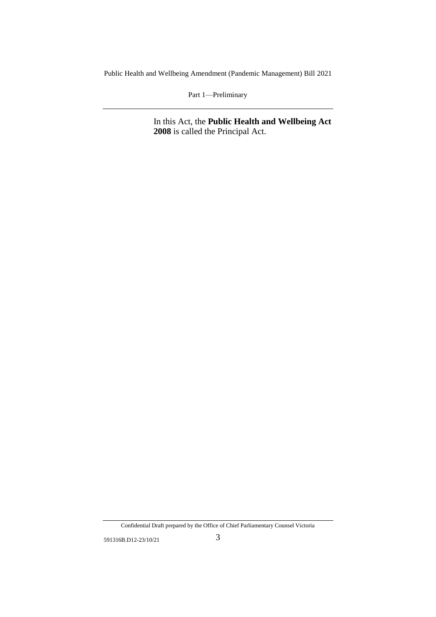Part 1—Preliminary

In this Act, the **Public Health and Wellbeing Act 2008** is called the Principal Act.

Confidential Draft prepared by the Office of Chief Parliamentary Counsel Victoria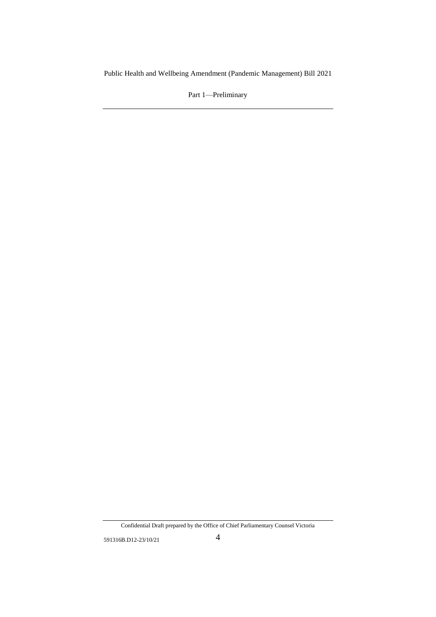Part 1—Preliminary

Confidential Draft prepared by the Office of Chief Parliamentary Counsel Victoria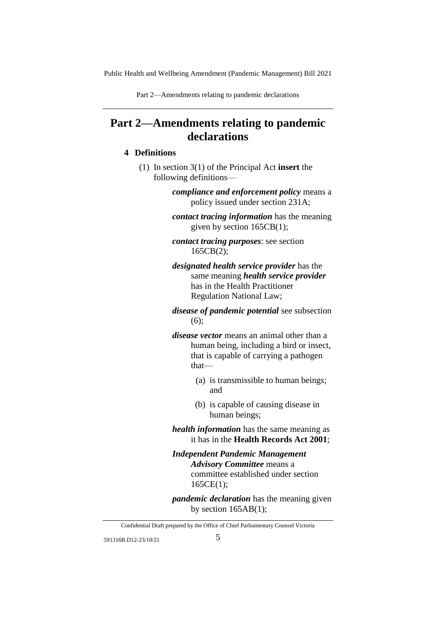Part 2—Amendments relating to pandemic declarations

# **Part 2—Amendments relating to pandemic declarations**

# **4 Definitions**

(1) In section 3(1) of the Principal Act **insert** the following definitions—

> *compliance and enforcement policy* means a policy issued under section 231A;

> *contact tracing information* has the meaning given by section 165CB(1);

*contact tracing purposes*: see section  $165CB(2);$ 

*designated health service provider* has the same meaning *health service provider*  has in the Health Practitioner Regulation National Law;

*disease of pandemic potential* see subsection  $(6)$ :

*disease vector* means an animal other than a human being, including a bird or insect, that is capable of carrying a pathogen that—

- (a) is transmissible to human beings; and
- (b) is capable of causing disease in human beings;

*health information* has the same meaning as it has in the **Health Records Act 2001**;

*Independent Pandemic Management Advisory Committee* means a committee established under section 165CE(1);

*pandemic declaration* has the meaning given by section  $165AB(1)$ ;

Confidential Draft prepared by the Office of Chief Parliamentary Counsel Victoria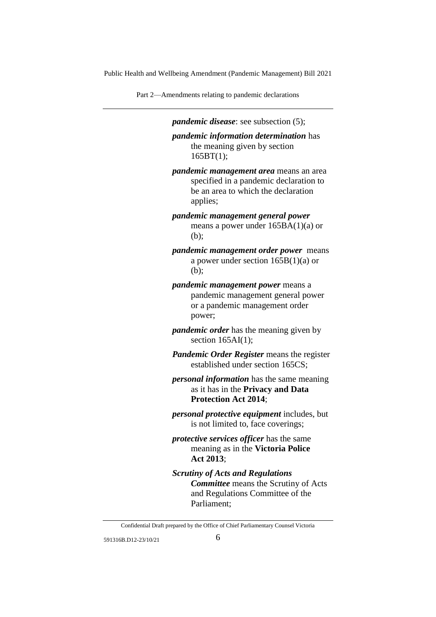Part 2—Amendments relating to pandemic declarations

*pandemic disease*: see subsection (5); *pandemic information determination* has the meaning given by section 165BT(1); *pandemic management area* means an area specified in a pandemic declaration to be an area to which the declaration applies; *pandemic management general power* means a power under 165BA(1)(a) or (b); *pandemic management order power* means a power under section 165B(1)(a) or (b); *pandemic management power* means a pandemic management general power or a pandemic management order power; *pandemic order* has the meaning given by section 165AI(1); *Pandemic Order Register* means the register established under section 165CS; *personal information* has the same meaning as it has in the **Privacy and Data Protection Act 2014**; *personal protective equipment* includes, but is not limited to, face coverings; *protective services officer* has the same meaning as in the **Victoria Police Act 2013**; *Scrutiny of Acts and Regulations Committee* means the Scrutiny of Acts and Regulations Committee of the Parliament;

Confidential Draft prepared by the Office of Chief Parliamentary Counsel Victoria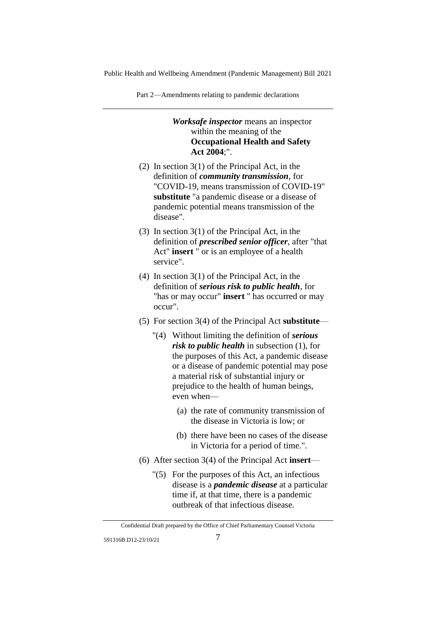Part 2—Amendments relating to pandemic declarations

# *Worksafe inspector* means an inspector within the meaning of the **Occupational Health and Safety Act 2004**;".

- (2) In section 3(1) of the Principal Act, in the definition of *community transmission*, for "COVID-19, means transmission of COVID-19" **substitute** "a pandemic disease or a disease of pandemic potential means transmission of the disease".
- (3) In section 3(1) of the Principal Act, in the definition of *prescribed senior officer*, after "that Act" **insert** " or is an employee of a health service".
- (4) In section 3(1) of the Principal Act, in the definition of *serious risk to public health*, for "has or may occur" **insert** " has occurred or may occur".
- (5) For section 3(4) of the Principal Act **substitute**
	- "(4) Without limiting the definition of *serious risk to public health* in subsection (1), for the purposes of this Act, a pandemic disease or a disease of pandemic potential may pose a material risk of substantial injury or prejudice to the health of human beings, even when—
		- (a) the rate of community transmission of the disease in Victoria is low; or
		- (b) there have been no cases of the disease in Victoria for a period of time.".
- (6) After section 3(4) of the Principal Act **insert**
	- "(5) For the purposes of this Act, an infectious disease is a *pandemic disease* at a particular time if, at that time, there is a pandemic outbreak of that infectious disease.

Confidential Draft prepared by the Office of Chief Parliamentary Counsel Victoria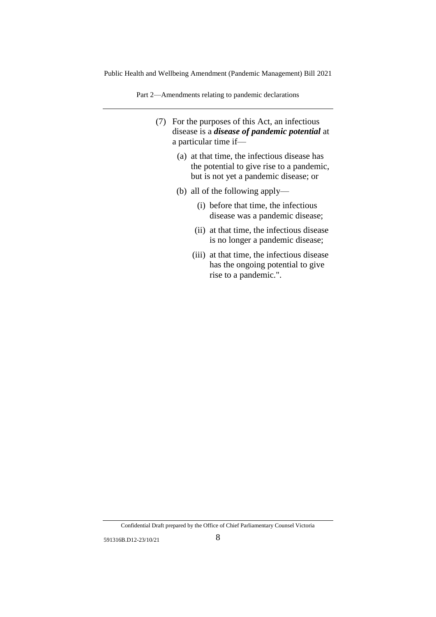Part 2—Amendments relating to pandemic declarations

- (7) For the purposes of this Act, an infectious disease is a *disease of pandemic potential* at a particular time if—
	- (a) at that time, the infectious disease has the potential to give rise to a pandemic, but is not yet a pandemic disease; or
	- (b) all of the following apply—
		- (i) before that time, the infectious disease was a pandemic disease;
		- (ii) at that time, the infectious disease is no longer a pandemic disease;
		- (iii) at that time, the infectious disease has the ongoing potential to give rise to a pandemic.".

Confidential Draft prepared by the Office of Chief Parliamentary Counsel Victoria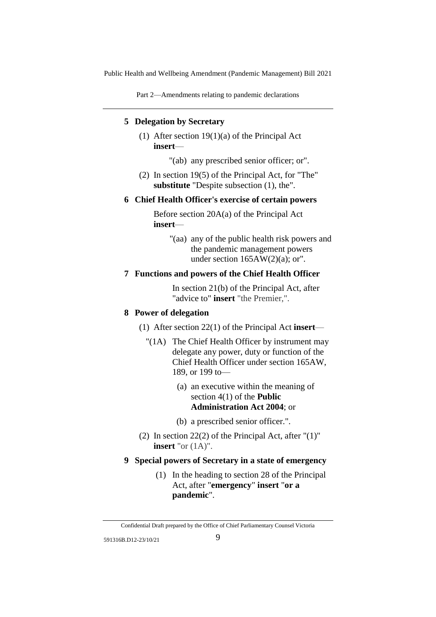Part 2—Amendments relating to pandemic declarations

### **5 Delegation by Secretary**

- (1) After section 19(1)(a) of the Principal Act **insert**—
	- "(ab) any prescribed senior officer; or".
- (2) In section 19(5) of the Principal Act, for "The" **substitute** "Despite subsection (1), the".

#### **6 Chief Health Officer's exercise of certain powers**

Before section 20A(a) of the Principal Act **insert**—

> "(aa) any of the public health risk powers and the pandemic management powers under section  $165AW(2)(a)$ ; or".

#### **7 Functions and powers of the Chief Health Officer**

In section 21(b) of the Principal Act, after "advice to" **insert** "the Premier,".

#### **8 Power of delegation**

- (1) After section 22(1) of the Principal Act **insert**
	- "(1A) The Chief Health Officer by instrument may delegate any power, duty or function of the Chief Health Officer under section 165AW, 189, or 199 to—
		- (a) an executive within the meaning of section 4(1) of the **Public Administration Act 2004**; or
		- (b) a prescribed senior officer.".
- (2) In section 22(2) of the Principal Act, after " $(1)$ " **insert** "or (1A)".
- **9 Special powers of Secretary in a state of emergency**
	- (1) In the heading to section 28 of the Principal Act, after "**emergency**" **insert** "**or a pandemic**".

Confidential Draft prepared by the Office of Chief Parliamentary Counsel Victoria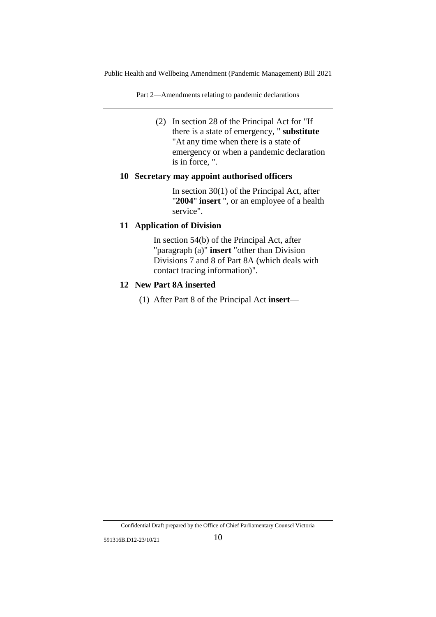Part 2—Amendments relating to pandemic declarations

(2) In section 28 of the Principal Act for "If there is a state of emergency, " **substitute** "At any time when there is a state of emergency or when a pandemic declaration is in force, ".

#### **10 Secretary may appoint authorised officers**

In section 30(1) of the Principal Act, after "**2004**" **insert** ", or an employee of a health service".

#### **11 Application of Division**

In section 54(b) of the Principal Act, after "paragraph (a)" **insert** "other than Division Divisions 7 and 8 of Part 8A (which deals with contact tracing information)".

# **12 New Part 8A inserted**

(1) After Part 8 of the Principal Act **insert**—

Confidential Draft prepared by the Office of Chief Parliamentary Counsel Victoria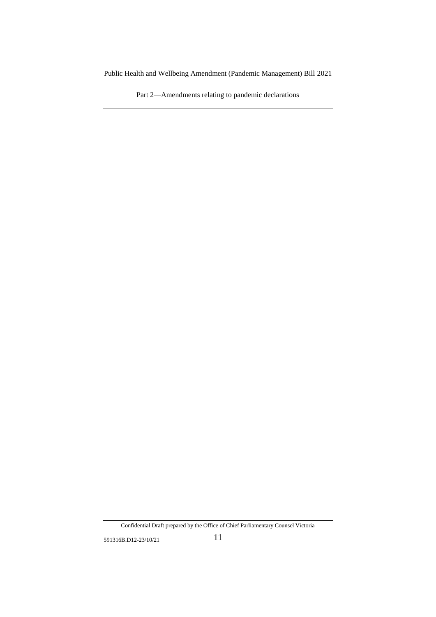Part 2—Amendments relating to pandemic declarations

Confidential Draft prepared by the Office of Chief Parliamentary Counsel Victoria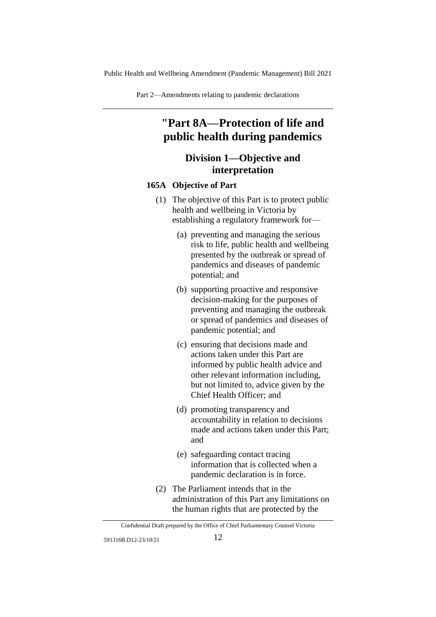Part 2—Amendments relating to pandemic declarations

# **"Part 8A—Protection of life and public health during pandemics**

# **Division 1—Objective and interpretation**

#### **165A Objective of Part**

- (1) The objective of this Part is to protect public health and wellbeing in Victoria by establishing a regulatory framework for—
	- (a) preventing and managing the serious risk to life, public health and wellbeing presented by the outbreak or spread of pandemics and diseases of pandemic potential; and
	- (b) supporting proactive and responsive decision-making for the purposes of preventing and managing the outbreak or spread of pandemics and diseases of pandemic potential; and
	- (c) ensuring that decisions made and actions taken under this Part are informed by public health advice and other relevant information including, but not limited to, advice given by the Chief Health Officer; and
	- (d) promoting transparency and accountability in relation to decisions made and actions taken under this Part; and
	- (e) safeguarding contact tracing information that is collected when a pandemic declaration is in force.
- (2) The Parliament intends that in the administration of this Part any limitations on the human rights that are protected by the

Confidential Draft prepared by the Office of Chief Parliamentary Counsel Victoria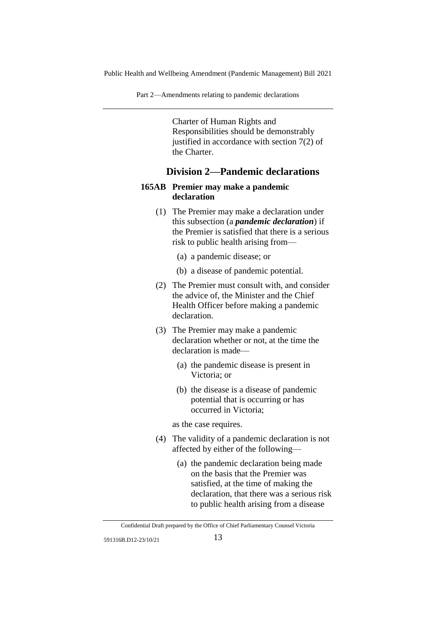Part 2—Amendments relating to pandemic declarations

Charter of Human Rights and Responsibilities should be demonstrably justified in accordance with section 7(2) of the Charter.

# **Division 2—Pandemic declarations**

# **165AB Premier may make a pandemic declaration**

- (1) The Premier may make a declaration under this subsection (a *pandemic declaration*) if the Premier is satisfied that there is a serious risk to public health arising from—
	- (a) a pandemic disease; or
	- (b) a disease of pandemic potential.
- (2) The Premier must consult with, and consider the advice of, the Minister and the Chief Health Officer before making a pandemic declaration.
- (3) The Premier may make a pandemic declaration whether or not, at the time the declaration is made—
	- (a) the pandemic disease is present in Victoria; or
	- (b) the disease is a disease of pandemic potential that is occurring or has occurred in Victoria;

as the case requires.

- (4) The validity of a pandemic declaration is not affected by either of the following—
	- (a) the pandemic declaration being made on the basis that the Premier was satisfied, at the time of making the declaration, that there was a serious risk to public health arising from a disease

Confidential Draft prepared by the Office of Chief Parliamentary Counsel Victoria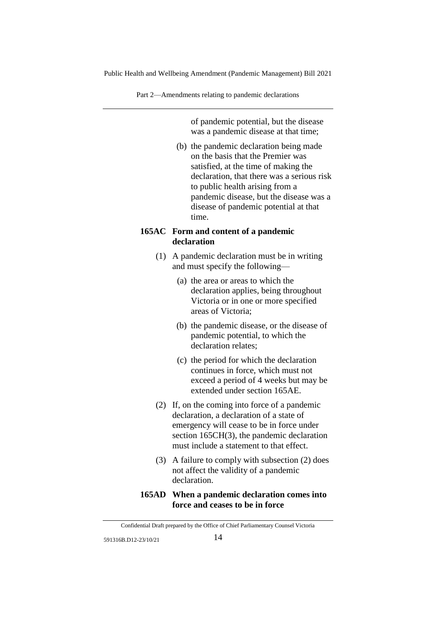Part 2—Amendments relating to pandemic declarations

of pandemic potential, but the disease was a pandemic disease at that time;

(b) the pandemic declaration being made on the basis that the Premier was satisfied, at the time of making the declaration, that there was a serious risk to public health arising from a pandemic disease, but the disease was a disease of pandemic potential at that time.

### **165AC Form and content of a pandemic declaration**

- (1) A pandemic declaration must be in writing and must specify the following—
	- (a) the area or areas to which the declaration applies, being throughout Victoria or in one or more specified areas of Victoria;
	- (b) the pandemic disease, or the disease of pandemic potential, to which the declaration relates;
	- (c) the period for which the declaration continues in force, which must not exceed a period of 4 weeks but may be extended under section 165AE.
- (2) If, on the coming into force of a pandemic declaration, a declaration of a state of emergency will cease to be in force under section 165CH(3), the pandemic declaration must include a statement to that effect.
- (3) A failure to comply with subsection (2) does not affect the validity of a pandemic declaration.

#### **165AD When a pandemic declaration comes into force and ceases to be in force**

Confidential Draft prepared by the Office of Chief Parliamentary Counsel Victoria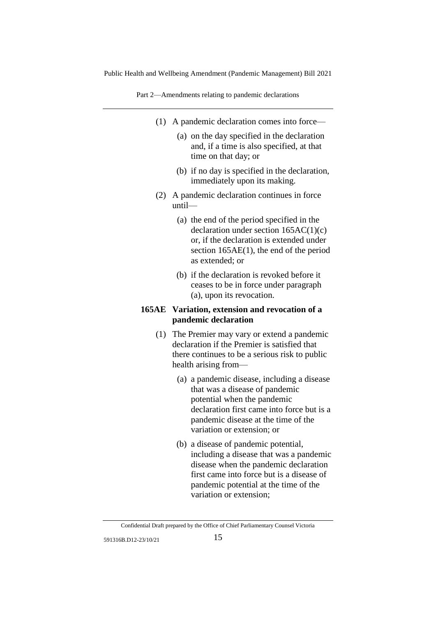Part 2—Amendments relating to pandemic declarations

- (1) A pandemic declaration comes into force—
	- (a) on the day specified in the declaration and, if a time is also specified, at that time on that day; or
	- (b) if no day is specified in the declaration, immediately upon its making.
- (2) A pandemic declaration continues in force until—
	- (a) the end of the period specified in the declaration under section 165AC(1)(c) or, if the declaration is extended under section 165AE(1), the end of the period as extended; or
	- (b) if the declaration is revoked before it ceases to be in force under paragraph (a), upon its revocation.

# **165AE Variation, extension and revocation of a pandemic declaration**

- (1) The Premier may vary or extend a pandemic declaration if the Premier is satisfied that there continues to be a serious risk to public health arising from—
	- (a) a pandemic disease, including a disease that was a disease of pandemic potential when the pandemic declaration first came into force but is a pandemic disease at the time of the variation or extension; or
	- (b) a disease of pandemic potential, including a disease that was a pandemic disease when the pandemic declaration first came into force but is a disease of pandemic potential at the time of the variation or extension;

Confidential Draft prepared by the Office of Chief Parliamentary Counsel Victoria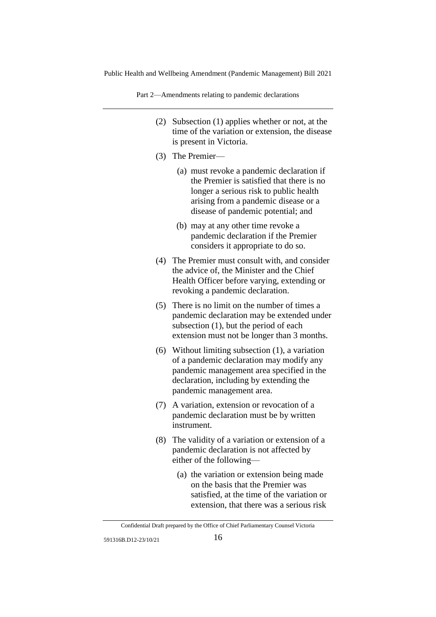Part 2—Amendments relating to pandemic declarations

- (2) Subsection (1) applies whether or not, at the time of the variation or extension, the disease is present in Victoria.
- (3) The Premier—
	- (a) must revoke a pandemic declaration if the Premier is satisfied that there is no longer a serious risk to public health arising from a pandemic disease or a disease of pandemic potential; and
	- (b) may at any other time revoke a pandemic declaration if the Premier considers it appropriate to do so.
- (4) The Premier must consult with, and consider the advice of, the Minister and the Chief Health Officer before varying, extending or revoking a pandemic declaration.
- (5) There is no limit on the number of times a pandemic declaration may be extended under subsection (1), but the period of each extension must not be longer than 3 months.
- (6) Without limiting subsection (1), a variation of a pandemic declaration may modify any pandemic management area specified in the declaration, including by extending the pandemic management area.
- (7) A variation, extension or revocation of a pandemic declaration must be by written instrument.
- (8) The validity of a variation or extension of a pandemic declaration is not affected by either of the following—
	- (a) the variation or extension being made on the basis that the Premier was satisfied, at the time of the variation or extension, that there was a serious risk

Confidential Draft prepared by the Office of Chief Parliamentary Counsel Victoria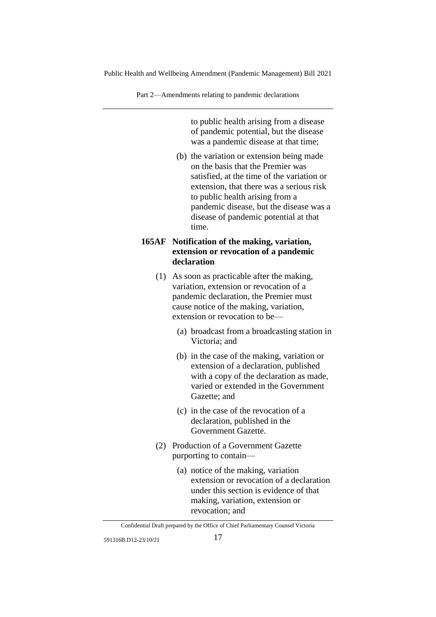Part 2—Amendments relating to pandemic declarations

to public health arising from a disease of pandemic potential, but the disease was a pandemic disease at that time;

(b) the variation or extension being made on the basis that the Premier was satisfied, at the time of the variation or extension, that there was a serious risk to public health arising from a pandemic disease, but the disease was a disease of pandemic potential at that time.

### **165AF Notification of the making, variation, extension or revocation of a pandemic declaration**

- (1) As soon as practicable after the making, variation, extension or revocation of a pandemic declaration, the Premier must cause notice of the making, variation, extension or revocation to be—
	- (a) broadcast from a broadcasting station in Victoria; and
	- (b) in the case of the making, variation or extension of a declaration, published with a copy of the declaration as made, varied or extended in the Government Gazette; and
	- (c) in the case of the revocation of a declaration, published in the Government Gazette.
- (2) Production of a Government Gazette purporting to contain—
	- (a) notice of the making, variation extension or revocation of a declaration under this section is evidence of that making, variation, extension or revocation; and

Confidential Draft prepared by the Office of Chief Parliamentary Counsel Victoria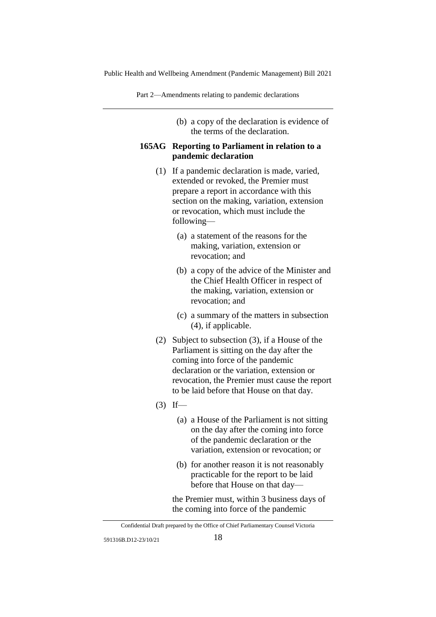Part 2—Amendments relating to pandemic declarations

(b) a copy of the declaration is evidence of the terms of the declaration.

### **165AG Reporting to Parliament in relation to a pandemic declaration**

- (1) If a pandemic declaration is made, varied, extended or revoked, the Premier must prepare a report in accordance with this section on the making, variation, extension or revocation, which must include the following—
	- (a) a statement of the reasons for the making, variation, extension or revocation; and
	- (b) a copy of the advice of the Minister and the Chief Health Officer in respect of the making, variation, extension or revocation; and
	- (c) a summary of the matters in subsection (4), if applicable.
- (2) Subject to subsection (3), if a House of the Parliament is sitting on the day after the coming into force of the pandemic declaration or the variation, extension or revocation, the Premier must cause the report to be laid before that House on that day.
- $(3)$  If—
	- (a) a House of the Parliament is not sitting on the day after the coming into force of the pandemic declaration or the variation, extension or revocation; or
	- (b) for another reason it is not reasonably practicable for the report to be laid before that House on that day—

the Premier must, within 3 business days of the coming into force of the pandemic

Confidential Draft prepared by the Office of Chief Parliamentary Counsel Victoria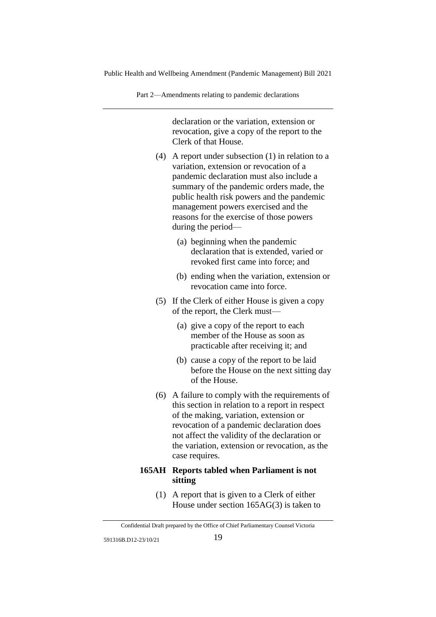Part 2—Amendments relating to pandemic declarations

declaration or the variation, extension or revocation, give a copy of the report to the Clerk of that House.

- (4) A report under subsection (1) in relation to a variation, extension or revocation of a pandemic declaration must also include a summary of the pandemic orders made, the public health risk powers and the pandemic management powers exercised and the reasons for the exercise of those powers during the period—
	- (a) beginning when the pandemic declaration that is extended, varied or revoked first came into force; and
	- (b) ending when the variation, extension or revocation came into force.
- (5) If the Clerk of either House is given a copy of the report, the Clerk must—
	- (a) give a copy of the report to each member of the House as soon as practicable after receiving it; and
	- (b) cause a copy of the report to be laid before the House on the next sitting day of the House.
- (6) A failure to comply with the requirements of this section in relation to a report in respect of the making, variation, extension or revocation of a pandemic declaration does not affect the validity of the declaration or the variation, extension or revocation, as the case requires.

# **165AH Reports tabled when Parliament is not sitting**

(1) A report that is given to a Clerk of either House under section 165AG(3) is taken to

Confidential Draft prepared by the Office of Chief Parliamentary Counsel Victoria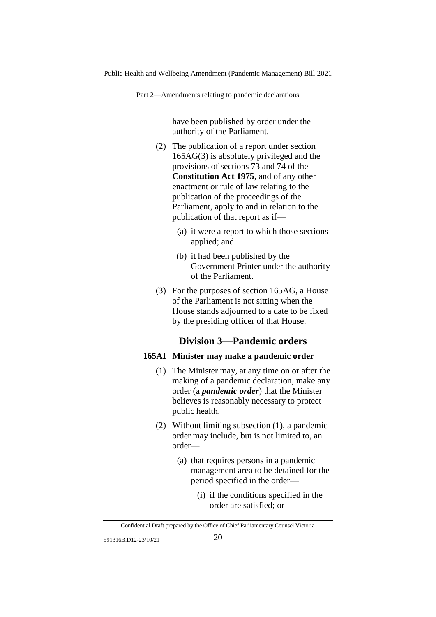Part 2—Amendments relating to pandemic declarations

have been published by order under the authority of the Parliament.

- (2) The publication of a report under section 165AG(3) is absolutely privileged and the provisions of sections 73 and 74 of the **Constitution Act 1975**, and of any other enactment or rule of law relating to the publication of the proceedings of the Parliament, apply to and in relation to the publication of that report as if—
	- (a) it were a report to which those sections applied; and
	- (b) it had been published by the Government Printer under the authority of the Parliament.
- (3) For the purposes of section 165AG, a House of the Parliament is not sitting when the House stands adjourned to a date to be fixed by the presiding officer of that House.

# **Division 3—Pandemic orders**

# **165AI Minister may make a pandemic order**

- (1) The Minister may, at any time on or after the making of a pandemic declaration, make any order (a *pandemic order*) that the Minister believes is reasonably necessary to protect public health.
- (2) Without limiting subsection (1), a pandemic order may include, but is not limited to, an order—
	- (a) that requires persons in a pandemic management area to be detained for the period specified in the order—
		- (i) if the conditions specified in the order are satisfied; or

Confidential Draft prepared by the Office of Chief Parliamentary Counsel Victoria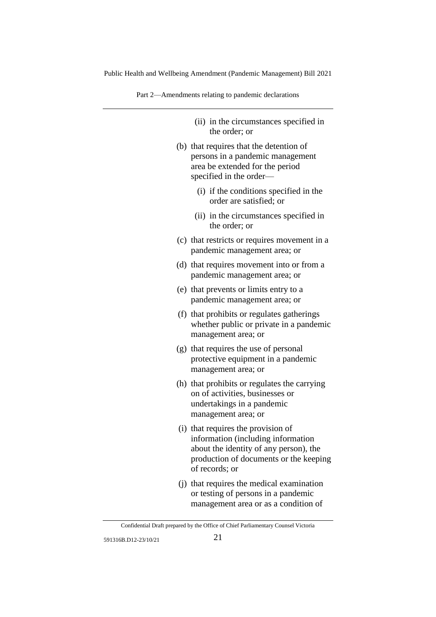Part 2—Amendments relating to pandemic declarations

- (ii) in the circumstances specified in the order; or
- (b) that requires that the detention of persons in a pandemic management area be extended for the period specified in the order—
	- (i) if the conditions specified in the order are satisfied; or
	- (ii) in the circumstances specified in the order; or
- (c) that restricts or requires movement in a pandemic management area; or
- (d) that requires movement into or from a pandemic management area; or
- (e) that prevents or limits entry to a pandemic management area; or
- (f) that prohibits or regulates gatherings whether public or private in a pandemic management area; or
- (g) that requires the use of personal protective equipment in a pandemic management area; or
- (h) that prohibits or regulates the carrying on of activities, businesses or undertakings in a pandemic management area; or
- (i) that requires the provision of information (including information about the identity of any person), the production of documents or the keeping of records; or
- (j) that requires the medical examination or testing of persons in a pandemic management area or as a condition of

Confidential Draft prepared by the Office of Chief Parliamentary Counsel Victoria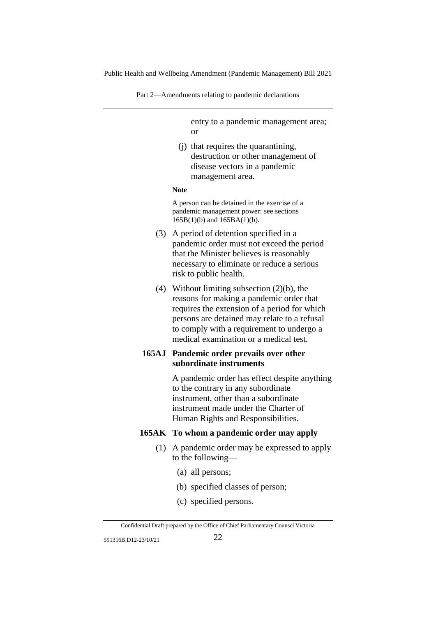Part 2—Amendments relating to pandemic declarations

entry to a pandemic management area; or

(j) that requires the quarantining, destruction or other management of disease vectors in a pandemic management area.

#### **Note**

A person can be detained in the exercise of a pandemic management power: see sections  $165B(1)(b)$  and  $165BA(1)(b)$ .

- (3) A period of detention specified in a pandemic order must not exceed the period that the Minister believes is reasonably necessary to eliminate or reduce a serious risk to public health.
- (4) Without limiting subsection (2)(b), the reasons for making a pandemic order that requires the extension of a period for which persons are detained may relate to a refusal to comply with a requirement to undergo a medical examination or a medical test.

### **165AJ Pandemic order prevails over other subordinate instruments**

A pandemic order has effect despite anything to the contrary in any subordinate instrument, other than a subordinate instrument made under the Charter of Human Rights and Responsibilities.

#### **165AK To whom a pandemic order may apply**

- (1) A pandemic order may be expressed to apply to the following—
	- (a) all persons;
	- (b) specified classes of person;
	- (c) specified persons.

Confidential Draft prepared by the Office of Chief Parliamentary Counsel Victoria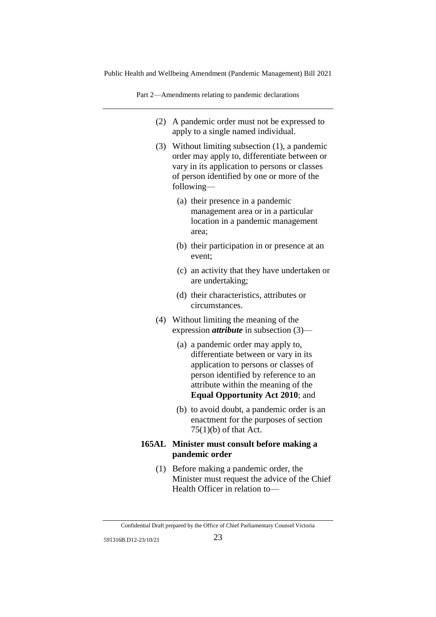Part 2—Amendments relating to pandemic declarations

- (2) A pandemic order must not be expressed to apply to a single named individual.
- (3) Without limiting subsection (1), a pandemic order may apply to, differentiate between or vary in its application to persons or classes of person identified by one or more of the following—
	- (a) their presence in a pandemic management area or in a particular location in a pandemic management area;
	- (b) their participation in or presence at an event;
	- (c) an activity that they have undertaken or are undertaking;
	- (d) their characteristics, attributes or circumstances.
- (4) Without limiting the meaning of the expression *attribute* in subsection (3)—
	- (a) a pandemic order may apply to, differentiate between or vary in its application to persons or classes of person identified by reference to an attribute within the meaning of the **Equal Opportunity Act 2010**; and
	- (b) to avoid doubt, a pandemic order is an enactment for the purposes of section 75(1)(b) of that Act.

### **165AL Minister must consult before making a pandemic order**

(1) Before making a pandemic order, the Minister must request the advice of the Chief Health Officer in relation to—

Confidential Draft prepared by the Office of Chief Parliamentary Counsel Victoria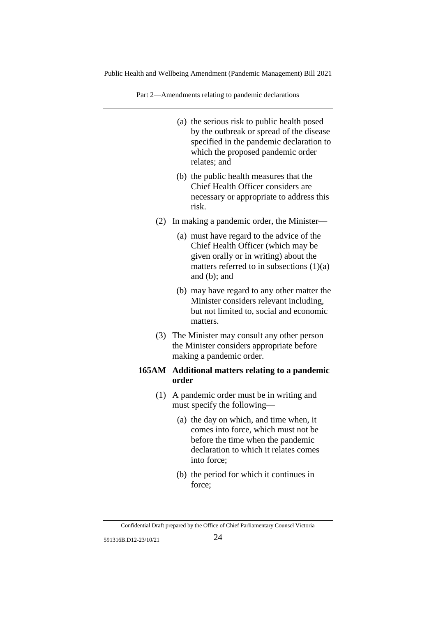Part 2—Amendments relating to pandemic declarations

- (a) the serious risk to public health posed by the outbreak or spread of the disease specified in the pandemic declaration to which the proposed pandemic order relates; and
- (b) the public health measures that the Chief Health Officer considers are necessary or appropriate to address this risk.
- (2) In making a pandemic order, the Minister—
	- (a) must have regard to the advice of the Chief Health Officer (which may be given orally or in writing) about the matters referred to in subsections  $(1)(a)$ and (b); and
	- (b) may have regard to any other matter the Minister considers relevant including, but not limited to, social and economic matters.
- (3) The Minister may consult any other person the Minister considers appropriate before making a pandemic order.

# **165AM Additional matters relating to a pandemic order**

- (1) A pandemic order must be in writing and must specify the following—
	- (a) the day on which, and time when, it comes into force, which must not be before the time when the pandemic declaration to which it relates comes into force;
	- (b) the period for which it continues in force;

Confidential Draft prepared by the Office of Chief Parliamentary Counsel Victoria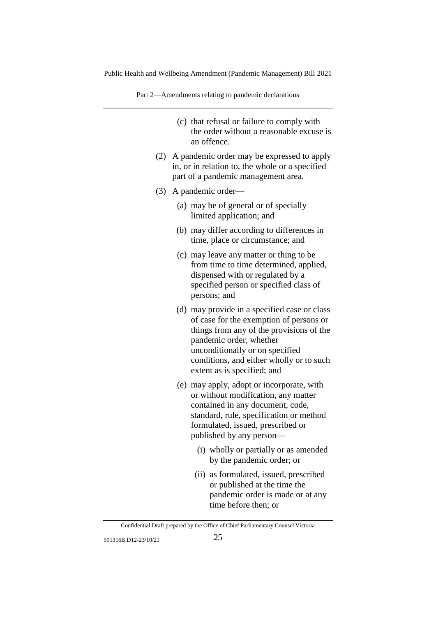Part 2—Amendments relating to pandemic declarations

- (c) that refusal or failure to comply with the order without a reasonable excuse is an offence.
- (2) A pandemic order may be expressed to apply in, or in relation to, the whole or a specified part of a pandemic management area.
- (3) A pandemic order—
	- (a) may be of general or of specially limited application; and
	- (b) may differ according to differences in time, place or circumstance; and
	- (c) may leave any matter or thing to be from time to time determined, applied, dispensed with or regulated by a specified person or specified class of persons; and
	- (d) may provide in a specified case or class of case for the exemption of persons or things from any of the provisions of the pandemic order, whether unconditionally or on specified conditions, and either wholly or to such extent as is specified; and
	- (e) may apply, adopt or incorporate, with or without modification, any matter contained in any document, code, standard, rule, specification or method formulated, issued, prescribed or published by any person—
		- (i) wholly or partially or as amended by the pandemic order; or
		- (ii) as formulated, issued, prescribed or published at the time the pandemic order is made or at any time before then; or

Confidential Draft prepared by the Office of Chief Parliamentary Counsel Victoria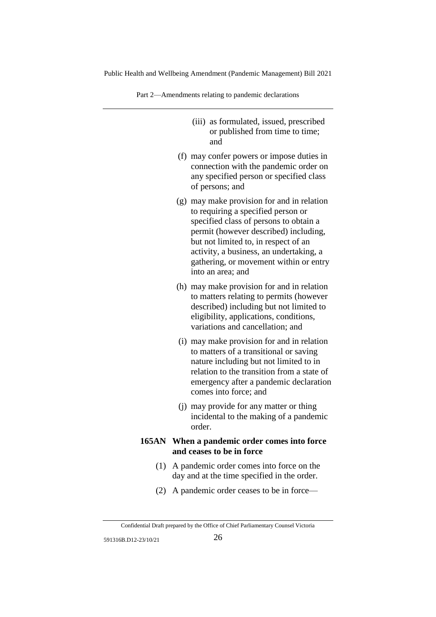Part 2—Amendments relating to pandemic declarations

(iii) as formulated, issued, prescribed or published from time to time; and (f) may confer powers or impose duties in connection with the pandemic order on any specified person or specified class of persons; and (g) may make provision for and in relation to requiring a specified person or specified class of persons to obtain a permit (however described) including, but not limited to, in respect of an activity, a business, an undertaking, a gathering, or movement within or entry into an area; and (h) may make provision for and in relation to matters relating to permits (however described) including but not limited to eligibility, applications, conditions, variations and cancellation; and (i) may make provision for and in relation to matters of a transitional or saving nature including but not limited to in relation to the transition from a state of emergency after a pandemic declaration comes into force; and (j) may provide for any matter or thing incidental to the making of a pandemic order. **165AN When a pandemic order comes into force and ceases to be in force** (1) A pandemic order comes into force on the day and at the time specified in the order. (2) A pandemic order ceases to be in force—

Confidential Draft prepared by the Office of Chief Parliamentary Counsel Victoria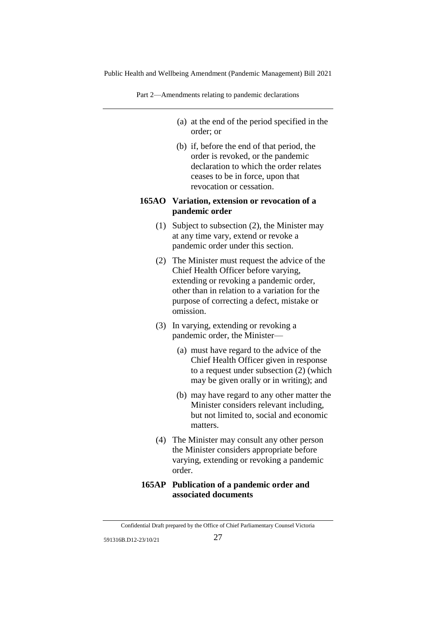Part 2—Amendments relating to pandemic declarations

- (a) at the end of the period specified in the order; or
- (b) if, before the end of that period, the order is revoked, or the pandemic declaration to which the order relates ceases to be in force, upon that revocation or cessation.

# **165AO Variation, extension or revocation of a pandemic order**

- (1) Subject to subsection (2), the Minister may at any time vary, extend or revoke a pandemic order under this section.
- (2) The Minister must request the advice of the Chief Health Officer before varying, extending or revoking a pandemic order, other than in relation to a variation for the purpose of correcting a defect, mistake or omission.
- (3) In varying, extending or revoking a pandemic order, the Minister—
	- (a) must have regard to the advice of the Chief Health Officer given in response to a request under subsection (2) (which may be given orally or in writing); and
	- (b) may have regard to any other matter the Minister considers relevant including, but not limited to, social and economic matters.
- (4) The Minister may consult any other person the Minister considers appropriate before varying, extending or revoking a pandemic order.

# **165AP Publication of a pandemic order and associated documents**

Confidential Draft prepared by the Office of Chief Parliamentary Counsel Victoria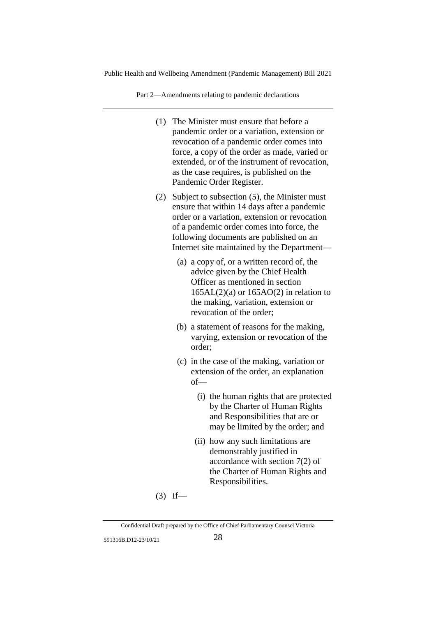Part 2—Amendments relating to pandemic declarations

- (1) The Minister must ensure that before a pandemic order or a variation, extension or revocation of a pandemic order comes into force, a copy of the order as made, varied or extended, or of the instrument of revocation, as the case requires, is published on the Pandemic Order Register.
- (2) Subject to subsection (5), the Minister must ensure that within 14 days after a pandemic order or a variation, extension or revocation of a pandemic order comes into force, the following documents are published on an Internet site maintained by the Department—
	- (a) a copy of, or a written record of, the advice given by the Chief Health Officer as mentioned in section  $165AL(2)$ (a) or  $165AO(2)$  in relation to the making, variation, extension or revocation of the order;
	- (b) a statement of reasons for the making, varying, extension or revocation of the order;
	- (c) in the case of the making, variation or extension of the order, an explanation of—
		- (i) the human rights that are protected by the Charter of Human Rights and Responsibilities that are or may be limited by the order; and
		- (ii) how any such limitations are demonstrably justified in accordance with section 7(2) of the Charter of Human Rights and Responsibilities.
- $(3)$  If—

Confidential Draft prepared by the Office of Chief Parliamentary Counsel Victoria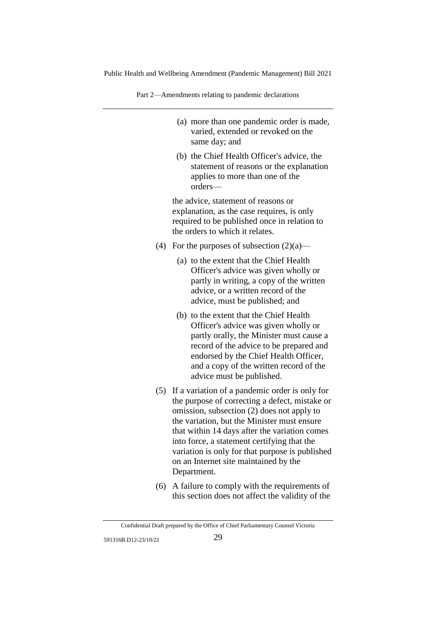Part 2—Amendments relating to pandemic declarations

- (a) more than one pandemic order is made, varied, extended or revoked on the same day; and
- (b) the Chief Health Officer's advice, the statement of reasons or the explanation applies to more than one of the orders—

the advice, statement of reasons or explanation, as the case requires, is only required to be published once in relation to the orders to which it relates.

- (4) For the purposes of subsection  $(2)(a)$ 
	- (a) to the extent that the Chief Health Officer's advice was given wholly or partly in writing, a copy of the written advice, or a written record of the advice, must be published; and
	- (b) to the extent that the Chief Health Officer's advice was given wholly or partly orally, the Minister must cause a record of the advice to be prepared and endorsed by the Chief Health Officer, and a copy of the written record of the advice must be published.
- (5) If a variation of a pandemic order is only for the purpose of correcting a defect, mistake or omission, subsection (2) does not apply to the variation, but the Minister must ensure that within 14 days after the variation comes into force, a statement certifying that the variation is only for that purpose is published on an Internet site maintained by the Department.
- (6) A failure to comply with the requirements of this section does not affect the validity of the

Confidential Draft prepared by the Office of Chief Parliamentary Counsel Victoria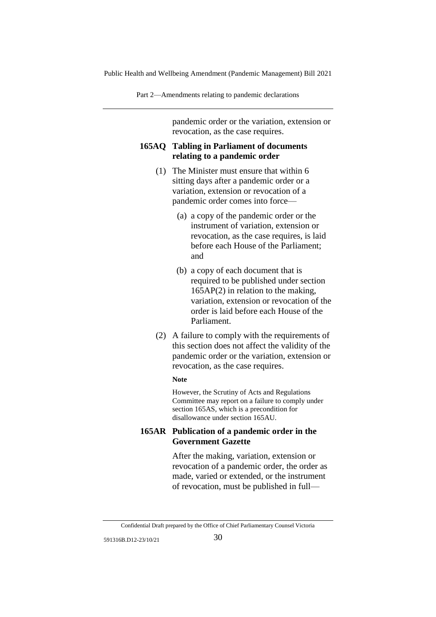Part 2—Amendments relating to pandemic declarations

pandemic order or the variation, extension or revocation, as the case requires.

# **165AQ Tabling in Parliament of documents relating to a pandemic order**

- (1) The Minister must ensure that within 6 sitting days after a pandemic order or a variation, extension or revocation of a pandemic order comes into force—
	- (a) a copy of the pandemic order or the instrument of variation, extension or revocation, as the case requires, is laid before each House of the Parliament; and
	- (b) a copy of each document that is required to be published under section 165AP(2) in relation to the making, variation, extension or revocation of the order is laid before each House of the Parliament.
- (2) A failure to comply with the requirements of this section does not affect the validity of the pandemic order or the variation, extension or revocation, as the case requires.

#### **Note**

However, the Scrutiny of Acts and Regulations Committee may report on a failure to comply under section 165AS, which is a precondition for disallowance under section 165AU.

# **165AR Publication of a pandemic order in the Government Gazette**

After the making, variation, extension or revocation of a pandemic order, the order as made, varied or extended, or the instrument of revocation, must be published in full—

Confidential Draft prepared by the Office of Chief Parliamentary Counsel Victoria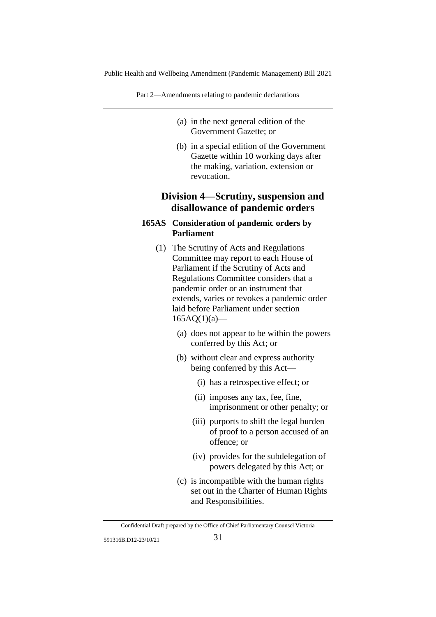Part 2—Amendments relating to pandemic declarations

- (a) in the next general edition of the Government Gazette; or
- (b) in a special edition of the Government Gazette within 10 working days after the making, variation, extension or revocation.

# **Division 4—Scrutiny, suspension and disallowance of pandemic orders**

# **165AS Consideration of pandemic orders by Parliament**

- (1) The Scrutiny of Acts and Regulations Committee may report to each House of Parliament if the Scrutiny of Acts and Regulations Committee considers that a pandemic order or an instrument that extends, varies or revokes a pandemic order laid before Parliament under section  $165AO(1)(a)$ —
	- (a) does not appear to be within the powers conferred by this Act; or
	- (b) without clear and express authority being conferred by this Act—
		- (i) has a retrospective effect; or
		- (ii) imposes any tax, fee, fine, imprisonment or other penalty; or
		- (iii) purports to shift the legal burden of proof to a person accused of an offence; or
		- (iv) provides for the subdelegation of powers delegated by this Act; or
	- (c) is incompatible with the human rights set out in the Charter of Human Rights and Responsibilities.

Confidential Draft prepared by the Office of Chief Parliamentary Counsel Victoria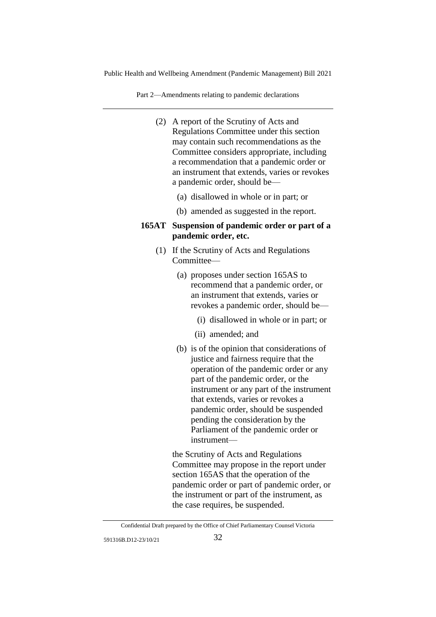Part 2—Amendments relating to pandemic declarations

- (2) A report of the Scrutiny of Acts and Regulations Committee under this section may contain such recommendations as the Committee considers appropriate, including a recommendation that a pandemic order or an instrument that extends, varies or revokes a pandemic order, should be—
	- (a) disallowed in whole or in part; or
	- (b) amended as suggested in the report.

### **165AT Suspension of pandemic order or part of a pandemic order, etc.**

- (1) If the Scrutiny of Acts and Regulations Committee—
	- (a) proposes under section 165AS to recommend that a pandemic order, or an instrument that extends, varies or revokes a pandemic order, should be—
		- (i) disallowed in whole or in part; or
		- (ii) amended; and
	- (b) is of the opinion that considerations of justice and fairness require that the operation of the pandemic order or any part of the pandemic order, or the instrument or any part of the instrument that extends, varies or revokes a pandemic order, should be suspended pending the consideration by the Parliament of the pandemic order or instrument—

the Scrutiny of Acts and Regulations Committee may propose in the report under section 165AS that the operation of the pandemic order or part of pandemic order, or the instrument or part of the instrument, as the case requires, be suspended.

Confidential Draft prepared by the Office of Chief Parliamentary Counsel Victoria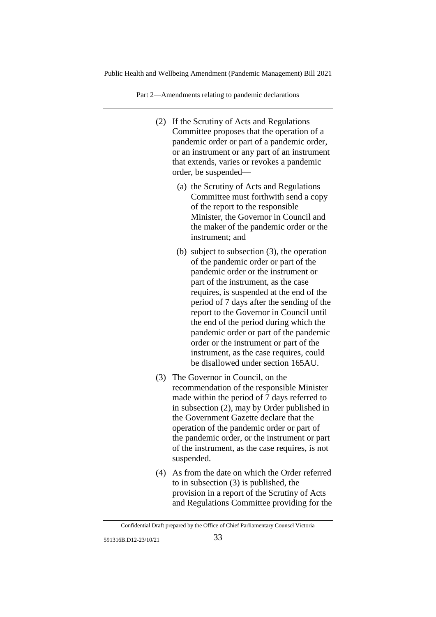Part 2—Amendments relating to pandemic declarations

- (2) If the Scrutiny of Acts and Regulations Committee proposes that the operation of a pandemic order or part of a pandemic order, or an instrument or any part of an instrument that extends, varies or revokes a pandemic order, be suspended—
	- (a) the Scrutiny of Acts and Regulations Committee must forthwith send a copy of the report to the responsible Minister, the Governor in Council and the maker of the pandemic order or the instrument; and
	- (b) subject to subsection (3), the operation of the pandemic order or part of the pandemic order or the instrument or part of the instrument, as the case requires, is suspended at the end of the period of 7 days after the sending of the report to the Governor in Council until the end of the period during which the pandemic order or part of the pandemic order or the instrument or part of the instrument, as the case requires, could be disallowed under section 165AU.
- (3) The Governor in Council, on the recommendation of the responsible Minister made within the period of 7 days referred to in subsection (2), may by Order published in the Government Gazette declare that the operation of the pandemic order or part of the pandemic order, or the instrument or part of the instrument, as the case requires, is not suspended.
- (4) As from the date on which the Order referred to in subsection (3) is published, the provision in a report of the Scrutiny of Acts and Regulations Committee providing for the

Confidential Draft prepared by the Office of Chief Parliamentary Counsel Victoria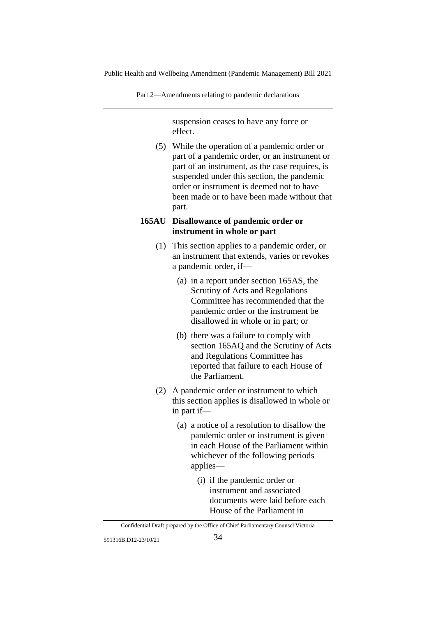Part 2—Amendments relating to pandemic declarations

suspension ceases to have any force or effect.

(5) While the operation of a pandemic order or part of a pandemic order, or an instrument or part of an instrument, as the case requires, is suspended under this section, the pandemic order or instrument is deemed not to have been made or to have been made without that part.

## **165AU Disallowance of pandemic order or instrument in whole or part**

- (1) This section applies to a pandemic order, or an instrument that extends, varies or revokes a pandemic order, if—
	- (a) in a report under section 165AS, the Scrutiny of Acts and Regulations Committee has recommended that the pandemic order or the instrument be disallowed in whole or in part; or
	- (b) there was a failure to comply with section 165AQ and the Scrutiny of Acts and Regulations Committee has reported that failure to each House of the Parliament.
- (2) A pandemic order or instrument to which this section applies is disallowed in whole or in part if—
	- (a) a notice of a resolution to disallow the pandemic order or instrument is given in each House of the Parliament within whichever of the following periods applies—
		- (i) if the pandemic order or instrument and associated documents were laid before each House of the Parliament in

Confidential Draft prepared by the Office of Chief Parliamentary Counsel Victoria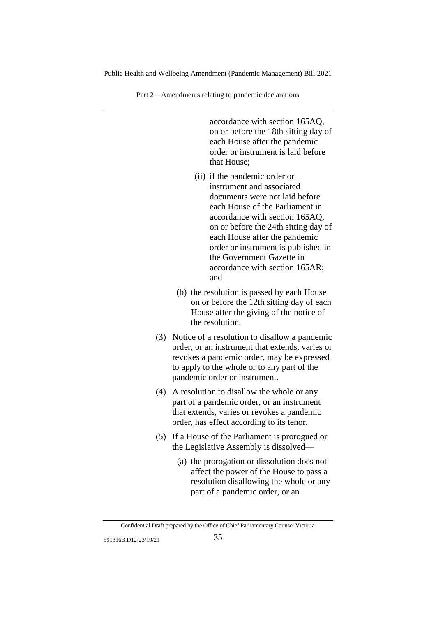|     | accordance with section 165AQ,<br>on or before the 18th sitting day of<br>each House after the pandemic<br>order or instrument is laid before<br>that House;                                                                                                                                                                                            |
|-----|---------------------------------------------------------------------------------------------------------------------------------------------------------------------------------------------------------------------------------------------------------------------------------------------------------------------------------------------------------|
|     | (ii) if the pandemic order or<br>instrument and associated<br>documents were not laid before<br>each House of the Parliament in<br>accordance with section 165AQ,<br>on or before the 24th sitting day of<br>each House after the pandemic<br>order or instrument is published in<br>the Government Gazette in<br>accordance with section 165AR;<br>and |
|     | (b) the resolution is passed by each House<br>on or before the 12th sitting day of each<br>House after the giving of the notice of<br>the resolution.                                                                                                                                                                                                   |
| (3) | Notice of a resolution to disallow a pandemic<br>order, or an instrument that extends, varies or<br>revokes a pandemic order, may be expressed<br>to apply to the whole or to any part of the<br>pandemic order or instrument.                                                                                                                          |
| (4) | A resolution to disallow the whole or any<br>part of a pandemic order, or an instrument<br>that extends, varies or revokes a pandemic<br>order, has effect according to its tenor.                                                                                                                                                                      |
| (5) | If a House of the Parliament is prorogued or<br>the Legislative Assembly is dissolved-                                                                                                                                                                                                                                                                  |
|     | (a) the prorogation or dissolution does not<br>affect the power of the House to pass a<br>resolution disallowing the whole or any<br>part of a pandemic order, or an                                                                                                                                                                                    |

Part 2—Amendments relating to pandemic declarations

Confidential Draft prepared by the Office of Chief Parliamentary Counsel Victoria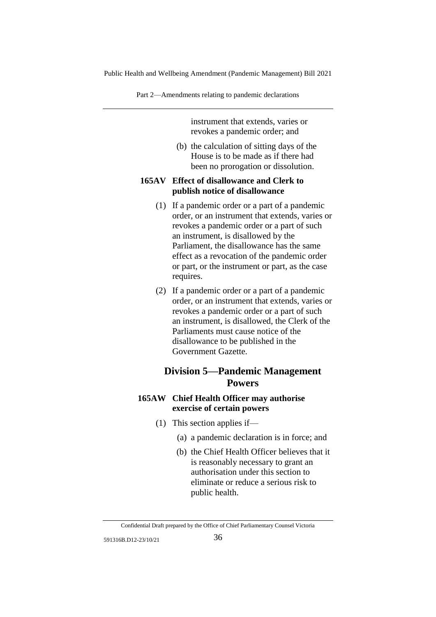Part 2—Amendments relating to pandemic declarations

instrument that extends, varies or revokes a pandemic order; and

(b) the calculation of sitting days of the House is to be made as if there had been no prorogation or dissolution.

## **165AV Effect of disallowance and Clerk to publish notice of disallowance**

- (1) If a pandemic order or a part of a pandemic order, or an instrument that extends, varies or revokes a pandemic order or a part of such an instrument, is disallowed by the Parliament, the disallowance has the same effect as a revocation of the pandemic order or part, or the instrument or part, as the case requires.
- (2) If a pandemic order or a part of a pandemic order, or an instrument that extends, varies or revokes a pandemic order or a part of such an instrument, is disallowed, the Clerk of the Parliaments must cause notice of the disallowance to be published in the Government Gazette.

## **Division 5—Pandemic Management Powers**

## **165AW Chief Health Officer may authorise exercise of certain powers**

- (1) This section applies if—
	- (a) a pandemic declaration is in force; and
	- (b) the Chief Health Officer believes that it is reasonably necessary to grant an authorisation under this section to eliminate or reduce a serious risk to public health.

Confidential Draft prepared by the Office of Chief Parliamentary Counsel Victoria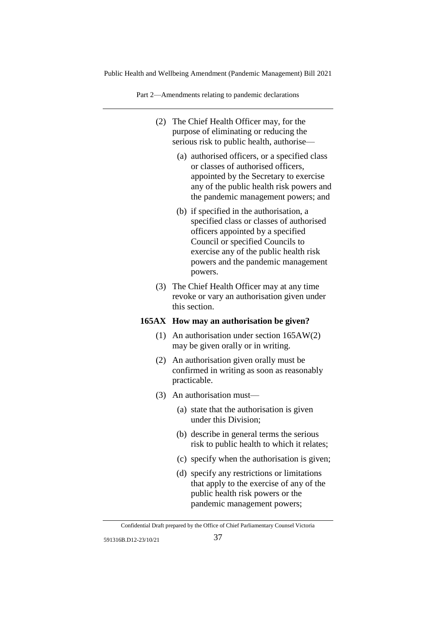Part 2—Amendments relating to pandemic declarations

- (2) The Chief Health Officer may, for the purpose of eliminating or reducing the serious risk to public health, authorise—
	- (a) authorised officers, or a specified class or classes of authorised officers, appointed by the Secretary to exercise any of the public health risk powers and the pandemic management powers; and
	- (b) if specified in the authorisation, a specified class or classes of authorised officers appointed by a specified Council or specified Councils to exercise any of the public health risk powers and the pandemic management powers.
- (3) The Chief Health Officer may at any time revoke or vary an authorisation given under this section.

#### **165AX How may an authorisation be given?**

- (1) An authorisation under section 165AW(2) may be given orally or in writing.
- (2) An authorisation given orally must be confirmed in writing as soon as reasonably practicable.
- (3) An authorisation must—
	- (a) state that the authorisation is given under this Division;
	- (b) describe in general terms the serious risk to public health to which it relates;
	- (c) specify when the authorisation is given;
	- (d) specify any restrictions or limitations that apply to the exercise of any of the public health risk powers or the pandemic management powers;

Confidential Draft prepared by the Office of Chief Parliamentary Counsel Victoria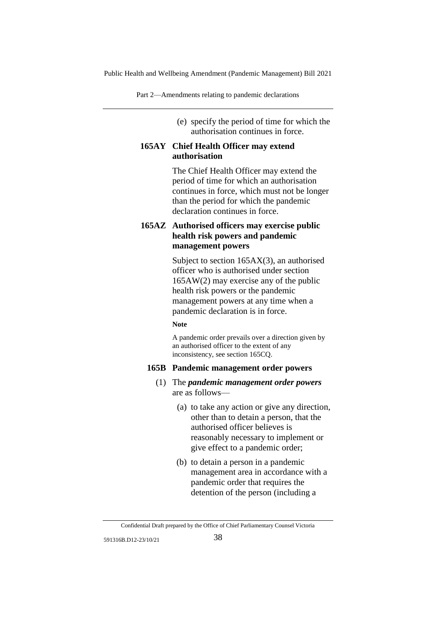Part 2—Amendments relating to pandemic declarations

(e) specify the period of time for which the authorisation continues in force.

## **165AY Chief Health Officer may extend authorisation**

The Chief Health Officer may extend the period of time for which an authorisation continues in force, which must not be longer than the period for which the pandemic declaration continues in force.

## **165AZ Authorised officers may exercise public health risk powers and pandemic management powers**

Subject to section 165AX(3), an authorised officer who is authorised under section 165AW(2) may exercise any of the public health risk powers or the pandemic management powers at any time when a pandemic declaration is in force.

## **Note**

A pandemic order prevails over a direction given by an authorised officer to the extent of any inconsistency, see section 165CQ.

## **165B Pandemic management order powers**

- (1) The *pandemic management order powers* are as follows—
	- (a) to take any action or give any direction, other than to detain a person, that the authorised officer believes is reasonably necessary to implement or give effect to a pandemic order;
	- (b) to detain a person in a pandemic management area in accordance with a pandemic order that requires the detention of the person (including a

Confidential Draft prepared by the Office of Chief Parliamentary Counsel Victoria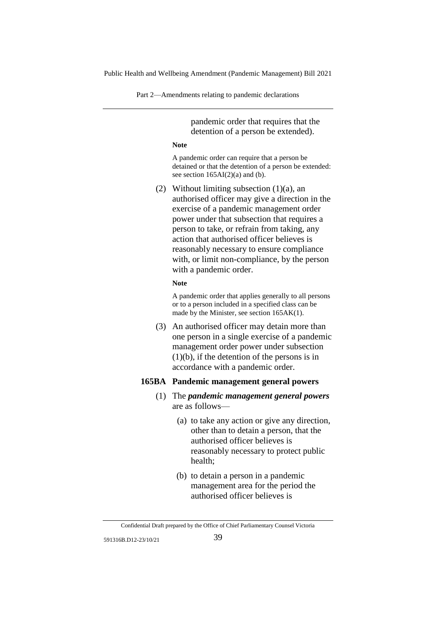Part 2—Amendments relating to pandemic declarations

pandemic order that requires that the detention of a person be extended).

#### **Note**

A pandemic order can require that a person be detained or that the detention of a person be extended: see section  $165AI(2)(a)$  and (b).

(2) Without limiting subsection  $(1)(a)$ , an authorised officer may give a direction in the exercise of a pandemic management order power under that subsection that requires a person to take, or refrain from taking, any action that authorised officer believes is reasonably necessary to ensure compliance with, or limit non-compliance, by the person with a pandemic order.

#### **Note**

A pandemic order that applies generally to all persons or to a person included in a specified class can be made by the Minister, see section 165AK(1).

(3) An authorised officer may detain more than one person in a single exercise of a pandemic management order power under subsection (1)(b), if the detention of the persons is in accordance with a pandemic order.

### **165BA Pandemic management general powers**

- (1) The *pandemic management general powers*  are as follows—
	- (a) to take any action or give any direction, other than to detain a person, that the authorised officer believes is reasonably necessary to protect public health;
	- (b) to detain a person in a pandemic management area for the period the authorised officer believes is

Confidential Draft prepared by the Office of Chief Parliamentary Counsel Victoria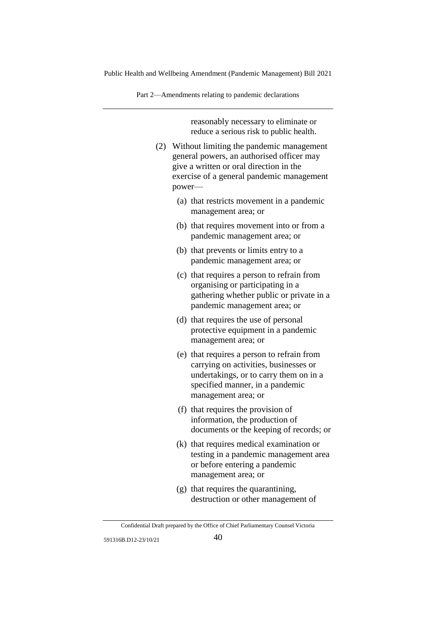Part 2—Amendments relating to pandemic declarations

reasonably necessary to eliminate or reduce a serious risk to public health. (2) Without limiting the pandemic management general powers, an authorised officer may give a written or oral direction in the exercise of a general pandemic management power— (a) that restricts movement in a pandemic management area; or (b) that requires movement into or from a pandemic management area; or (b) that prevents or limits entry to a pandemic management area; or (c) that requires a person to refrain from organising or participating in a gathering whether public or private in a pandemic management area; or (d) that requires the use of personal protective equipment in a pandemic management area; or (e) that requires a person to refrain from carrying on activities, businesses or undertakings, or to carry them on in a specified manner, in a pandemic management area; or (f) that requires the provision of information, the production of documents or the keeping of records; or (k) that requires medical examination or testing in a pandemic management area or before entering a pandemic management area; or (g) that requires the quarantining, destruction or other management of

591316B.D12-23/10/21 40

Confidential Draft prepared by the Office of Chief Parliamentary Counsel Victoria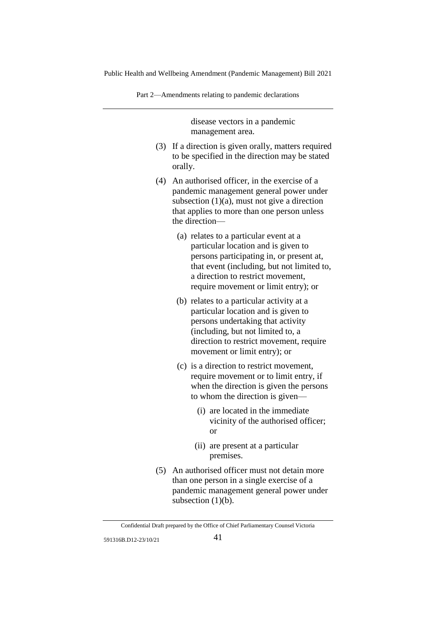Part 2—Amendments relating to pandemic declarations

disease vectors in a pandemic management area.

- (3) If a direction is given orally, matters required to be specified in the direction may be stated orally.
- (4) An authorised officer, in the exercise of a pandemic management general power under subsection  $(1)(a)$ , must not give a direction that applies to more than one person unless the direction—
	- (a) relates to a particular event at a particular location and is given to persons participating in, or present at, that event (including, but not limited to, a direction to restrict movement, require movement or limit entry); or
	- (b) relates to a particular activity at a particular location and is given to persons undertaking that activity (including, but not limited to, a direction to restrict movement, require movement or limit entry); or
	- (c) is a direction to restrict movement, require movement or to limit entry, if when the direction is given the persons to whom the direction is given—
		- (i) are located in the immediate vicinity of the authorised officer; or
		- (ii) are present at a particular premises.
- (5) An authorised officer must not detain more than one person in a single exercise of a pandemic management general power under subsection  $(1)(b)$ .

Confidential Draft prepared by the Office of Chief Parliamentary Counsel Victoria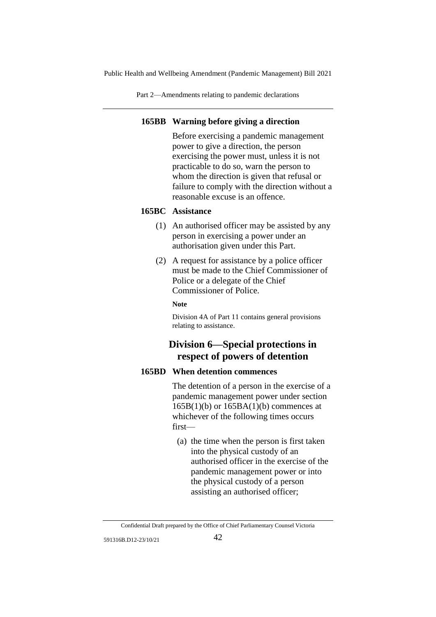Part 2—Amendments relating to pandemic declarations

## **165BB Warning before giving a direction**

Before exercising a pandemic management power to give a direction, the person exercising the power must, unless it is not practicable to do so, warn the person to whom the direction is given that refusal or failure to comply with the direction without a reasonable excuse is an offence.

### **165BC Assistance**

- (1) An authorised officer may be assisted by any person in exercising a power under an authorisation given under this Part.
- (2) A request for assistance by a police officer must be made to the Chief Commissioner of Police or a delegate of the Chief Commissioner of Police.

#### **Note**

Division 4A of Part 11 contains general provisions relating to assistance.

# **Division 6—Special protections in respect of powers of detention**

### **165BD When detention commences**

The detention of a person in the exercise of a pandemic management power under section  $165B(1)(b)$  or  $165BA(1)(b)$  commences at whichever of the following times occurs first—

(a) the time when the person is first taken into the physical custody of an authorised officer in the exercise of the pandemic management power or into the physical custody of a person assisting an authorised officer;

Confidential Draft prepared by the Office of Chief Parliamentary Counsel Victoria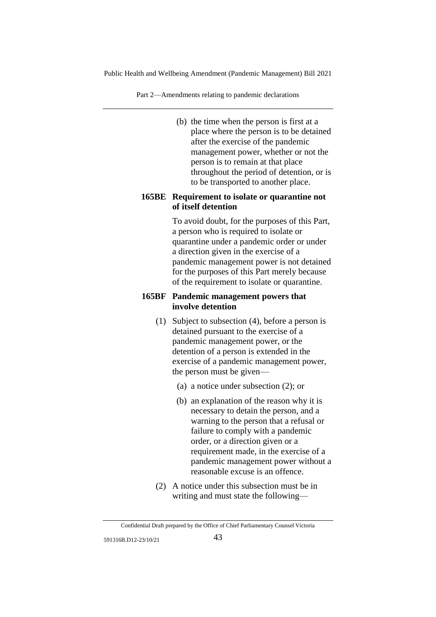Part 2—Amendments relating to pandemic declarations

(b) the time when the person is first at a place where the person is to be detained after the exercise of the pandemic management power, whether or not the person is to remain at that place throughout the period of detention, or is to be transported to another place.

## **165BE Requirement to isolate or quarantine not of itself detention**

To avoid doubt, for the purposes of this Part, a person who is required to isolate or quarantine under a pandemic order or under a direction given in the exercise of a pandemic management power is not detained for the purposes of this Part merely because of the requirement to isolate or quarantine.

## **165BF Pandemic management powers that involve detention**

- (1) Subject to subsection (4), before a person is detained pursuant to the exercise of a pandemic management power, or the detention of a person is extended in the exercise of a pandemic management power, the person must be given—
	- (a) a notice under subsection (2); or
	- (b) an explanation of the reason why it is necessary to detain the person, and a warning to the person that a refusal or failure to comply with a pandemic order, or a direction given or a requirement made, in the exercise of a pandemic management power without a reasonable excuse is an offence.
- (2) A notice under this subsection must be in writing and must state the following—

Confidential Draft prepared by the Office of Chief Parliamentary Counsel Victoria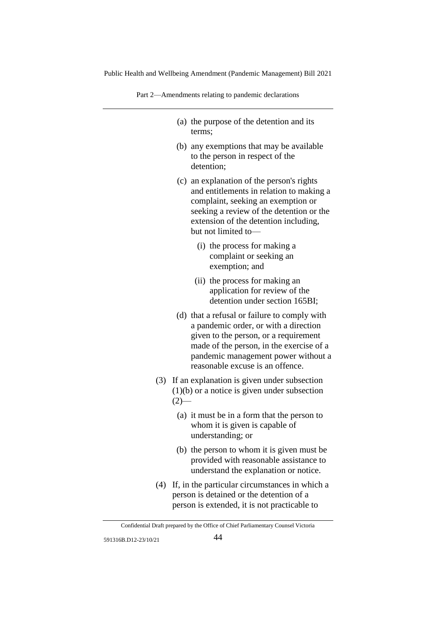Part 2—Amendments relating to pandemic declarations

- (a) the purpose of the detention and its terms;
- (b) any exemptions that may be available to the person in respect of the detention;
- (c) an explanation of the person's rights and entitlements in relation to making a complaint, seeking an exemption or seeking a review of the detention or the extension of the detention including, but not limited to—
	- (i) the process for making a complaint or seeking an exemption; and
	- (ii) the process for making an application for review of the detention under section 165BI;
- (d) that a refusal or failure to comply with a pandemic order, or with a direction given to the person, or a requirement made of the person, in the exercise of a pandemic management power without a reasonable excuse is an offence.
- (3) If an explanation is given under subsection (1)(b) or a notice is given under subsection  $(2)$ —
	- (a) it must be in a form that the person to whom it is given is capable of understanding; or
	- (b) the person to whom it is given must be provided with reasonable assistance to understand the explanation or notice.
- (4) If, in the particular circumstances in which a person is detained or the detention of a person is extended, it is not practicable to

Confidential Draft prepared by the Office of Chief Parliamentary Counsel Victoria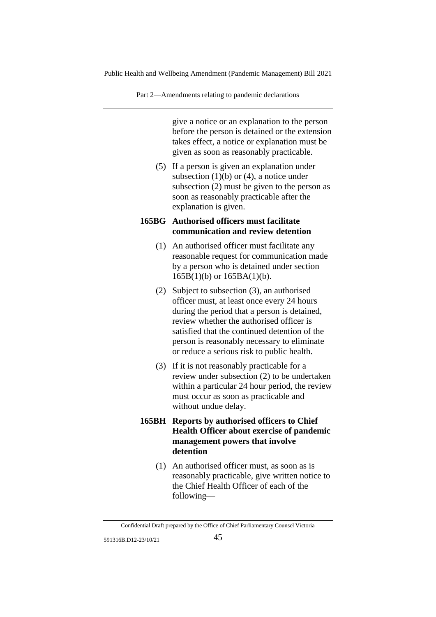Part 2—Amendments relating to pandemic declarations

give a notice or an explanation to the person before the person is detained or the extension takes effect, a notice or explanation must be given as soon as reasonably practicable.

(5) If a person is given an explanation under subsection  $(1)(b)$  or  $(4)$ , a notice under subsection (2) must be given to the person as soon as reasonably practicable after the explanation is given.

## **165BG Authorised officers must facilitate communication and review detention**

- (1) An authorised officer must facilitate any reasonable request for communication made by a person who is detained under section  $165B(1)(b)$  or  $165BA(1)(b)$ .
- (2) Subject to subsection (3), an authorised officer must, at least once every 24 hours during the period that a person is detained, review whether the authorised officer is satisfied that the continued detention of the person is reasonably necessary to eliminate or reduce a serious risk to public health.
- (3) If it is not reasonably practicable for a review under subsection (2) to be undertaken within a particular 24 hour period, the review must occur as soon as practicable and without undue delay.
- **165BH Reports by authorised officers to Chief Health Officer about exercise of pandemic management powers that involve detention**
	- (1) An authorised officer must, as soon as is reasonably practicable, give written notice to the Chief Health Officer of each of the following—

Confidential Draft prepared by the Office of Chief Parliamentary Counsel Victoria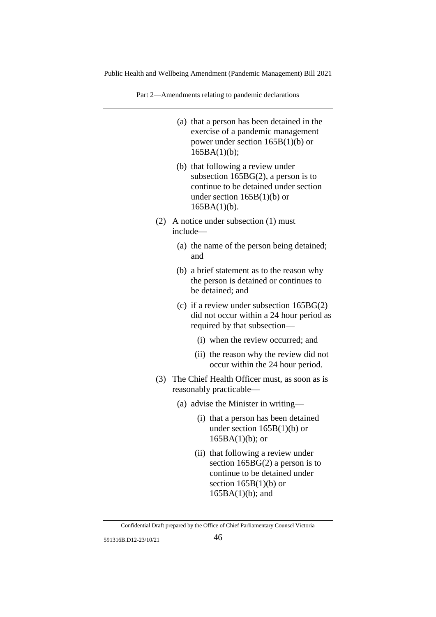Part 2—Amendments relating to pandemic declarations

- (a) that a person has been detained in the exercise of a pandemic management power under section 165B(1)(b) or  $165BA(1)(b);$
- (b) that following a review under subsection 165BG(2), a person is to continue to be detained under section under section  $165B(1)(b)$  or  $165BA(1)(b)$ .
- (2) A notice under subsection (1) must include—
	- (a) the name of the person being detained; and
	- (b) a brief statement as to the reason why the person is detained or continues to be detained; and
	- (c) if a review under subsection 165BG(2) did not occur within a 24 hour period as required by that subsection—
		- (i) when the review occurred; and
		- (ii) the reason why the review did not occur within the 24 hour period.
- (3) The Chief Health Officer must, as soon as is reasonably practicable—
	- (a) advise the Minister in writing—
		- (i) that a person has been detained under section 165B(1)(b) or  $165BA(1)(b)$ ; or
		- (ii) that following a review under section 165BG(2) a person is to continue to be detained under section  $165B(1)(b)$  or  $165BA(1)(b)$ ; and

Confidential Draft prepared by the Office of Chief Parliamentary Counsel Victoria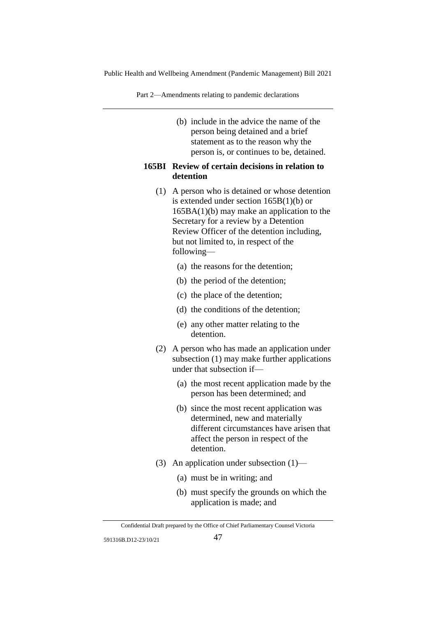Part 2—Amendments relating to pandemic declarations

(b) include in the advice the name of the person being detained and a brief statement as to the reason why the person is, or continues to be, detained.

## **165BI Review of certain decisions in relation to detention**

- (1) A person who is detained or whose detention is extended under section 165B(1)(b) or 165BA(1)(b) may make an application to the Secretary for a review by a Detention Review Officer of the detention including, but not limited to, in respect of the following—
	- (a) the reasons for the detention;
	- (b) the period of the detention;
	- (c) the place of the detention;
	- (d) the conditions of the detention;
	- (e) any other matter relating to the detention.
- (2) A person who has made an application under subsection (1) may make further applications under that subsection if—
	- (a) the most recent application made by the person has been determined; and
	- (b) since the most recent application was determined, new and materially different circumstances have arisen that affect the person in respect of the detention.
- (3) An application under subsection (1)—
	- (a) must be in writing; and
	- (b) must specify the grounds on which the application is made; and

Confidential Draft prepared by the Office of Chief Parliamentary Counsel Victoria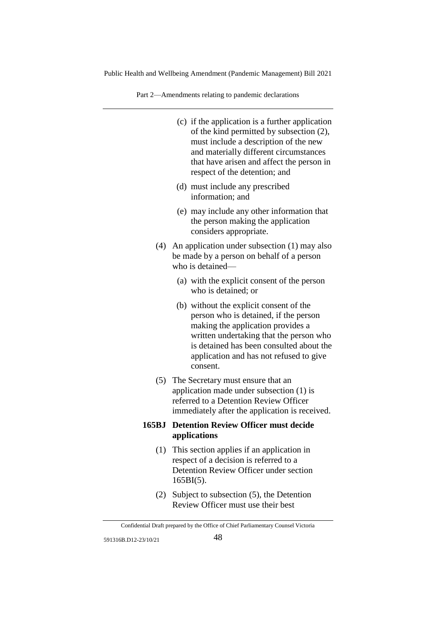Part 2—Amendments relating to pandemic declarations

- (c) if the application is a further application of the kind permitted by subsection (2), must include a description of the new and materially different circumstances that have arisen and affect the person in respect of the detention; and
- (d) must include any prescribed information; and
- (e) may include any other information that the person making the application considers appropriate.
- (4) An application under subsection (1) may also be made by a person on behalf of a person who is detained—
	- (a) with the explicit consent of the person who is detained; or
	- (b) without the explicit consent of the person who is detained, if the person making the application provides a written undertaking that the person who is detained has been consulted about the application and has not refused to give consent.
- (5) The Secretary must ensure that an application made under subsection (1) is referred to a Detention Review Officer immediately after the application is received.

## **165BJ Detention Review Officer must decide applications**

- (1) This section applies if an application in respect of a decision is referred to a Detention Review Officer under section 165BI(5).
- (2) Subject to subsection (5), the Detention Review Officer must use their best

Confidential Draft prepared by the Office of Chief Parliamentary Counsel Victoria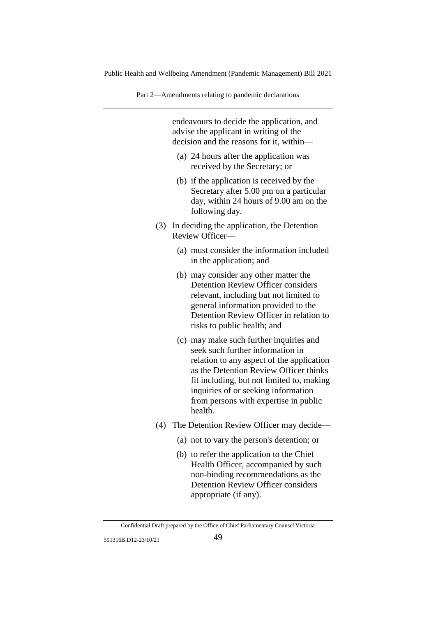Part 2—Amendments relating to pandemic declarations

endeavours to decide the application, and advise the applicant in writing of the decision and the reasons for it, within—

- (a) 24 hours after the application was received by the Secretary; or
- (b) if the application is received by the Secretary after 5.00 pm on a particular day, within 24 hours of 9.00 am on the following day.
- (3) In deciding the application, the Detention Review Officer—
	- (a) must consider the information included in the application; and
	- (b) may consider any other matter the Detention Review Officer considers relevant, including but not limited to general information provided to the Detention Review Officer in relation to risks to public health; and
	- (c) may make such further inquiries and seek such further information in relation to any aspect of the application as the Detention Review Officer thinks fit including, but not limited to, making inquiries of or seeking information from persons with expertise in public health.
- (4) The Detention Review Officer may decide—
	- (a) not to vary the person's detention; or
	- (b) to refer the application to the Chief Health Officer, accompanied by such non-binding recommendations as the Detention Review Officer considers appropriate (if any).

Confidential Draft prepared by the Office of Chief Parliamentary Counsel Victoria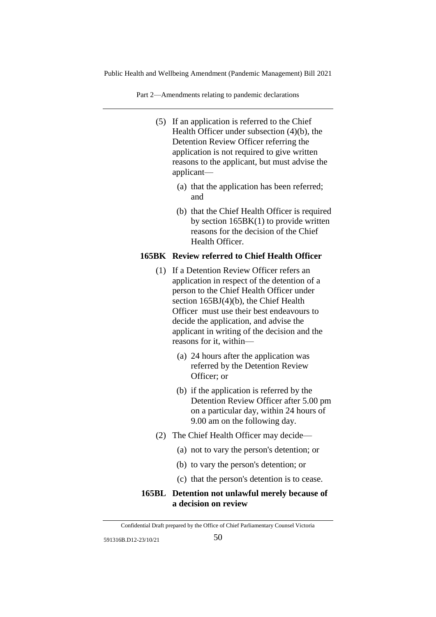Part 2—Amendments relating to pandemic declarations

- (5) If an application is referred to the Chief Health Officer under subsection (4)(b), the Detention Review Officer referring the application is not required to give written reasons to the applicant, but must advise the applicant—
	- (a) that the application has been referred; and
	- (b) that the Chief Health Officer is required by section  $165BK(1)$  to provide written reasons for the decision of the Chief Health Officer.

## **165BK Review referred to Chief Health Officer**

- (1) If a Detention Review Officer refers an application in respect of the detention of a person to the Chief Health Officer under section 165BJ(4)(b), the Chief Health Officer must use their best endeavours to decide the application, and advise the applicant in writing of the decision and the reasons for it, within—
	- (a) 24 hours after the application was referred by the Detention Review Officer; or
	- (b) if the application is referred by the Detention Review Officer after 5.00 pm on a particular day, within 24 hours of 9.00 am on the following day.
- (2) The Chief Health Officer may decide—
	- (a) not to vary the person's detention; or
	- (b) to vary the person's detention; or
	- (c) that the person's detention is to cease.

## **165BL Detention not unlawful merely because of a decision on review**

Confidential Draft prepared by the Office of Chief Parliamentary Counsel Victoria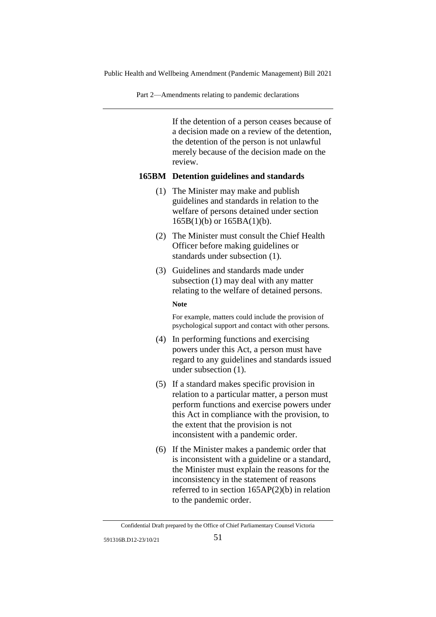Part 2—Amendments relating to pandemic declarations

If the detention of a person ceases because of a decision made on a review of the detention, the detention of the person is not unlawful merely because of the decision made on the review.

#### **165BM Detention guidelines and standards**

- (1) The Minister may make and publish guidelines and standards in relation to the welfare of persons detained under section 165B(1)(b) or 165BA(1)(b).
- (2) The Minister must consult the Chief Health Officer before making guidelines or standards under subsection (1).
- (3) Guidelines and standards made under subsection (1) may deal with any matter relating to the welfare of detained persons.

#### **Note**

For example, matters could include the provision of psychological support and contact with other persons.

- (4) In performing functions and exercising powers under this Act, a person must have regard to any guidelines and standards issued under subsection (1).
- (5) If a standard makes specific provision in relation to a particular matter, a person must perform functions and exercise powers under this Act in compliance with the provision, to the extent that the provision is not inconsistent with a pandemic order.
- (6) If the Minister makes a pandemic order that is inconsistent with a guideline or a standard, the Minister must explain the reasons for the inconsistency in the statement of reasons referred to in section 165AP(2)(b) in relation to the pandemic order.

Confidential Draft prepared by the Office of Chief Parliamentary Counsel Victoria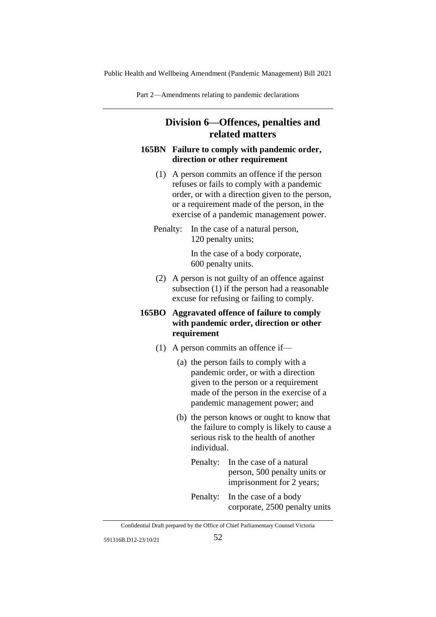Part 2—Amendments relating to pandemic declarations

## **Division 6—Offences, penalties and related matters**

## **165BN Failure to comply with pandemic order, direction or other requirement**

- (1) A person commits an offence if the person refuses or fails to comply with a pandemic order, or with a direction given to the person, or a requirement made of the person, in the exercise of a pandemic management power.
- Penalty: In the case of a natural person, 120 penalty units;

In the case of a body corporate, 600 penalty units.

(2) A person is not guilty of an offence against subsection (1) if the person had a reasonable excuse for refusing or failing to comply.

## **165BO Aggravated offence of failure to comply with pandemic order, direction or other requirement**

- (1) A person commits an offence if—
	- (a) the person fails to comply with a pandemic order, or with a direction given to the person or a requirement made of the person in the exercise of a pandemic management power; and
	- (b) the person knows or ought to know that the failure to comply is likely to cause a serious risk to the health of another individual.
		- Penalty: In the case of a natural person, 500 penalty units or imprisonment for 2 years;

Penalty: In the case of a body corporate, 2500 penalty units

Confidential Draft prepared by the Office of Chief Parliamentary Counsel Victoria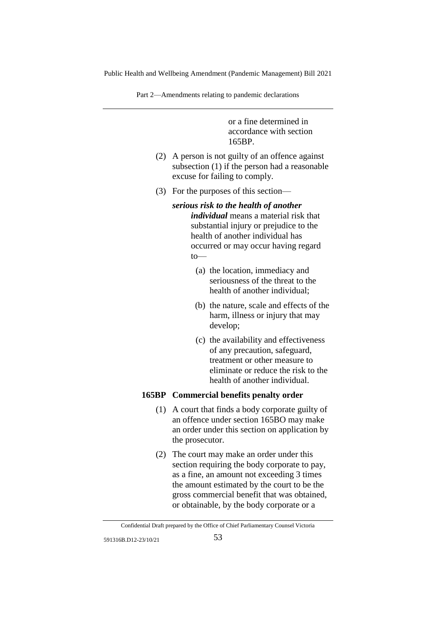Part 2—Amendments relating to pandemic declarations

or a fine determined in accordance with section 165BP.

- (2) A person is not guilty of an offence against subsection (1) if the person had a reasonable excuse for failing to comply.
- (3) For the purposes of this section
	- *serious risk to the health of another individual* means a material risk that substantial injury or prejudice to the health of another individual has occurred or may occur having regard to—
		- (a) the location, immediacy and seriousness of the threat to the health of another individual;
		- (b) the nature, scale and effects of the harm, illness or injury that may develop;
		- (c) the availability and effectiveness of any precaution, safeguard, treatment or other measure to eliminate or reduce the risk to the health of another individual.

#### **165BP Commercial benefits penalty order**

- (1) A court that finds a body corporate guilty of an offence under section 165BO may make an order under this section on application by the prosecutor.
- (2) The court may make an order under this section requiring the body corporate to pay, as a fine, an amount not exceeding 3 times the amount estimated by the court to be the gross commercial benefit that was obtained, or obtainable, by the body corporate or a

Confidential Draft prepared by the Office of Chief Parliamentary Counsel Victoria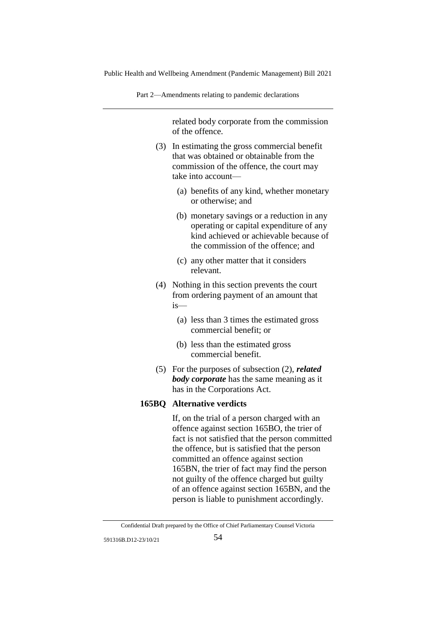Part 2—Amendments relating to pandemic declarations

related body corporate from the commission of the offence.

- (3) In estimating the gross commercial benefit that was obtained or obtainable from the commission of the offence, the court may take into account—
	- (a) benefits of any kind, whether monetary or otherwise; and
	- (b) monetary savings or a reduction in any operating or capital expenditure of any kind achieved or achievable because of the commission of the offence; and
	- (c) any other matter that it considers relevant.
- (4) Nothing in this section prevents the court from ordering payment of an amount that is—
	- (a) less than 3 times the estimated gross commercial benefit; or
	- (b) less than the estimated gross commercial benefit.
- (5) For the purposes of subsection (2), *related body corporate* has the same meaning as it has in the Corporations Act.

### **165BQ Alternative verdicts**

If, on the trial of a person charged with an offence against section 165BO, the trier of fact is not satisfied that the person committed the offence, but is satisfied that the person committed an offence against section 165BN, the trier of fact may find the person not guilty of the offence charged but guilty of an offence against section 165BN, and the person is liable to punishment accordingly.

Confidential Draft prepared by the Office of Chief Parliamentary Counsel Victoria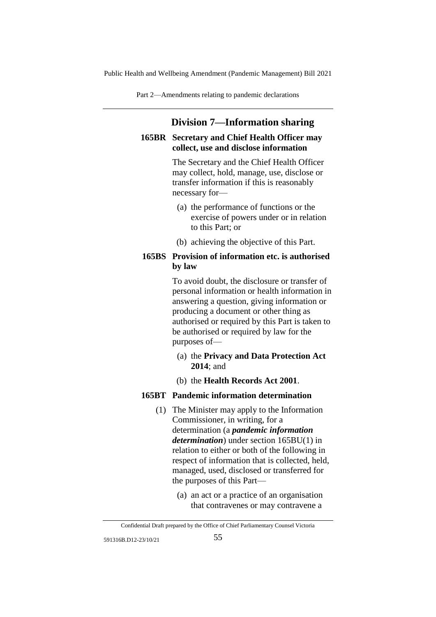Part 2—Amendments relating to pandemic declarations

## **Division 7—Information sharing**

### **165BR Secretary and Chief Health Officer may collect, use and disclose information**

The Secretary and the Chief Health Officer may collect, hold, manage, use, disclose or transfer information if this is reasonably necessary for—

- (a) the performance of functions or the exercise of powers under or in relation to this Part; or
- (b) achieving the objective of this Part.

## **165BS Provision of information etc. is authorised by law**

To avoid doubt, the disclosure or transfer of personal information or health information in answering a question, giving information or producing a document or other thing as authorised or required by this Part is taken to be authorised or required by law for the purposes of—

- (a) the **Privacy and Data Protection Act 2014**; and
- (b) the **Health Records Act 2001**.

#### **165BT Pandemic information determination**

- (1) The Minister may apply to the Information Commissioner, in writing, for a determination (a *pandemic information determination*) under section 165BU(1) in relation to either or both of the following in respect of information that is collected, held, managed, used, disclosed or transferred for the purposes of this Part—
	- (a) an act or a practice of an organisation that contravenes or may contravene a

Confidential Draft prepared by the Office of Chief Parliamentary Counsel Victoria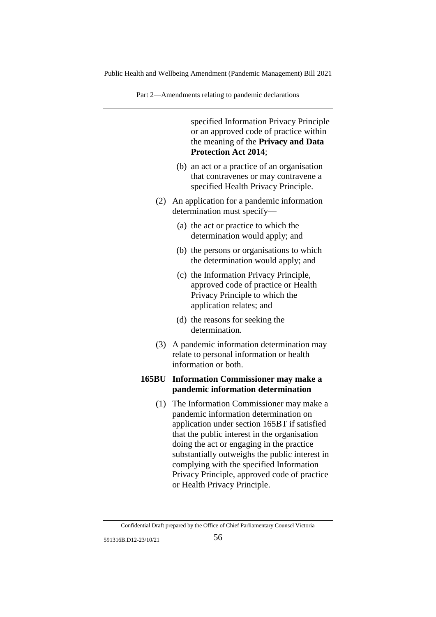Part 2—Amendments relating to pandemic declarations

specified Information Privacy Principle or an approved code of practice within the meaning of the **Privacy and Data Protection Act 2014**;

- (b) an act or a practice of an organisation that contravenes or may contravene a specified Health Privacy Principle.
- (2) An application for a pandemic information determination must specify—
	- (a) the act or practice to which the determination would apply; and
	- (b) the persons or organisations to which the determination would apply; and
	- (c) the Information Privacy Principle, approved code of practice or Health Privacy Principle to which the application relates; and
	- (d) the reasons for seeking the determination.
- (3) A pandemic information determination may relate to personal information or health information or both.

## **165BU Information Commissioner may make a pandemic information determination**

(1) The Information Commissioner may make a pandemic information determination on application under section 165BT if satisfied that the public interest in the organisation doing the act or engaging in the practice substantially outweighs the public interest in complying with the specified Information Privacy Principle, approved code of practice or Health Privacy Principle.

Confidential Draft prepared by the Office of Chief Parliamentary Counsel Victoria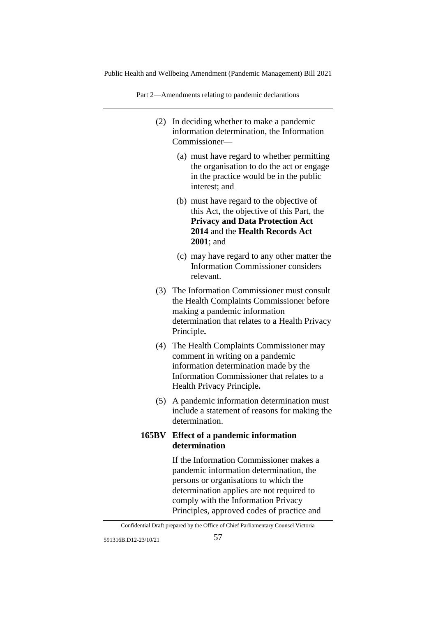Part 2—Amendments relating to pandemic declarations

- (2) In deciding whether to make a pandemic information determination, the Information Commissioner—
	- (a) must have regard to whether permitting the organisation to do the act or engage in the practice would be in the public interest; and
	- (b) must have regard to the objective of this Act, the objective of this Part, the **Privacy and Data Protection Act 2014** and the **Health Records Act 2001**; and
	- (c) may have regard to any other matter the Information Commissioner considers relevant.
- (3) The Information Commissioner must consult the Health Complaints Commissioner before making a pandemic information determination that relates to a Health Privacy Principle**.**
- (4) The Health Complaints Commissioner may comment in writing on a pandemic information determination made by the Information Commissioner that relates to a Health Privacy Principle**.**
- (5) A pandemic information determination must include a statement of reasons for making the determination.

## **165BV Effect of a pandemic information determination**

If the Information Commissioner makes a pandemic information determination, the persons or organisations to which the determination applies are not required to comply with the Information Privacy Principles, approved codes of practice and

591316B.D12-23/10/21 57

Confidential Draft prepared by the Office of Chief Parliamentary Counsel Victoria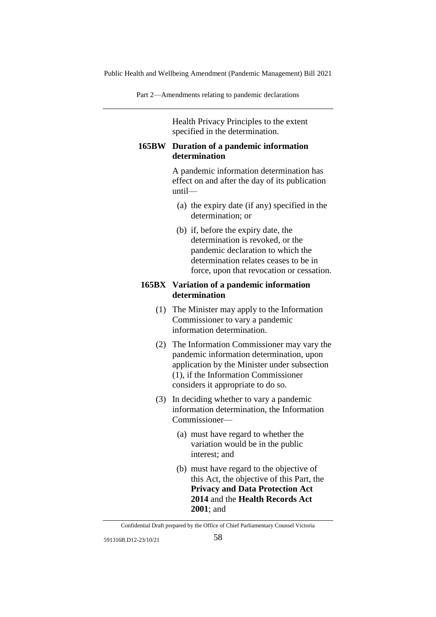Part 2—Amendments relating to pandemic declarations

Health Privacy Principles to the extent specified in the determination.

## **165BW Duration of a pandemic information determination**

A pandemic information determination has effect on and after the day of its publication until—

- (a) the expiry date (if any) specified in the determination; or
- (b) if, before the expiry date, the determination is revoked, or the pandemic declaration to which the determination relates ceases to be in force, upon that revocation or cessation.

## **165BX Variation of a pandemic information determination**

- (1) The Minister may apply to the Information Commissioner to vary a pandemic information determination.
- (2) The Information Commissioner may vary the pandemic information determination, upon application by the Minister under subsection (1), if the Information Commissioner considers it appropriate to do so.
- (3) In deciding whether to vary a pandemic information determination, the Information Commissioner—
	- (a) must have regard to whether the variation would be in the public interest; and
	- (b) must have regard to the objective of this Act, the objective of this Part, the **Privacy and Data Protection Act 2014** and the **Health Records Act 2001**; and

Confidential Draft prepared by the Office of Chief Parliamentary Counsel Victoria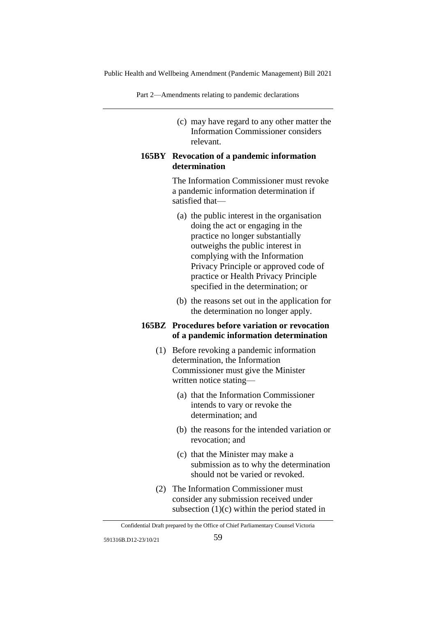Part 2—Amendments relating to pandemic declarations

(c) may have regard to any other matter the Information Commissioner considers relevant.

## **165BY Revocation of a pandemic information determination**

The Information Commissioner must revoke a pandemic information determination if satisfied that—

- (a) the public interest in the organisation doing the act or engaging in the practice no longer substantially outweighs the public interest in complying with the Information Privacy Principle or approved code of practice or Health Privacy Principle specified in the determination; or
- (b) the reasons set out in the application for the determination no longer apply.

## **165BZ Procedures before variation or revocation of a pandemic information determination**

- (1) Before revoking a pandemic information determination, the Information Commissioner must give the Minister written notice stating—
	- (a) that the Information Commissioner intends to vary or revoke the determination; and
	- (b) the reasons for the intended variation or revocation; and
	- (c) that the Minister may make a submission as to why the determination should not be varied or revoked.
- (2) The Information Commissioner must consider any submission received under subsection (1)(c) within the period stated in

Confidential Draft prepared by the Office of Chief Parliamentary Counsel Victoria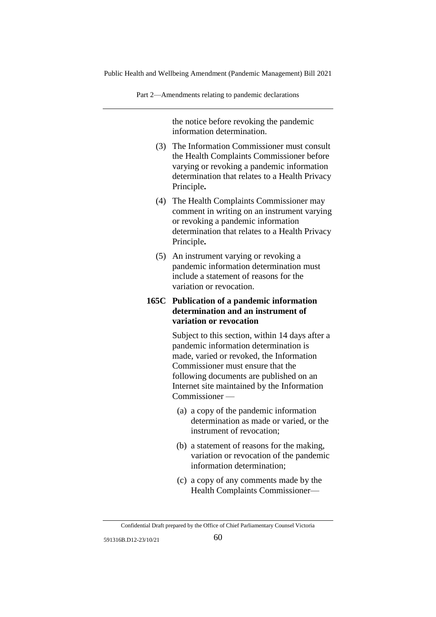Part 2—Amendments relating to pandemic declarations

the notice before revoking the pandemic information determination.

- (3) The Information Commissioner must consult the Health Complaints Commissioner before varying or revoking a pandemic information determination that relates to a Health Privacy Principle**.**
- (4) The Health Complaints Commissioner may comment in writing on an instrument varying or revoking a pandemic information determination that relates to a Health Privacy Principle**.**
- (5) An instrument varying or revoking a pandemic information determination must include a statement of reasons for the variation or revocation.

## **165C Publication of a pandemic information determination and an instrument of variation or revocation**

Subject to this section, within 14 days after a pandemic information determination is made, varied or revoked, the Information Commissioner must ensure that the following documents are published on an Internet site maintained by the Information Commissioner —

- (a) a copy of the pandemic information determination as made or varied, or the instrument of revocation;
- (b) a statement of reasons for the making, variation or revocation of the pandemic information determination;
- (c) a copy of any comments made by the Health Complaints Commissioner—

Confidential Draft prepared by the Office of Chief Parliamentary Counsel Victoria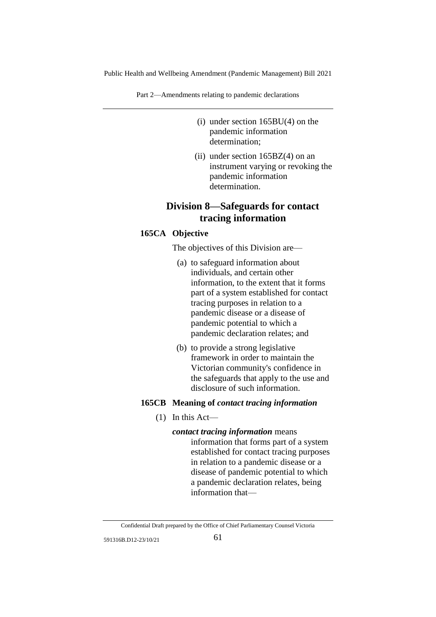Part 2—Amendments relating to pandemic declarations

- (i) under section 165BU(4) on the pandemic information determination;
- (ii) under section 165BZ(4) on an instrument varying or revoking the pandemic information determination.

# **Division 8—Safeguards for contact tracing information**

## **165CA Objective**

The objectives of this Division are—

- (a) to safeguard information about individuals, and certain other information, to the extent that it forms part of a system established for contact tracing purposes in relation to a pandemic disease or a disease of pandemic potential to which a pandemic declaration relates; and
- (b) to provide a strong legislative framework in order to maintain the Victorian community's confidence in the safeguards that apply to the use and disclosure of such information.

### **165CB Meaning of** *contact tracing information*

- (1) In this Act
	- *contact tracing information* means information that forms part of a system established for contact tracing purposes in relation to a pandemic disease or a disease of pandemic potential to which a pandemic declaration relates, being information that—

Confidential Draft prepared by the Office of Chief Parliamentary Counsel Victoria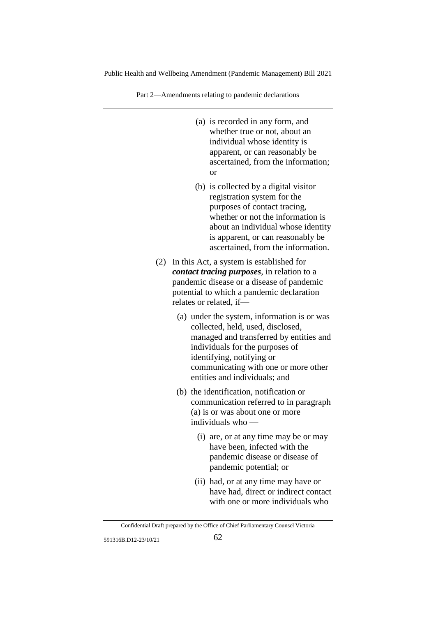Part 2—Amendments relating to pandemic declarations

(a) is recorded in any form, and whether true or not, about an individual whose identity is apparent, or can reasonably be ascertained, from the information; or (b) is collected by a digital visitor registration system for the purposes of contact tracing, whether or not the information is about an individual whose identity is apparent, or can reasonably be ascertained, from the information. (2) In this Act, a system is established for *contact tracing purposes*, in relation to a pandemic disease or a disease of pandemic potential to which a pandemic declaration relates or related, if— (a) under the system, information is or was collected, held, used, disclosed, managed and transferred by entities and individuals for the purposes of identifying, notifying or communicating with one or more other entities and individuals; and (b) the identification, notification or communication referred to in paragraph (a) is or was about one or more individuals who — (i) are, or at any time may be or may have been, infected with the pandemic disease or disease of pandemic potential; or (ii) had, or at any time may have or have had, direct or indirect contact with one or more individuals who

Confidential Draft prepared by the Office of Chief Parliamentary Counsel Victoria

591316B.D12-23/10/21 62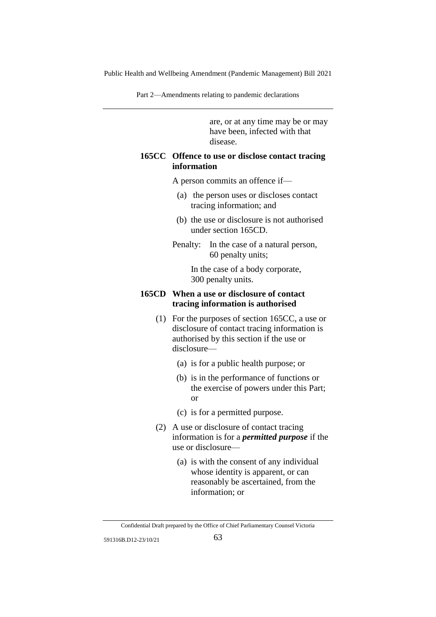Part 2—Amendments relating to pandemic declarations

are, or at any time may be or may have been, infected with that disease.

## **165CC Offence to use or disclose contact tracing information**

A person commits an offence if—

- (a) the person uses or discloses contact tracing information; and
- (b) the use or disclosure is not authorised under section 165CD.
- Penalty: In the case of a natural person, 60 penalty units;

In the case of a body corporate, 300 penalty units.

## **165CD When a use or disclosure of contact tracing information is authorised**

- (1) For the purposes of section 165CC, a use or disclosure of contact tracing information is authorised by this section if the use or disclosure—
	- (a) is for a public health purpose; or
	- (b) is in the performance of functions or the exercise of powers under this Part; or
	- (c) is for a permitted purpose.
- (2) A use or disclosure of contact tracing information is for a *permitted purpose* if the use or disclosure—
	- (a) is with the consent of any individual whose identity is apparent, or can reasonably be ascertained, from the information; or

Confidential Draft prepared by the Office of Chief Parliamentary Counsel Victoria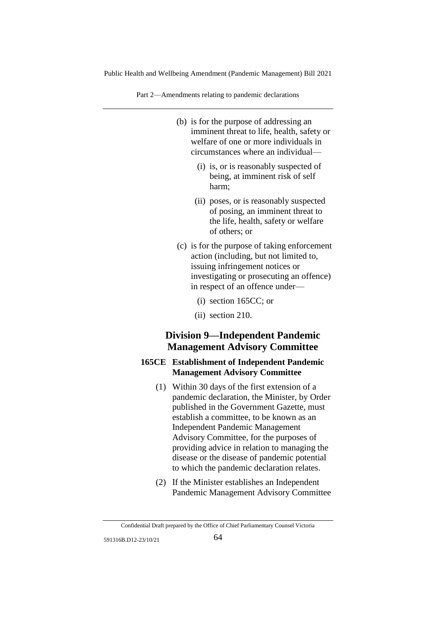Part 2—Amendments relating to pandemic declarations

- (b) is for the purpose of addressing an imminent threat to life, health, safety or welfare of one or more individuals in circumstances where an individual—
	- (i) is, or is reasonably suspected of being, at imminent risk of self harm;
	- (ii) poses, or is reasonably suspected of posing, an imminent threat to the life, health, safety or welfare of others; or
- (c) is for the purpose of taking enforcement action (including, but not limited to, issuing infringement notices or investigating or prosecuting an offence) in respect of an offence under—
	- (i) section 165CC; or
	- (ii) section 210.

# **Division 9—Independent Pandemic Management Advisory Committee**

## **165CE Establishment of Independent Pandemic Management Advisory Committee**

- (1) Within 30 days of the first extension of a pandemic declaration, the Minister, by Order published in the Government Gazette, must establish a committee, to be known as an Independent Pandemic Management Advisory Committee, for the purposes of providing advice in relation to managing the disease or the disease of pandemic potential to which the pandemic declaration relates.
- (2) If the Minister establishes an Independent Pandemic Management Advisory Committee

Confidential Draft prepared by the Office of Chief Parliamentary Counsel Victoria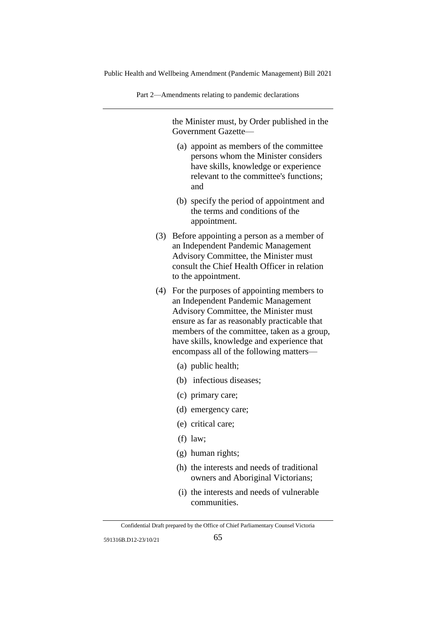Part 2—Amendments relating to pandemic declarations

the Minister must, by Order published in the Government Gazette—

- (a) appoint as members of the committee persons whom the Minister considers have skills, knowledge or experience relevant to the committee's functions; and
- (b) specify the period of appointment and the terms and conditions of the appointment.
- (3) Before appointing a person as a member of an Independent Pandemic Management Advisory Committee, the Minister must consult the Chief Health Officer in relation to the appointment.
- (4) For the purposes of appointing members to an Independent Pandemic Management Advisory Committee, the Minister must ensure as far as reasonably practicable that members of the committee, taken as a group, have skills, knowledge and experience that encompass all of the following matters—
	- (a) public health;
	- (b) infectious diseases;
	- (c) primary care;
	- (d) emergency care;
	- (e) critical care;
	- (f) law;
	- (g) human rights;
	- (h) the interests and needs of traditional owners and Aboriginal Victorians;
	- (i) the interests and needs of vulnerable communities.

Confidential Draft prepared by the Office of Chief Parliamentary Counsel Victoria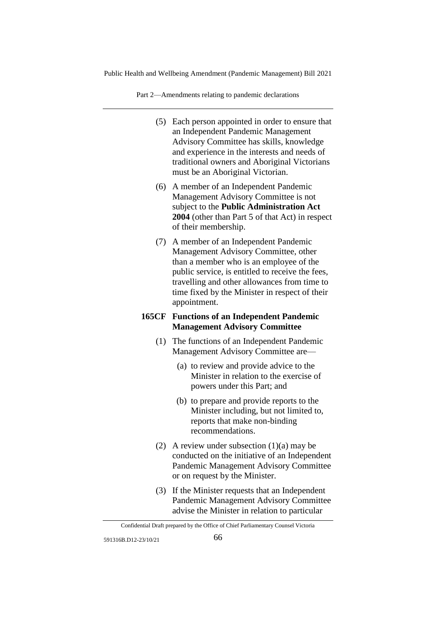Part 2—Amendments relating to pandemic declarations

- (5) Each person appointed in order to ensure that an Independent Pandemic Management Advisory Committee has skills, knowledge and experience in the interests and needs of traditional owners and Aboriginal Victorians must be an Aboriginal Victorian.
- (6) A member of an Independent Pandemic Management Advisory Committee is not subject to the **Public Administration Act 2004** (other than Part 5 of that Act) in respect of their membership.
- (7) A member of an Independent Pandemic Management Advisory Committee, other than a member who is an employee of the public service, is entitled to receive the fees, travelling and other allowances from time to time fixed by the Minister in respect of their appointment.

## **165CF Functions of an Independent Pandemic Management Advisory Committee**

- (1) The functions of an Independent Pandemic Management Advisory Committee are—
	- (a) to review and provide advice to the Minister in relation to the exercise of powers under this Part; and
	- (b) to prepare and provide reports to the Minister including, but not limited to, reports that make non-binding recommendations.
- (2) A review under subsection  $(1)(a)$  may be conducted on the initiative of an Independent Pandemic Management Advisory Committee or on request by the Minister.
- (3) If the Minister requests that an Independent Pandemic Management Advisory Committee advise the Minister in relation to particular

Confidential Draft prepared by the Office of Chief Parliamentary Counsel Victoria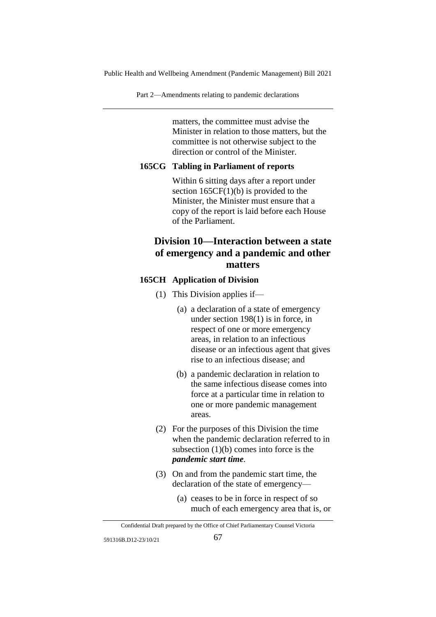Part 2—Amendments relating to pandemic declarations

matters, the committee must advise the Minister in relation to those matters, but the committee is not otherwise subject to the direction or control of the Minister.

## **165CG Tabling in Parliament of reports**

Within 6 sitting days after a report under section  $165CF(1)(b)$  is provided to the Minister, the Minister must ensure that a copy of the report is laid before each House of the Parliament.

# **Division 10—Interaction between a state of emergency and a pandemic and other matters**

#### **165CH Application of Division**

- (1) This Division applies if—
	- (a) a declaration of a state of emergency under section 198(1) is in force, in respect of one or more emergency areas, in relation to an infectious disease or an infectious agent that gives rise to an infectious disease; and
	- (b) a pandemic declaration in relation to the same infectious disease comes into force at a particular time in relation to one or more pandemic management areas.
- (2) For the purposes of this Division the time when the pandemic declaration referred to in subsection  $(1)(b)$  comes into force is the *pandemic start time.*
- (3) On and from the pandemic start time, the declaration of the state of emergency—
	- (a) ceases to be in force in respect of so much of each emergency area that is, or

Confidential Draft prepared by the Office of Chief Parliamentary Counsel Victoria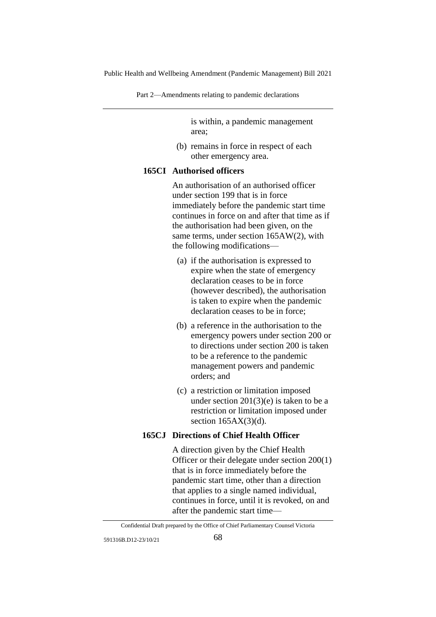Part 2—Amendments relating to pandemic declarations

is within, a pandemic management area;

(b) remains in force in respect of each other emergency area.

## **165CI Authorised officers**

An authorisation of an authorised officer under section 199 that is in force immediately before the pandemic start time continues in force on and after that time as if the authorisation had been given, on the same terms, under section 165AW(2), with the following modifications—

- (a) if the authorisation is expressed to expire when the state of emergency declaration ceases to be in force (however described), the authorisation is taken to expire when the pandemic declaration ceases to be in force;
- (b) a reference in the authorisation to the emergency powers under section 200 or to directions under section 200 is taken to be a reference to the pandemic management powers and pandemic orders; and
- (c) a restriction or limitation imposed under section 201(3)(e) is taken to be a restriction or limitation imposed under section  $165AX(3)(d)$ .

### **165CJ Directions of Chief Health Officer**

A direction given by the Chief Health Officer or their delegate under section 200(1) that is in force immediately before the pandemic start time, other than a direction that applies to a single named individual, continues in force, until it is revoked, on and after the pandemic start time—

Confidential Draft prepared by the Office of Chief Parliamentary Counsel Victoria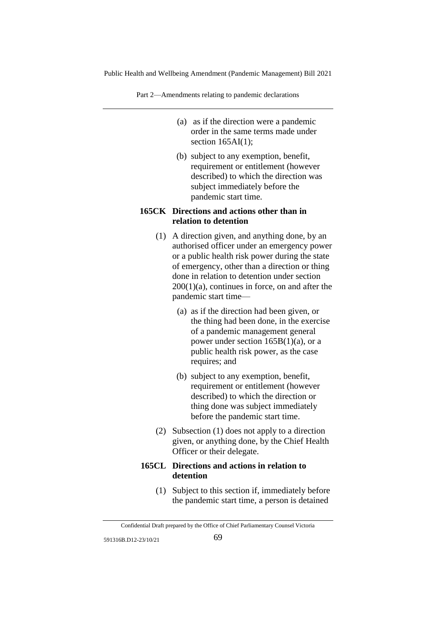Part 2—Amendments relating to pandemic declarations

- (a) as if the direction were a pandemic order in the same terms made under section 165AI(1):
- (b) subject to any exemption, benefit, requirement or entitlement (however described) to which the direction was subject immediately before the pandemic start time.

## **165CK Directions and actions other than in relation to detention**

- (1) A direction given, and anything done, by an authorised officer under an emergency power or a public health risk power during the state of emergency, other than a direction or thing done in relation to detention under section  $200(1)(a)$ , continues in force, on and after the pandemic start time—
	- (a) as if the direction had been given, or the thing had been done, in the exercise of a pandemic management general power under section 165B(1)(a), or a public health risk power, as the case requires; and
	- (b) subject to any exemption, benefit, requirement or entitlement (however described) to which the direction or thing done was subject immediately before the pandemic start time.
- (2) Subsection (1) does not apply to a direction given, or anything done, by the Chief Health Officer or their delegate.

## **165CL Directions and actions in relation to detention**

(1) Subject to this section if, immediately before the pandemic start time, a person is detained

Confidential Draft prepared by the Office of Chief Parliamentary Counsel Victoria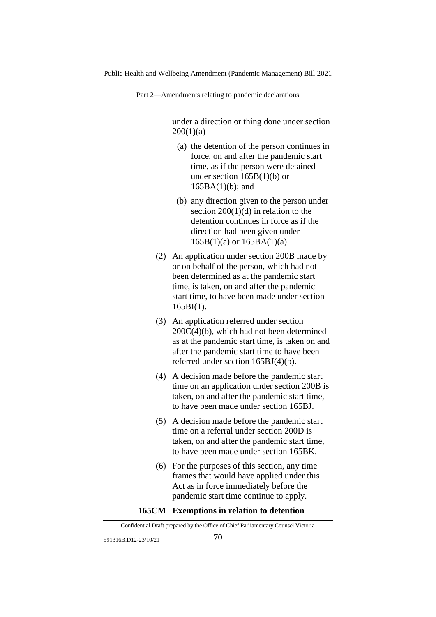Part 2—Amendments relating to pandemic declarations

under a direction or thing done under section  $200(1)(a)$ —

- (a) the detention of the person continues in force, on and after the pandemic start time, as if the person were detained under section 165B(1)(b) or  $165BA(1)(b)$ ; and
- (b) any direction given to the person under section  $200(1)(d)$  in relation to the detention continues in force as if the direction had been given under  $165B(1)(a)$  or  $165BA(1)(a)$ .
- (2) An application under section 200B made by or on behalf of the person, which had not been determined as at the pandemic start time, is taken, on and after the pandemic start time, to have been made under section  $165BI(1)$ .
- (3) An application referred under section 200C(4)(b), which had not been determined as at the pandemic start time, is taken on and after the pandemic start time to have been referred under section 165BJ(4)(b).
- (4) A decision made before the pandemic start time on an application under section 200B is taken, on and after the pandemic start time, to have been made under section 165BJ.
- (5) A decision made before the pandemic start time on a referral under section 200D is taken, on and after the pandemic start time, to have been made under section 165BK.
- (6) For the purposes of this section, any time frames that would have applied under this Act as in force immediately before the pandemic start time continue to apply.

## **165CM Exemptions in relation to detention**

Confidential Draft prepared by the Office of Chief Parliamentary Counsel Victoria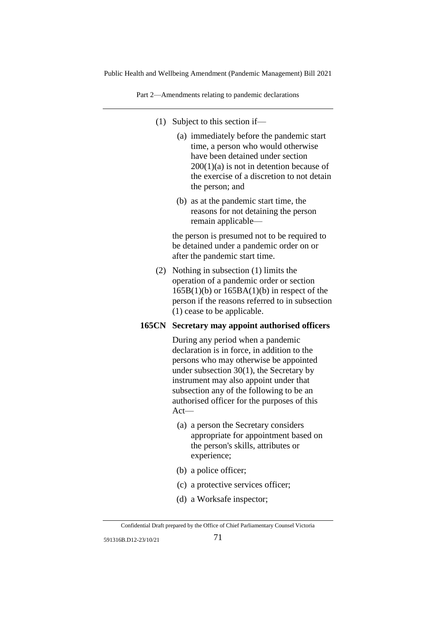Part 2—Amendments relating to pandemic declarations

- (1) Subject to this section if—
	- (a) immediately before the pandemic start time, a person who would otherwise have been detained under section 200(1)(a) is not in detention because of the exercise of a discretion to not detain the person; and
	- (b) as at the pandemic start time, the reasons for not detaining the person remain applicable—

the person is presumed not to be required to be detained under a pandemic order on or after the pandemic start time.

(2) Nothing in subsection (1) limits the operation of a pandemic order or section  $165B(1)(b)$  or  $165BA(1)(b)$  in respect of the person if the reasons referred to in subsection (1) cease to be applicable.

### **165CN Secretary may appoint authorised officers**

During any period when a pandemic declaration is in force, in addition to the persons who may otherwise be appointed under subsection 30(1), the Secretary by instrument may also appoint under that subsection any of the following to be an authorised officer for the purposes of this Act—

- (a) a person the Secretary considers appropriate for appointment based on the person's skills, attributes or experience;
- (b) a police officer;
- (c) a protective services officer;
- (d) a Worksafe inspector;

Confidential Draft prepared by the Office of Chief Parliamentary Counsel Victoria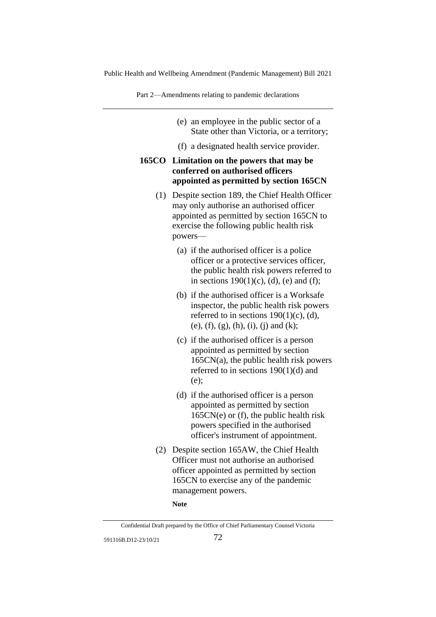Part 2—Amendments relating to pandemic declarations

- (e) an employee in the public sector of a State other than Victoria, or a territory;
- (f) a designated health service provider.

## **165CO Limitation on the powers that may be conferred on authorised officers appointed as permitted by section 165CN**

- (1) Despite section 189, the Chief Health Officer may only authorise an authorised officer appointed as permitted by section 165CN to exercise the following public health risk powers—
	- (a) if the authorised officer is a police officer or a protective services officer, the public health risk powers referred to in sections  $190(1)(c)$ , (d), (e) and (f);
	- (b) if the authorised officer is a Worksafe inspector, the public health risk powers referred to in sections  $190(1)(c)$ , (d), (e), (f), (g), (h), (i), (j) and (k);
	- (c) if the authorised officer is a person appointed as permitted by section  $165CN(a)$ , the public health risk powers referred to in sections  $190(1)(d)$  and (e);
	- (d) if the authorised officer is a person appointed as permitted by section 165CN(e) or (f), the public health risk powers specified in the authorised officer's instrument of appointment.
- (2) Despite section 165AW, the Chief Health Officer must not authorise an authorised officer appointed as permitted by section 165CN to exercise any of the pandemic management powers.

#### **Note**

Confidential Draft prepared by the Office of Chief Parliamentary Counsel Victoria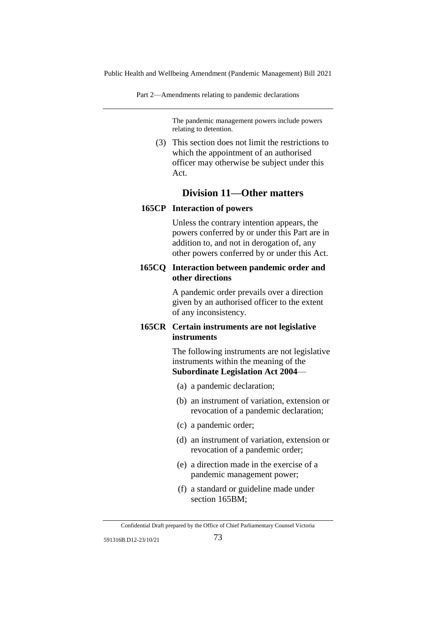Part 2—Amendments relating to pandemic declarations

The pandemic management powers include powers relating to detention.

(3) This section does not limit the restrictions to which the appointment of an authorised officer may otherwise be subject under this Act.

## **Division 11—Other matters**

#### **165CP Interaction of powers**

Unless the contrary intention appears, the powers conferred by or under this Part are in addition to, and not in derogation of, any other powers conferred by or under this Act.

## **165CQ Interaction between pandemic order and other directions**

A pandemic order prevails over a direction given by an authorised officer to the extent of any inconsistency.

## **165CR Certain instruments are not legislative instruments**

The following instruments are not legislative instruments within the meaning of the **Subordinate Legislation Act 2004**—

- (a) a pandemic declaration;
- (b) an instrument of variation, extension or revocation of a pandemic declaration;
- (c) a pandemic order;
- (d) an instrument of variation, extension or revocation of a pandemic order;
- (e) a direction made in the exercise of a pandemic management power;
- (f) a standard or guideline made under section 165BM;

Confidential Draft prepared by the Office of Chief Parliamentary Counsel Victoria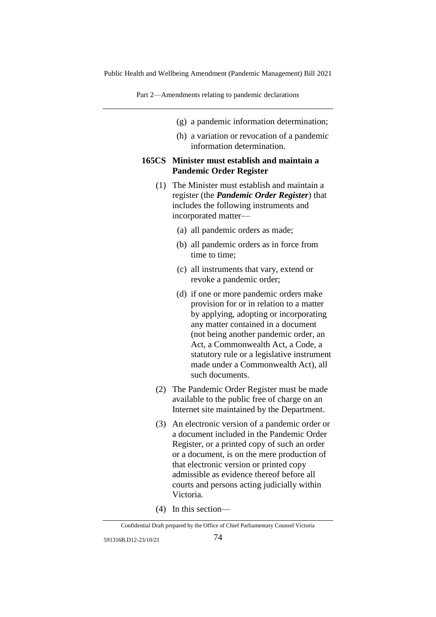Part 2—Amendments relating to pandemic declarations

- (g) a pandemic information determination;
- (h) a variation or revocation of a pandemic information determination.

#### **165CS Minister must establish and maintain a Pandemic Order Register**

- (1) The Minister must establish and maintain a register (the *Pandemic Order Register*) that includes the following instruments and incorporated matter—
	- (a) all pandemic orders as made;
	- (b) all pandemic orders as in force from time to time;
	- (c) all instruments that vary, extend or revoke a pandemic order;
	- (d) if one or more pandemic orders make provision for or in relation to a matter by applying, adopting or incorporating any matter contained in a document (not being another pandemic order, an Act, a Commonwealth Act, a Code, a statutory rule or a legislative instrument made under a Commonwealth Act), all such documents.
- (2) The Pandemic Order Register must be made available to the public free of charge on an Internet site maintained by the Department.
- (3) An electronic version of a pandemic order or a document included in the Pandemic Order Register, or a printed copy of such an order or a document, is on the mere production of that electronic version or printed copy admissible as evidence thereof before all courts and persons acting judicially within Victoria.
- (4) In this section—

Confidential Draft prepared by the Office of Chief Parliamentary Counsel Victoria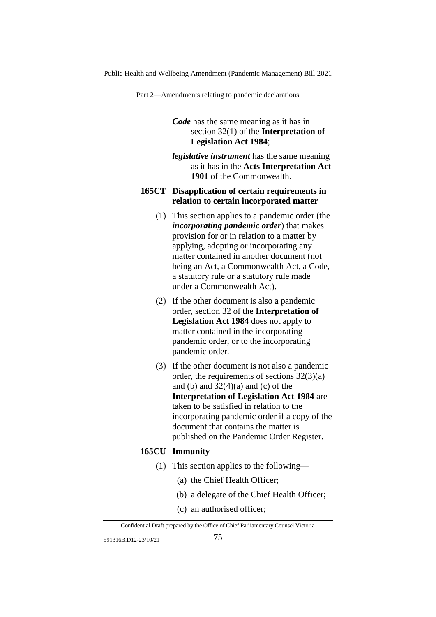Part 2—Amendments relating to pandemic declarations

*Code* has the same meaning as it has in section 32(1) of the **Interpretation of Legislation Act 1984**;

*legislative instrument* has the same meaning as it has in the **Acts Interpretation Act 1901** of the Commonwealth.

### **165CT Disapplication of certain requirements in relation to certain incorporated matter**

- (1) This section applies to a pandemic order (the *incorporating pandemic order*) that makes provision for or in relation to a matter by applying, adopting or incorporating any matter contained in another document (not being an Act, a Commonwealth Act, a Code, a statutory rule or a statutory rule made under a Commonwealth Act).
- (2) If the other document is also a pandemic order, section 32 of the **Interpretation of Legislation Act 1984** does not apply to matter contained in the incorporating pandemic order, or to the incorporating pandemic order.
- (3) If the other document is not also a pandemic order, the requirements of sections 32(3)(a) and (b) and  $32(4)(a)$  and (c) of the **Interpretation of Legislation Act 1984** are taken to be satisfied in relation to the incorporating pandemic order if a copy of the document that contains the matter is published on the Pandemic Order Register.

#### **165CU Immunity**

- (1) This section applies to the following—
	- (a) the Chief Health Officer;
	- (b) a delegate of the Chief Health Officer;
	- (c) an authorised officer;

Confidential Draft prepared by the Office of Chief Parliamentary Counsel Victoria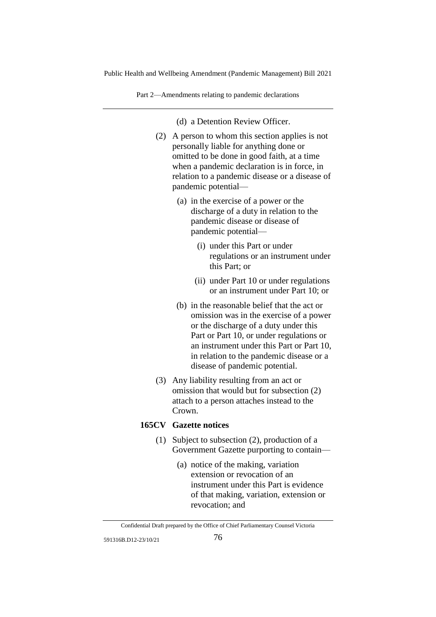Part 2—Amendments relating to pandemic declarations

(d) a Detention Review Officer.

- (2) A person to whom this section applies is not personally liable for anything done or omitted to be done in good faith, at a time when a pandemic declaration is in force, in relation to a pandemic disease or a disease of pandemic potential—
	- (a) in the exercise of a power or the discharge of a duty in relation to the pandemic disease or disease of pandemic potential—
		- (i) under this Part or under regulations or an instrument under this Part; or
		- (ii) under Part 10 or under regulations or an instrument under Part 10; or
	- (b) in the reasonable belief that the act or omission was in the exercise of a power or the discharge of a duty under this Part or Part 10, or under regulations or an instrument under this Part or Part 10, in relation to the pandemic disease or a disease of pandemic potential.
- (3) Any liability resulting from an act or omission that would but for subsection (2) attach to a person attaches instead to the Crown.

#### **165CV Gazette notices**

- (1) Subject to subsection (2), production of a Government Gazette purporting to contain—
	- (a) notice of the making, variation extension or revocation of an instrument under this Part is evidence of that making, variation, extension or revocation; and

Confidential Draft prepared by the Office of Chief Parliamentary Counsel Victoria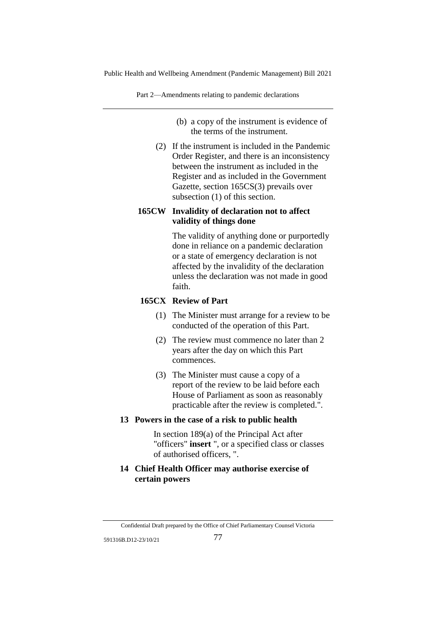Part 2—Amendments relating to pandemic declarations

- (b) a copy of the instrument is evidence of the terms of the instrument.
- (2) If the instrument is included in the Pandemic Order Register, and there is an inconsistency between the instrument as included in the Register and as included in the Government Gazette, section 165CS(3) prevails over subsection (1) of this section.

## **165CW Invalidity of declaration not to affect validity of things done**

The validity of anything done or purportedly done in reliance on a pandemic declaration or a state of emergency declaration is not affected by the invalidity of the declaration unless the declaration was not made in good faith.

## **165CX Review of Part**

- (1) The Minister must arrange for a review to be conducted of the operation of this Part.
- (2) The review must commence no later than 2 years after the day on which this Part commences.
- (3) The Minister must cause a copy of a report of the review to be laid before each House of Parliament as soon as reasonably practicable after the review is completed.".

#### **13 Powers in the case of a risk to public health**

In section  $189(a)$  of the Principal Act after "officers" **insert** ", or a specified class or classes of authorised officers, ".

## **14 Chief Health Officer may authorise exercise of certain powers**

Confidential Draft prepared by the Office of Chief Parliamentary Counsel Victoria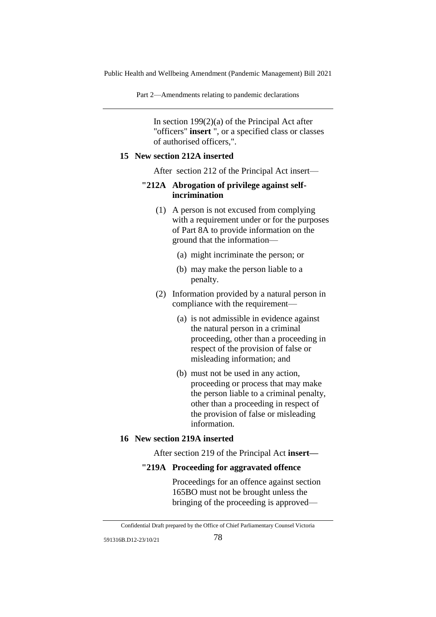Part 2—Amendments relating to pandemic declarations

In section  $199(2)(a)$  of the Principal Act after "officers" **insert** ", or a specified class or classes of authorised officers,".

## **15 New section 212A inserted**

After section 212 of the Principal Act insert—

## **"212A Abrogation of privilege against selfincrimination**

- (1) A person is not excused from complying with a requirement under or for the purposes of Part 8A to provide information on the ground that the information—
	- (a) might incriminate the person; or
	- (b) may make the person liable to a penalty.
- (2) Information provided by a natural person in compliance with the requirement—
	- (a) is not admissible in evidence against the natural person in a criminal proceeding, other than a proceeding in respect of the provision of false or misleading information; and
	- (b) must not be used in any action, proceeding or process that may make the person liable to a criminal penalty, other than a proceeding in respect of the provision of false or misleading information.

#### **16 New section 219A inserted**

After section 219 of the Principal Act **insert—**

#### **"219A Proceeding for aggravated offence**

Proceedings for an offence against section 165BO must not be brought unless the bringing of the proceeding is approved—

Confidential Draft prepared by the Office of Chief Parliamentary Counsel Victoria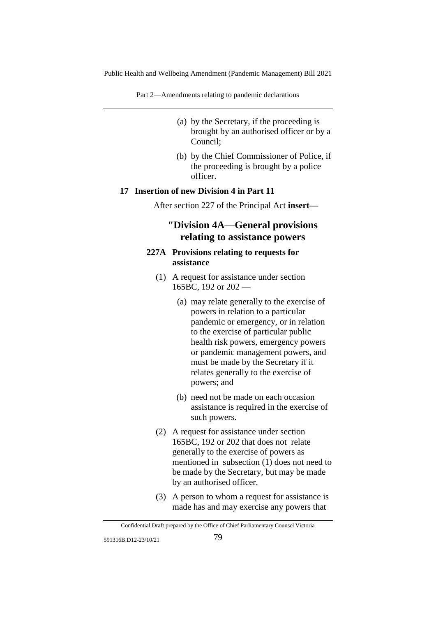Part 2—Amendments relating to pandemic declarations

- (a) by the Secretary, if the proceeding is brought by an authorised officer or by a Council;
- (b) by the Chief Commissioner of Police, if the proceeding is brought by a police officer.

## **17 Insertion of new Division 4 in Part 11**

After section 227 of the Principal Act **insert—**

## **"Division 4A—General provisions relating to assistance powers**

## **227A Provisions relating to requests for assistance**

- (1) A request for assistance under section 165BC, 192 or 202 —
	- (a) may relate generally to the exercise of powers in relation to a particular pandemic or emergency, or in relation to the exercise of particular public health risk powers, emergency powers or pandemic management powers, and must be made by the Secretary if it relates generally to the exercise of powers; and
	- (b) need not be made on each occasion assistance is required in the exercise of such powers.
- (2) A request for assistance under section 165BC, 192 or 202 that does not relate generally to the exercise of powers as mentioned in subsection (1) does not need to be made by the Secretary, but may be made by an authorised officer.
- (3) A person to whom a request for assistance is made has and may exercise any powers that

Confidential Draft prepared by the Office of Chief Parliamentary Counsel Victoria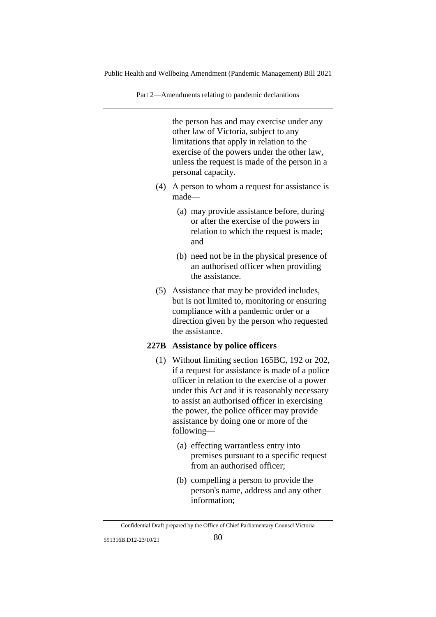Part 2—Amendments relating to pandemic declarations

the person has and may exercise under any other law of Victoria, subject to any limitations that apply in relation to the exercise of the powers under the other law, unless the request is made of the person in a personal capacity.

- (4) A person to whom a request for assistance is made—
	- (a) may provide assistance before, during or after the exercise of the powers in relation to which the request is made; and
	- (b) need not be in the physical presence of an authorised officer when providing the assistance.
- (5) Assistance that may be provided includes, but is not limited to, monitoring or ensuring compliance with a pandemic order or a direction given by the person who requested the assistance.

#### **227B Assistance by police officers**

- (1) Without limiting section 165BC, 192 or 202, if a request for assistance is made of a police officer in relation to the exercise of a power under this Act and it is reasonably necessary to assist an authorised officer in exercising the power, the police officer may provide assistance by doing one or more of the following—
	- (a) effecting warrantless entry into premises pursuant to a specific request from an authorised officer;
	- (b) compelling a person to provide the person's name, address and any other information;

Confidential Draft prepared by the Office of Chief Parliamentary Counsel Victoria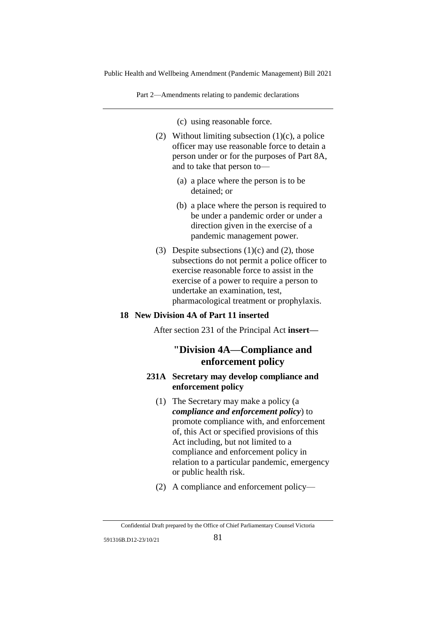Part 2—Amendments relating to pandemic declarations

- (c) using reasonable force.
- (2) Without limiting subsection  $(1)(c)$ , a police officer may use reasonable force to detain a person under or for the purposes of Part 8A, and to take that person to—
	- (a) a place where the person is to be detained; or
	- (b) a place where the person is required to be under a pandemic order or under a direction given in the exercise of a pandemic management power.
- (3) Despite subsections  $(1)(c)$  and  $(2)$ , those subsections do not permit a police officer to exercise reasonable force to assist in the exercise of a power to require a person to undertake an examination, test, pharmacological treatment or prophylaxis.

#### **18 New Division 4A of Part 11 inserted**

After section 231 of the Principal Act **insert—**

## **"Division 4A—Compliance and enforcement policy**

## **231A Secretary may develop compliance and enforcement policy**

- (1) The Secretary may make a policy (a *compliance and enforcement policy*) to promote compliance with, and enforcement of, this Act or specified provisions of this Act including, but not limited to a compliance and enforcement policy in relation to a particular pandemic, emergency or public health risk.
- (2) A compliance and enforcement policy—

Confidential Draft prepared by the Office of Chief Parliamentary Counsel Victoria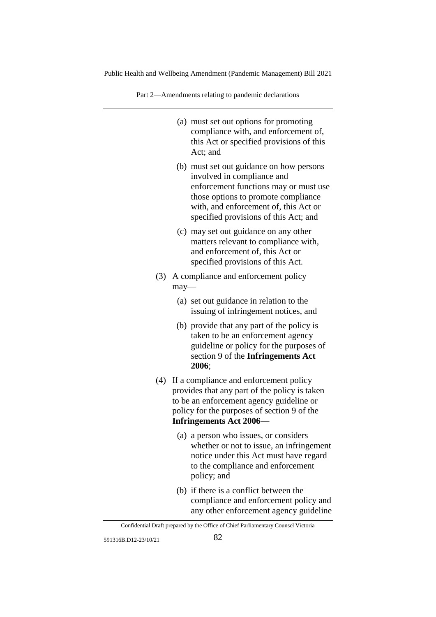|                                                       | (a) must set out options for promoting<br>compliance with, and enforcement of,<br>this Act or specified provisions of this<br>Act; and                                                                                                   |
|-------------------------------------------------------|------------------------------------------------------------------------------------------------------------------------------------------------------------------------------------------------------------------------------------------|
|                                                       | (b) must set out guidance on how persons<br>involved in compliance and<br>enforcement functions may or must use<br>those options to promote compliance<br>with, and enforcement of, this Act or<br>specified provisions of this Act; and |
|                                                       | (c) may set out guidance on any other<br>matters relevant to compliance with,<br>and enforcement of, this Act or<br>specified provisions of this Act.                                                                                    |
| A compliance and enforcement policy<br>(3)<br>$may$ — |                                                                                                                                                                                                                                          |
|                                                       | (a) set out guidance in relation to the<br>issuing of infringement notices, and                                                                                                                                                          |
|                                                       | (b) provide that any part of the policy is<br>taken to be an enforcement agency<br>guideline or policy for the purposes of<br>section 9 of the Infringements Act<br>2006;                                                                |
|                                                       | (4) If a compliance and enforcement policy<br>provides that any part of the policy is taken<br>to be an enforcement agency guideline or<br>policy for the purposes of section 9 of the<br>Infringements Act 2006-                        |
|                                                       | (a) a person who issues, or considers<br>whether or not to issue, an infringement<br>notice under this Act must have regard<br>to the compliance and enforcement<br>policy; and                                                          |
|                                                       | (b) if there is a conflict between the<br>compliance and enforcement policy and<br>any other enforcement agency guideline                                                                                                                |

Part 2—Amendments relating to pandemic declarations

Confidential Draft prepared by the Office of Chief Parliamentary Counsel Victoria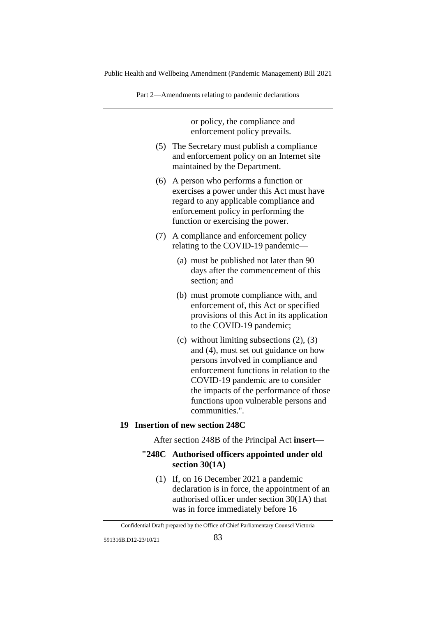Part 2—Amendments relating to pandemic declarations

or policy, the compliance and enforcement policy prevails. (5) The Secretary must publish a compliance and enforcement policy on an Internet site maintained by the Department. (6) A person who performs a function or exercises a power under this Act must have regard to any applicable compliance and enforcement policy in performing the function or exercising the power. (7) A compliance and enforcement policy relating to the COVID-19 pandemic— (a) must be published not later than 90 days after the commencement of this section; and (b) must promote compliance with, and enforcement of, this Act or specified provisions of this Act in its application to the COVID-19 pandemic; (c) without limiting subsections  $(2)$ ,  $(3)$ and (4), must set out guidance on how persons involved in compliance and enforcement functions in relation to the COVID-19 pandemic are to consider the impacts of the performance of those functions upon vulnerable persons and communities.". **19 Insertion of new section 248C** After section 248B of the Principal Act **insert— "248C Authorised officers appointed under old** 

# **section 30(1A)**

(1) If, on 16 December 2021 a pandemic declaration is in force, the appointment of an authorised officer under section 30(1A) that was in force immediately before 16

Confidential Draft prepared by the Office of Chief Parliamentary Counsel Victoria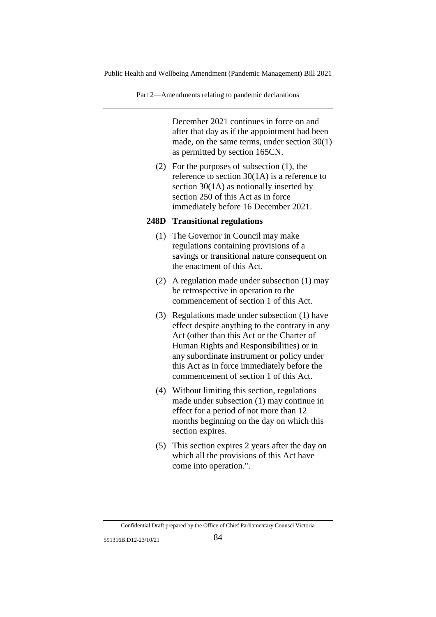Part 2—Amendments relating to pandemic declarations

December 2021 continues in force on and after that day as if the appointment had been made, on the same terms, under section 30(1) as permitted by section 165CN.

(2) For the purposes of subsection (1), the reference to section 30(1A) is a reference to section 30(1A) as notionally inserted by section 250 of this Act as in force immediately before 16 December 2021.

#### **248D Transitional regulations**

- (1) The Governor in Council may make regulations containing provisions of a savings or transitional nature consequent on the enactment of this Act.
- (2) A regulation made under subsection (1) may be retrospective in operation to the commencement of section 1 of this Act.
- (3) Regulations made under subsection (1) have effect despite anything to the contrary in any Act (other than this Act or the Charter of Human Rights and Responsibilities) or in any subordinate instrument or policy under this Act as in force immediately before the commencement of section 1 of this Act.
- (4) Without limiting this section, regulations made under subsection (1) may continue in effect for a period of not more than 12 months beginning on the day on which this section expires.
- (5) This section expires 2 years after the day on which all the provisions of this Act have come into operation.".

Confidential Draft prepared by the Office of Chief Parliamentary Counsel Victoria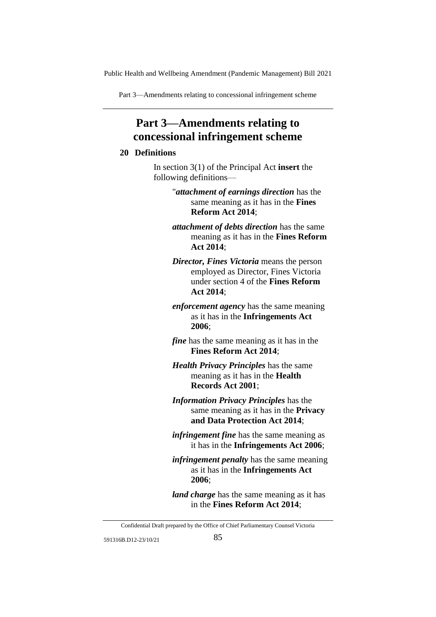Part 3—Amendments relating to concessional infringement scheme

## **Part 3—Amendments relating to concessional infringement scheme**

#### **20 Definitions**

In section 3(1) of the Principal Act **insert** the following definitions—

> "*attachment of earnings direction* has the same meaning as it has in the **Fines Reform Act 2014**;

*attachment of debts direction* has the same meaning as it has in the **Fines Reform Act 2014**;

*Director, Fines Victoria* means the person employed as Director, Fines Victoria under section 4 of the **Fines Reform Act 2014**;

*enforcement agency* has the same meaning as it has in the **Infringements Act 2006**;

*fine* has the same meaning as it has in the **Fines Reform Act 2014**;

*Health Privacy Principles* has the same meaning as it has in the **Health Records Act 2001**;

*Information Privacy Principles* has the same meaning as it has in the **Privacy and Data Protection Act 2014**;

*infringement fine* has the same meaning as it has in the **Infringements Act 2006**;

*infringement penalty* has the same meaning as it has in the **Infringements Act 2006**;

*land charge* has the same meaning as it has in the **Fines Reform Act 2014**;

Confidential Draft prepared by the Office of Chief Parliamentary Counsel Victoria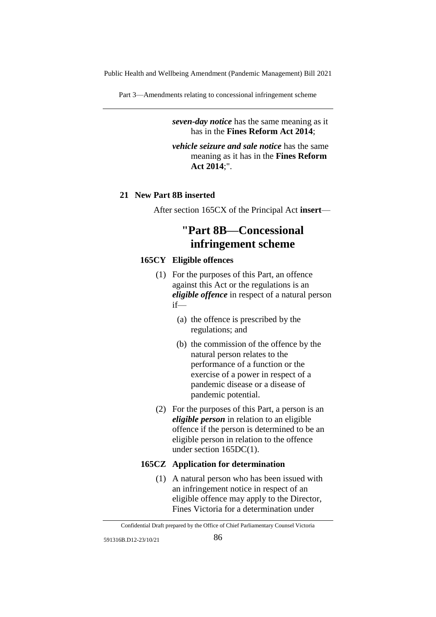Part 3—Amendments relating to concessional infringement scheme

*seven-day notice* has the same meaning as it has in the **Fines Reform Act 2014**;

*vehicle seizure and sale notice* has the same meaning as it has in the **Fines Reform Act 2014**;".

#### **21 New Part 8B inserted**

After section 165CX of the Principal Act **insert**—

## **"Part 8B—Concessional infringement scheme**

## **165CY Eligible offences**

- (1) For the purposes of this Part, an offence against this Act or the regulations is an *eligible offence* in respect of a natural person if—
	- (a) the offence is prescribed by the regulations; and
	- (b) the commission of the offence by the natural person relates to the performance of a function or the exercise of a power in respect of a pandemic disease or a disease of pandemic potential.
- (2) For the purposes of this Part, a person is an *eligible person* in relation to an eligible offence if the person is determined to be an eligible person in relation to the offence under section 165DC(1).

#### **165CZ Application for determination**

(1) A natural person who has been issued with an infringement notice in respect of an eligible offence may apply to the Director, Fines Victoria for a determination under

Confidential Draft prepared by the Office of Chief Parliamentary Counsel Victoria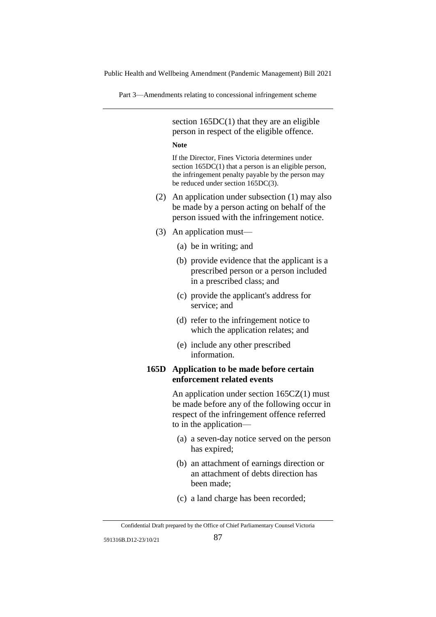Part 3—Amendments relating to concessional infringement scheme

section  $165DC(1)$  that they are an eligible person in respect of the eligible offence.

#### **Note**

If the Director, Fines Victoria determines under section 165DC(1) that a person is an eligible person, the infringement penalty payable by the person may be reduced under section 165DC(3).

- (2) An application under subsection (1) may also be made by a person acting on behalf of the person issued with the infringement notice.
- (3) An application must—
	- (a) be in writing; and
	- (b) provide evidence that the applicant is a prescribed person or a person included in a prescribed class; and
	- (c) provide the applicant's address for service; and
	- (d) refer to the infringement notice to which the application relates; and
	- (e) include any other prescribed information.

## **165D Application to be made before certain enforcement related events**

An application under section 165CZ(1) must be made before any of the following occur in respect of the infringement offence referred to in the application—

- (a) a seven-day notice served on the person has expired;
- (b) an attachment of earnings direction or an attachment of debts direction has been made;
- (c) a land charge has been recorded;

Confidential Draft prepared by the Office of Chief Parliamentary Counsel Victoria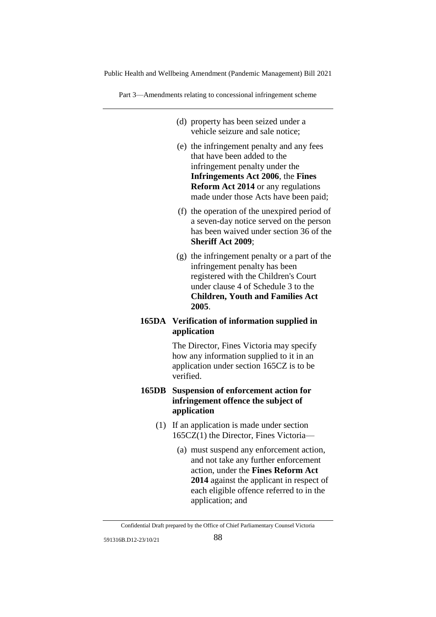Part 3—Amendments relating to concessional infringement scheme

- (d) property has been seized under a vehicle seizure and sale notice;
- (e) the infringement penalty and any fees that have been added to the infringement penalty under the **Infringements Act 2006**, the **Fines Reform Act 2014** or any regulations made under those Acts have been paid;
- (f) the operation of the unexpired period of a seven-day notice served on the person has been waived under section 36 of the **Sheriff Act 2009**;
- (g) the infringement penalty or a part of the infringement penalty has been registered with the Children's Court under clause 4 of Schedule 3 to the **Children, Youth and Families Act 2005**.

## **165DA Verification of information supplied in application**

The Director, Fines Victoria may specify how any information supplied to it in an application under section 165CZ is to be verified.

## **165DB Suspension of enforcement action for infringement offence the subject of application**

- (1) If an application is made under section 165CZ(1) the Director, Fines Victoria—
	- (a) must suspend any enforcement action, and not take any further enforcement action, under the **Fines Reform Act 2014** against the applicant in respect of each eligible offence referred to in the application; and

Confidential Draft prepared by the Office of Chief Parliamentary Counsel Victoria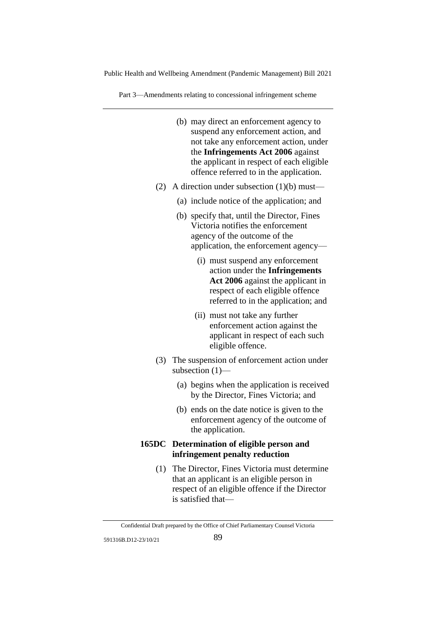Part 3—Amendments relating to concessional infringement scheme

- (b) may direct an enforcement agency to suspend any enforcement action, and not take any enforcement action, under the **Infringements Act 2006** against the applicant in respect of each eligible offence referred to in the application.
- (2) A direction under subsection (1)(b) must—
	- (a) include notice of the application; and
	- (b) specify that, until the Director, Fines Victoria notifies the enforcement agency of the outcome of the application, the enforcement agency—
		- (i) must suspend any enforcement action under the **Infringements Act 2006** against the applicant in respect of each eligible offence referred to in the application; and
		- (ii) must not take any further enforcement action against the applicant in respect of each such eligible offence.
- (3) The suspension of enforcement action under subsection (1)—
	- (a) begins when the application is received by the Director, Fines Victoria; and
	- (b) ends on the date notice is given to the enforcement agency of the outcome of the application.

### **165DC Determination of eligible person and infringement penalty reduction**

(1) The Director, Fines Victoria must determine that an applicant is an eligible person in respect of an eligible offence if the Director is satisfied that—

Confidential Draft prepared by the Office of Chief Parliamentary Counsel Victoria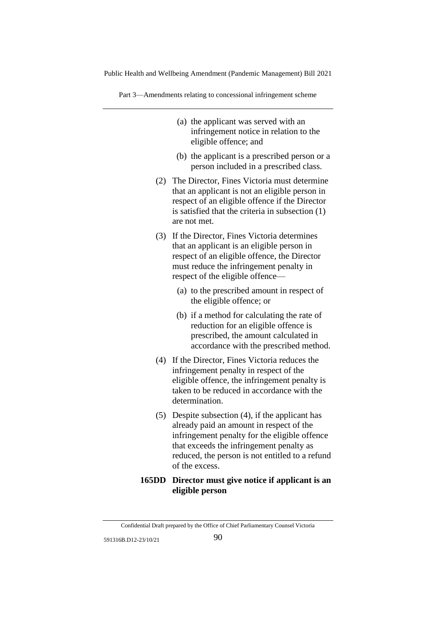Part 3—Amendments relating to concessional infringement scheme

- (a) the applicant was served with an infringement notice in relation to the eligible offence; and
- (b) the applicant is a prescribed person or a person included in a prescribed class.
- (2) The Director, Fines Victoria must determine that an applicant is not an eligible person in respect of an eligible offence if the Director is satisfied that the criteria in subsection (1) are not met.
- (3) If the Director, Fines Victoria determines that an applicant is an eligible person in respect of an eligible offence, the Director must reduce the infringement penalty in respect of the eligible offence—
	- (a) to the prescribed amount in respect of the eligible offence; or
	- (b) if a method for calculating the rate of reduction for an eligible offence is prescribed, the amount calculated in accordance with the prescribed method.
- (4) If the Director, Fines Victoria reduces the infringement penalty in respect of the eligible offence, the infringement penalty is taken to be reduced in accordance with the determination.
- (5) Despite subsection (4), if the applicant has already paid an amount in respect of the infringement penalty for the eligible offence that exceeds the infringement penalty as reduced, the person is not entitled to a refund of the excess.
- **165DD Director must give notice if applicant is an eligible person**

Confidential Draft prepared by the Office of Chief Parliamentary Counsel Victoria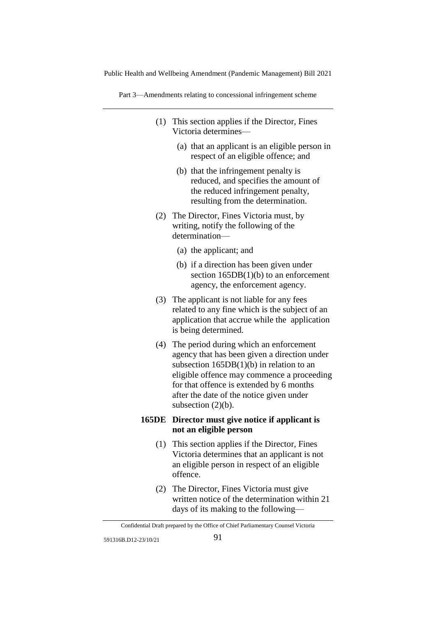Part 3—Amendments relating to concessional infringement scheme

- (1) This section applies if the Director, Fines Victoria determines—
	- (a) that an applicant is an eligible person in respect of an eligible offence; and
	- (b) that the infringement penalty is reduced, and specifies the amount of the reduced infringement penalty, resulting from the determination.
- (2) The Director, Fines Victoria must, by writing, notify the following of the determination—
	- (a) the applicant; and
	- (b) if a direction has been given under section  $165DB(1)(b)$  to an enforcement agency, the enforcement agency.
- (3) The applicant is not liable for any fees related to any fine which is the subject of an application that accrue while the application is being determined.
- (4) The period during which an enforcement agency that has been given a direction under subsection  $165DB(1)(b)$  in relation to an eligible offence may commence a proceeding for that offence is extended by 6 months after the date of the notice given under subsection  $(2)(b)$ .

#### **165DE Director must give notice if applicant is not an eligible person**

- (1) This section applies if the Director, Fines Victoria determines that an applicant is not an eligible person in respect of an eligible offence.
- (2) The Director, Fines Victoria must give written notice of the determination within 21 days of its making to the following—

Confidential Draft prepared by the Office of Chief Parliamentary Counsel Victoria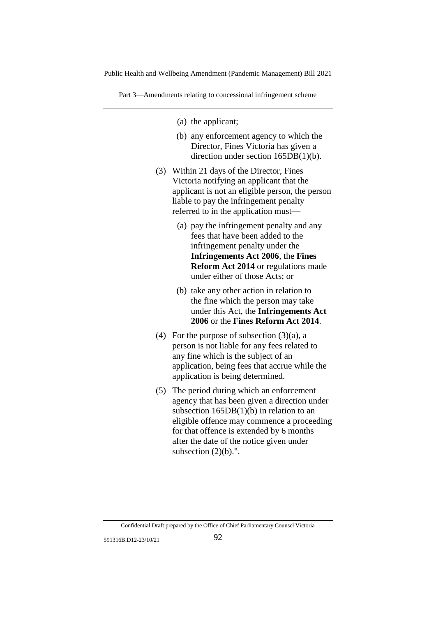Part 3—Amendments relating to concessional infringement scheme

- (a) the applicant;
- (b) any enforcement agency to which the Director, Fines Victoria has given a direction under section 165DB(1)(b).
- (3) Within 21 days of the Director, Fines Victoria notifying an applicant that the applicant is not an eligible person, the person liable to pay the infringement penalty referred to in the application must—
	- (a) pay the infringement penalty and any fees that have been added to the infringement penalty under the **Infringements Act 2006**, the **Fines Reform Act 2014** or regulations made under either of those Acts; or
	- (b) take any other action in relation to the fine which the person may take under this Act, the **Infringements Act 2006** or the **Fines Reform Act 2014**.
- (4) For the purpose of subsection  $(3)(a)$ , a person is not liable for any fees related to any fine which is the subject of an application, being fees that accrue while the application is being determined.
- (5) The period during which an enforcement agency that has been given a direction under subsection  $165DB(1)(b)$  in relation to an eligible offence may commence a proceeding for that offence is extended by 6 months after the date of the notice given under subsection  $(2)(b)$ .".

Confidential Draft prepared by the Office of Chief Parliamentary Counsel Victoria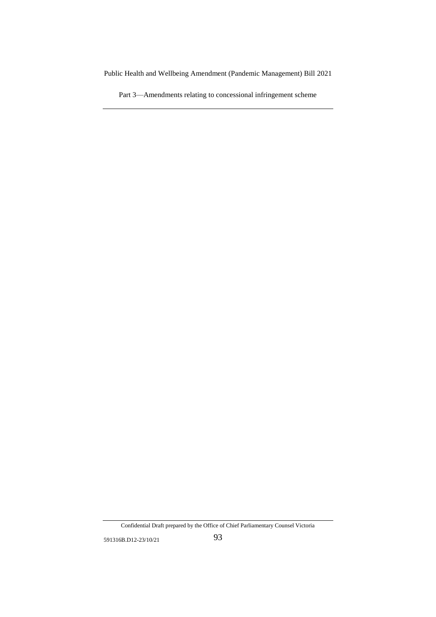Part 3—Amendments relating to concessional infringement scheme

Confidential Draft prepared by the Office of Chief Parliamentary Counsel Victoria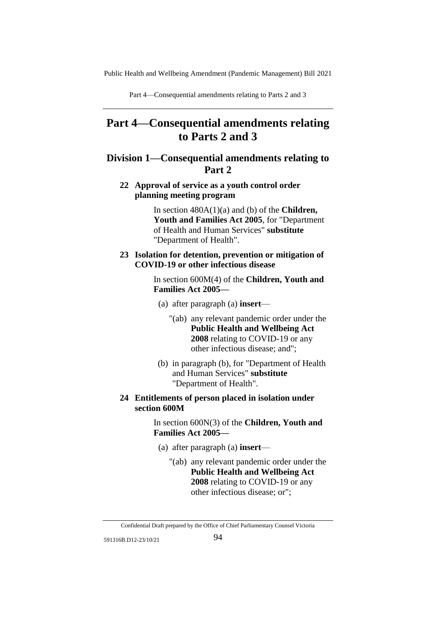Part 4—Consequential amendments relating to Parts 2 and 3

## **Part 4—Consequential amendments relating to Parts 2 and 3**

## **Division 1—Consequential amendments relating to Part 2**

**22 Approval of service as a youth control order planning meeting program**

> In section 480A(1)(a) and (b) of the **Children, Youth and Families Act 2005**, for "Department of Health and Human Services" **substitute** "Department of Health".

## **23 Isolation for detention, prevention or mitigation of COVID-19 or other infectious disease**

In section 600M(4) of the **Children, Youth and Families Act 2005—**

- (a) after paragraph (a) **insert**
	- "(ab) any relevant pandemic order under the **Public Health and Wellbeing Act 2008** relating to COVID-19 or any other infectious disease; and";
- (b) in paragraph (b), for "Department of Health and Human Services" **substitute** "Department of Health".
- **24 Entitlements of person placed in isolation under section 600M**

In section 600N(3) of the **Children, Youth and Families Act 2005—**

- (a) after paragraph (a) **insert**
	- "(ab) any relevant pandemic order under the **Public Health and Wellbeing Act 2008** relating to COVID-19 or any other infectious disease; or";

Confidential Draft prepared by the Office of Chief Parliamentary Counsel Victoria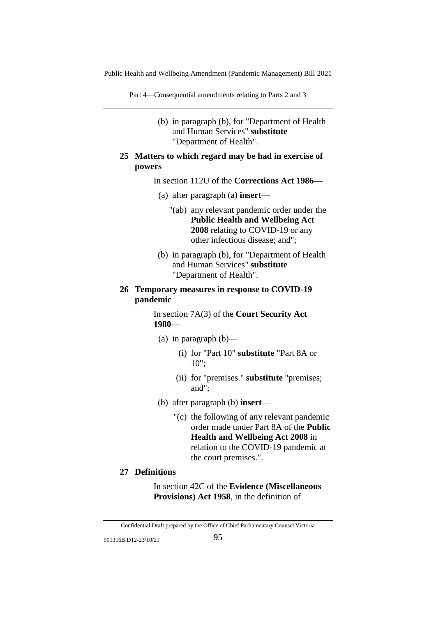Part 4—Consequential amendments relating to Parts 2 and 3

- (b) in paragraph (b), for "Department of Health and Human Services" **substitute** "Department of Health".
- **25 Matters to which regard may be had in exercise of powers**

In section 112U of the **Corrections Act 1986—**

- (a) after paragraph (a) **insert**
	- "(ab) any relevant pandemic order under the **Public Health and Wellbeing Act 2008** relating to COVID-19 or any other infectious disease; and";
- (b) in paragraph (b), for "Department of Health and Human Services" **substitute** "Department of Health".

#### **26 Temporary measures in response to COVID-19 pandemic**

In section 7A(3) of the **Court Security Act 1980**—

- (a) in paragraph  $(b)$ 
	- (i) for "Part 10" **substitute** "Part 8A or 10";
	- (ii) for "premises." **substitute** "premises; and";
- (b) after paragraph (b) **insert**
	- "(c) the following of any relevant pandemic order made under Part 8A of the **Public Health and Wellbeing Act 2008** in relation to the COVID-19 pandemic at the court premises.".

## **27 Definitions**

In section 42C of the **Evidence (Miscellaneous Provisions) Act 1958**, in the definition of

Confidential Draft prepared by the Office of Chief Parliamentary Counsel Victoria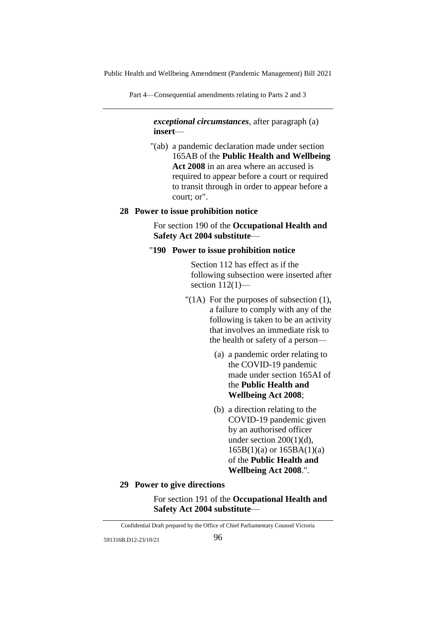Part 4—Consequential amendments relating to Parts 2 and 3

## *exceptional circumstances*, after paragraph (a) **insert**—

"(ab) a pandemic declaration made under section 165AB of the **Public Health and Wellbeing Act 2008** in an area where an accused is required to appear before a court or required to transit through in order to appear before a court; or".

#### **28 Power to issue prohibition notice**

For section 190 of the **Occupational Health and Safety Act 2004 substitute**—

#### "**190 Power to issue prohibition notice**

Section 112 has effect as if the following subsection were inserted after section  $112(1)$ —

- " $(1)$  For the purposes of subsection  $(1)$ , a failure to comply with any of the following is taken to be an activity that involves an immediate risk to the health or safety of a person—
	- (a) a pandemic order relating to the COVID-19 pandemic made under section 165AI of the **Public Health and Wellbeing Act 2008**;
	- (b) a direction relating to the COVID-19 pandemic given by an authorised officer under section  $200(1)(d)$ ,  $165B(1)(a)$  or  $165BA(1)(a)$ of the **Public Health and Wellbeing Act 2008**.".

#### **29 Power to give directions**

For section 191 of the **Occupational Health and Safety Act 2004 substitute**—

Confidential Draft prepared by the Office of Chief Parliamentary Counsel Victoria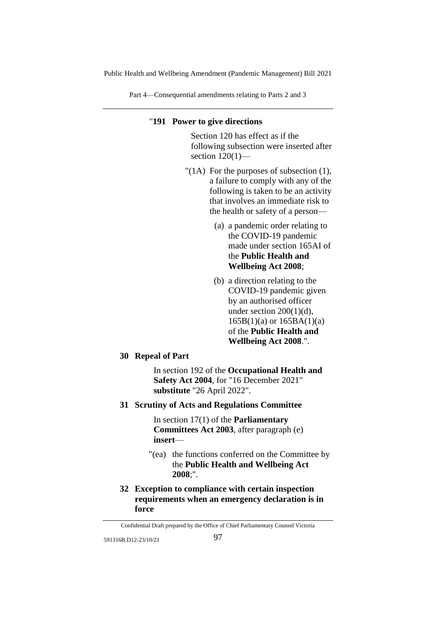Part 4—Consequential amendments relating to Parts 2 and 3

#### "**191 Power to give directions**

Section 120 has effect as if the following subsection were inserted after section  $120(1)$ —

- "(1A) For the purposes of subsection (1), a failure to comply with any of the following is taken to be an activity that involves an immediate risk to the health or safety of a person—
	- (a) a pandemic order relating to the COVID-19 pandemic made under section 165AI of the **Public Health and Wellbeing Act 2008**;
	- (b) a direction relating to the COVID-19 pandemic given by an authorised officer under section  $200(1)(d)$ ,  $165B(1)(a)$  or  $165BA(1)(a)$ of the **Public Health and Wellbeing Act 2008**.".

#### **30 Repeal of Part**

In section 192 of the **Occupational Health and Safety Act 2004**, for "16 December 2021" **substitute** "26 April 2022".

**31 Scrutiny of Acts and Regulations Committee**

In section 17(1) of the **Parliamentary Committees Act 2003**, after paragraph (e) **insert**—

- "(ea) the functions conferred on the Committee by the **Public Health and Wellbeing Act 2008**;".
- **32 Exception to compliance with certain inspection requirements when an emergency declaration is in force**

Confidential Draft prepared by the Office of Chief Parliamentary Counsel Victoria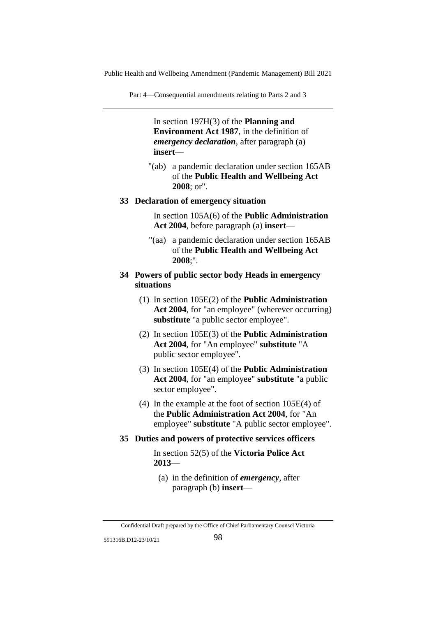Part 4—Consequential amendments relating to Parts 2 and 3

In section 197H(3) of the **Planning and Environment Act 1987**, in the definition of *emergency declaration*, after paragraph (a) **insert**—

- "(ab) a pandemic declaration under section 165AB of the **Public Health and Wellbeing Act 2008**; or".
- **33 Declaration of emergency situation**

In section 105A(6) of the **Public Administration Act 2004**, before paragraph (a) **insert**—

"(aa) a pandemic declaration under section 165AB of the **Public Health and Wellbeing Act 2008**;".

## **34 Powers of public sector body Heads in emergency situations**

- (1) In section 105E(2) of the **Public Administration**  Act 2004, for "an employee" (wherever occurring) **substitute** "a public sector employee".
- (2) In section 105E(3) of the **Public Administration Act 2004**, for "An employee" **substitute** "A public sector employee".
- (3) In section 105E(4) of the **Public Administration Act 2004**, for "an employee" **substitute** "a public sector employee".
- (4) In the example at the foot of section 105E(4) of the **Public Administration Act 2004**, for "An employee" **substitute** "A public sector employee".
- **35 Duties and powers of protective services officers**

In section 52(5) of the **Victoria Police Act 2013**—

(a) in the definition of *emergency*, after paragraph (b) **insert**—

Confidential Draft prepared by the Office of Chief Parliamentary Counsel Victoria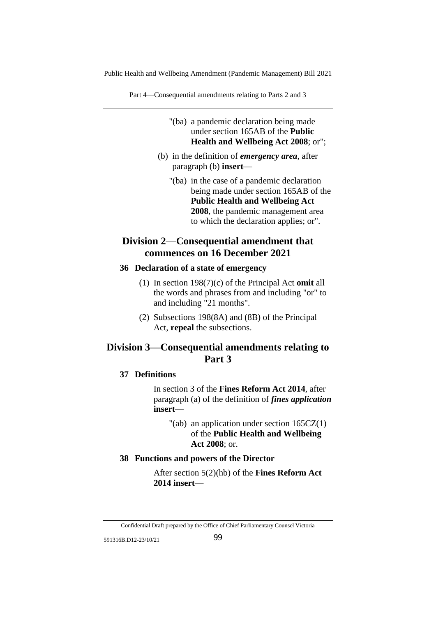Part 4—Consequential amendments relating to Parts 2 and 3

- "(ba) a pandemic declaration being made under section 165AB of the **Public Health and Wellbeing Act 2008**; or";
- (b) in the definition of *emergency area*, after paragraph (b) **insert**—
	- "(ba) in the case of a pandemic declaration being made under section 165AB of the **Public Health and Wellbeing Act 2008**, the pandemic management area to which the declaration applies; or".

## **Division 2—Consequential amendment that commences on 16 December 2021**

- **36 Declaration of a state of emergency**
	- (1) In section 198(7)(c) of the Principal Act **omit** all the words and phrases from and including "or" to and including "21 months".
	- (2) Subsections 198(8A) and (8B) of the Principal Act, **repeal** the subsections.

## **Division 3—Consequential amendments relating to Part 3**

## **37 Definitions**

In section 3 of the **Fines Reform Act 2014**, after paragraph (a) of the definition of *fines application* **insert**—

"(ab) an application under section 165CZ(1) of the **Public Health and Wellbeing Act 2008**; or.

#### **38 Functions and powers of the Director**

After section 5(2)(hb) of the **Fines Reform Act 2014 insert**—

Confidential Draft prepared by the Office of Chief Parliamentary Counsel Victoria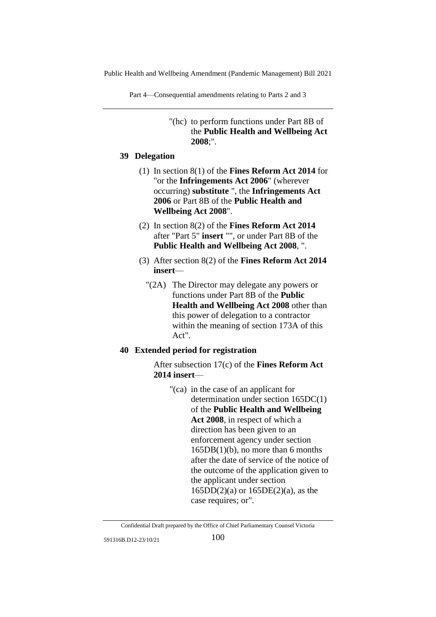Part 4—Consequential amendments relating to Parts 2 and 3

"(hc) to perform functions under Part 8B of the **Public Health and Wellbeing Act 2008**;".

## **39 Delegation**

- (1) In section 8(1) of the **Fines Reform Act 2014** for "or the **Infringements Act 2006**" (wherever occurring) **substitute** ", the **Infringements Act 2006** or Part 8B of the **Public Health and Wellbeing Act 2008**".
- (2) In section 8(2) of the **Fines Reform Act 2014** after "Part 5" **insert** "", or under Part 8B of the **Public Health and Wellbeing Act 2008**, ".
- (3) After section 8(2) of the **Fines Reform Act 2014 insert**—
	- "(2A) The Director may delegate any powers or functions under Part 8B of the **Public Health and Wellbeing Act 2008** other than this power of delegation to a contractor within the meaning of section 173A of this Act".

#### **40 Extended period for registration**

After subsection 17(c) of the **Fines Reform Act 2014 insert**—

"(ca) in the case of an applicant for determination under section 165DC(1) of the **Public Health and Wellbeing Act 2008**, in respect of which a direction has been given to an enforcement agency under section  $165DB(1)(b)$ , no more than 6 months after the date of service of the notice of the outcome of the application given to the applicant under section 165DD(2)(a) or 165DE(2)(a), as the case requires; or".

Confidential Draft prepared by the Office of Chief Parliamentary Counsel Victoria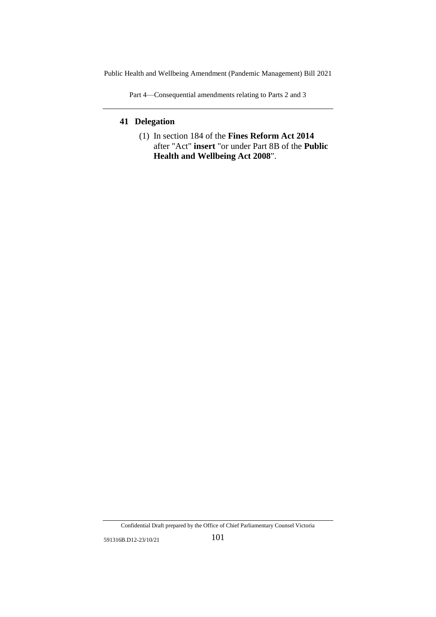Part 4—Consequential amendments relating to Parts 2 and 3

## **41 Delegation**

(1) In section 184 of the **Fines Reform Act 2014** after "Act" **insert** "or under Part 8B of the **Public Health and Wellbeing Act 2008**".

Confidential Draft prepared by the Office of Chief Parliamentary Counsel Victoria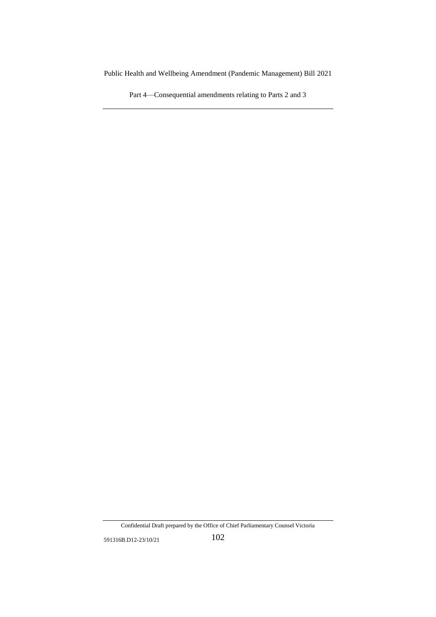Part 4—Consequential amendments relating to Parts 2 and 3

Confidential Draft prepared by the Office of Chief Parliamentary Counsel Victoria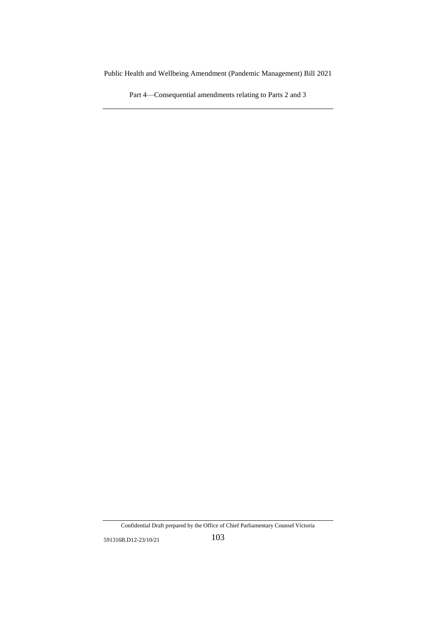Part 4—Consequential amendments relating to Parts 2 and 3

Confidential Draft prepared by the Office of Chief Parliamentary Counsel Victoria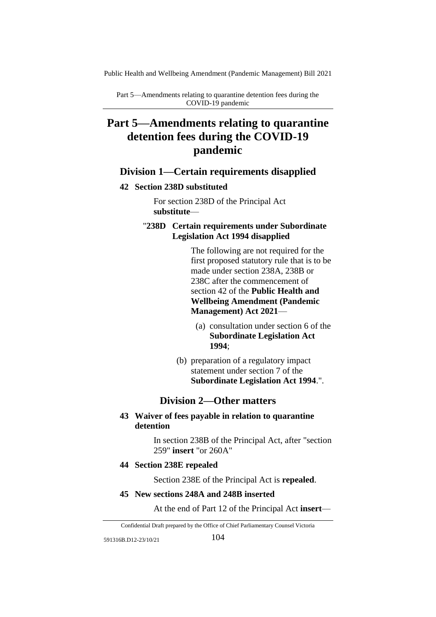Part 5—Amendments relating to quarantine detention fees during the COVID-19 pandemic

## **Part 5—Amendments relating to quarantine detention fees during the COVID-19 pandemic**

## **Division 1—Certain requirements disapplied**

#### **42 Section 238D substituted**

For section 238D of the Principal Act **substitute**—

### "**238D Certain requirements under Subordinate Legislation Act 1994 disapplied**

The following are not required for the first proposed statutory rule that is to be made under section 238A, 238B or 238C after the commencement of section 42 of the **Public Health and Wellbeing Amendment (Pandemic Management) Act 2021**—

- (a) consultation under section 6 of the **Subordinate Legislation Act 1994**;
- (b) preparation of a regulatory impact statement under section 7 of the **Subordinate Legislation Act 1994**.".

## **Division 2—Other matters**

## **43 Waiver of fees payable in relation to quarantine detention**

In section 238B of the Principal Act, after "section 259" **insert** "or 260A"

#### **44 Section 238E repealed**

Section 238E of the Principal Act is **repealed**.

### **45 New sections 248A and 248B inserted**

At the end of Part 12 of the Principal Act **insert**—

Confidential Draft prepared by the Office of Chief Parliamentary Counsel Victoria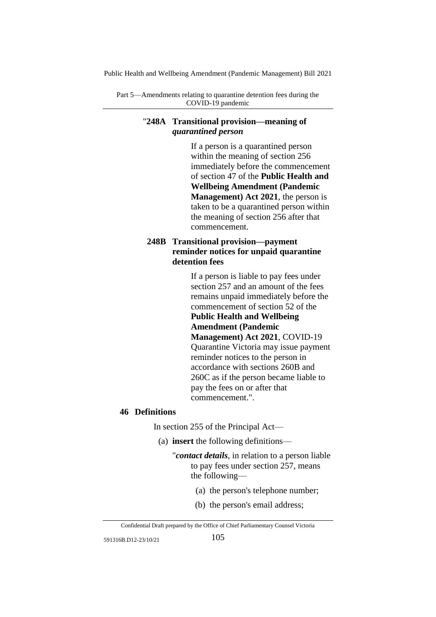Part 5—Amendments relating to quarantine detention fees during the COVID-19 pandemic

## "**248A Transitional provision—meaning of**  *quarantined person*

If a person is a quarantined person within the meaning of section 256 immediately before the commencement of section 47 of the **Public Health and Wellbeing Amendment (Pandemic Management) Act 2021**, the person is taken to be a quarantined person within the meaning of section 256 after that commencement.

## **248B Transitional provision—payment reminder notices for unpaid quarantine detention fees**

If a person is liable to pay fees under section 257 and an amount of the fees remains unpaid immediately before the commencement of section 52 of the **Public Health and Wellbeing Amendment (Pandemic Management) Act 2021**, COVID-19 Quarantine Victoria may issue payment reminder notices to the person in accordance with sections 260B and 260C as if the person became liable to pay the fees on or after that commencement.".

#### **46 Definitions**

In section 255 of the Principal Act—

- (a) **insert** the following definitions—
	- "*contact details*, in relation to a person liable to pay fees under section 257, means the following—
		- (a) the person's telephone number;
		- (b) the person's email address;

Confidential Draft prepared by the Office of Chief Parliamentary Counsel Victoria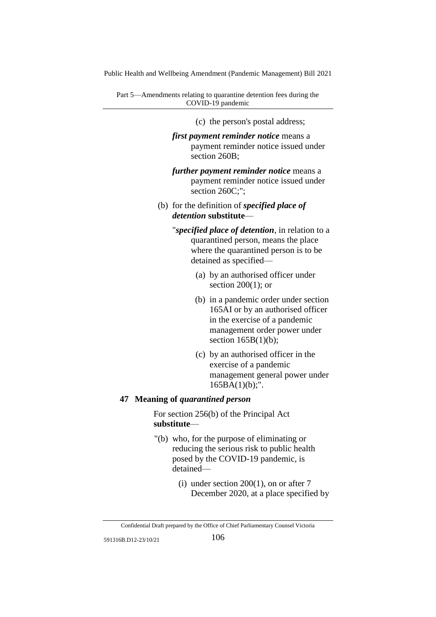Part 5—Amendments relating to quarantine detention fees during the COVID-19 pandemic

(c) the person's postal address;

*first payment reminder notice* means a payment reminder notice issued under section 260B;

- *further payment reminder notice* means a payment reminder notice issued under section 260C;";
- (b) for the definition of *specified place of detention* **substitute**—

"*specified place of detention*, in relation to a quarantined person, means the place where the quarantined person is to be detained as specified—

- (a) by an authorised officer under section  $200(1)$ ; or
- (b) in a pandemic order under section 165AI or by an authorised officer in the exercise of a pandemic management order power under section  $165B(1)(b)$ ;
- (c) by an authorised officer in the exercise of a pandemic management general power under  $165BA(1)(b)$ ;".

### **47 Meaning of** *quarantined person*

For section 256(b) of the Principal Act **substitute**—

- "(b) who, for the purpose of eliminating or reducing the serious risk to public health posed by the COVID-19 pandemic, is detained—
	- (i) under section  $200(1)$ , on or after 7 December 2020, at a place specified by

Confidential Draft prepared by the Office of Chief Parliamentary Counsel Victoria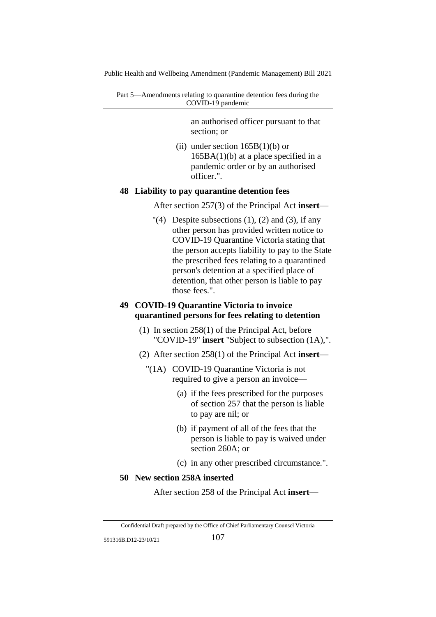Part 5—Amendments relating to quarantine detention fees during the COVID-19 pandemic

> an authorised officer pursuant to that section; or

(ii) under section  $165B(1)(b)$  or  $165BA(1)(b)$  at a place specified in a pandemic order or by an authorised officer.".

### **48 Liability to pay quarantine detention fees**

After section 257(3) of the Principal Act **insert**—

 $"$ (4) Despite subsections (1), (2) and (3), if any other person has provided written notice to COVID-19 Quarantine Victoria stating that the person accepts liability to pay to the State the prescribed fees relating to a quarantined person's detention at a specified place of detention, that other person is liable to pay those fees.".

### **49 COVID-19 Quarantine Victoria to invoice quarantined persons for fees relating to detention**

- (1) In section 258(1) of the Principal Act, before "COVID-19" **insert** "Subject to subsection (1A),".
- (2) After section 258(1) of the Principal Act **insert**
	- "(1A) COVID-19 Quarantine Victoria is not required to give a person an invoice—
		- (a) if the fees prescribed for the purposes of section 257 that the person is liable to pay are nil; or
		- (b) if payment of all of the fees that the person is liable to pay is waived under section 260A; or
		- (c) in any other prescribed circumstance.".

### **50 New section 258A inserted**

After section 258 of the Principal Act **insert**—

Confidential Draft prepared by the Office of Chief Parliamentary Counsel Victoria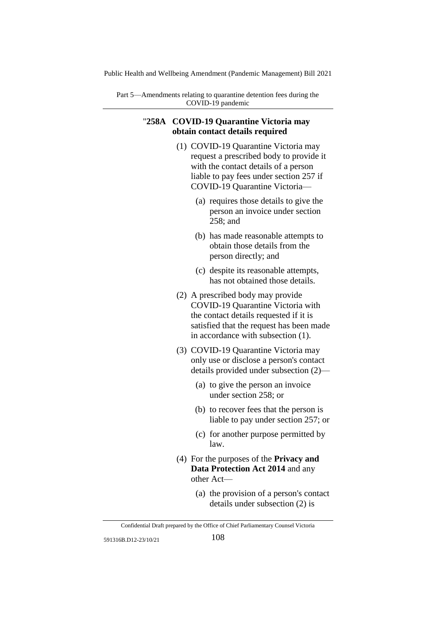Part 5—Amendments relating to quarantine detention fees during the COVID-19 pandemic

### "**258A COVID-19 Quarantine Victoria may obtain contact details required**

- (1) COVID-19 Quarantine Victoria may request a prescribed body to provide it with the contact details of a person liable to pay fees under section 257 if COVID-19 Quarantine Victoria—
	- (a) requires those details to give the person an invoice under section 258; and
	- (b) has made reasonable attempts to obtain those details from the person directly; and
	- (c) despite its reasonable attempts, has not obtained those details.
- (2) A prescribed body may provide COVID-19 Quarantine Victoria with the contact details requested if it is satisfied that the request has been made in accordance with subsection (1).
- (3) COVID-19 Quarantine Victoria may only use or disclose a person's contact details provided under subsection (2)—
	- (a) to give the person an invoice under section 258; or
	- (b) to recover fees that the person is liable to pay under section 257; or
	- (c) for another purpose permitted by law.
- (4) For the purposes of the **Privacy and Data Protection Act 2014** and any other Act—
	- (a) the provision of a person's contact details under subsection (2) is

591316B.D12-23/10/21 108

Confidential Draft prepared by the Office of Chief Parliamentary Counsel Victoria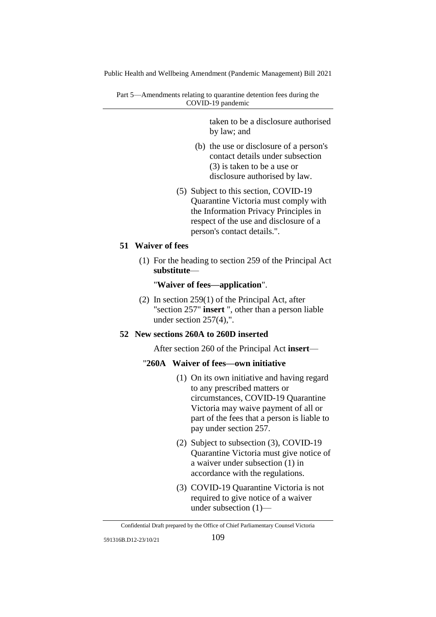| Part 5—Amendments relating to quarantine detention fees during the |
|--------------------------------------------------------------------|
| COVID-19 pandemic                                                  |

taken to be a disclosure authorised by law; and

- (b) the use or disclosure of a person's contact details under subsection (3) is taken to be a use or disclosure authorised by law.
- (5) Subject to this section, COVID-19 Quarantine Victoria must comply with the Information Privacy Principles in respect of the use and disclosure of a person's contact details.".

### **51 Waiver of fees**

(1) For the heading to section 259 of the Principal Act **substitute**—

### "**Waiver of fees—application**".

(2) In section 259(1) of the Principal Act, after "section 257" **insert** ", other than a person liable under section 257(4),".

### **52 New sections 260A to 260D inserted**

After section 260 of the Principal Act **insert**—

### "**260A Waiver of fees—own initiative**

- (1) On its own initiative and having regard to any prescribed matters or circumstances, COVID-19 Quarantine Victoria may waive payment of all or part of the fees that a person is liable to pay under section 257.
- (2) Subject to subsection (3), COVID-19 Quarantine Victoria must give notice of a waiver under subsection (1) in accordance with the regulations.
- (3) COVID-19 Quarantine Victoria is not required to give notice of a waiver under subsection (1)—

Confidential Draft prepared by the Office of Chief Parliamentary Counsel Victoria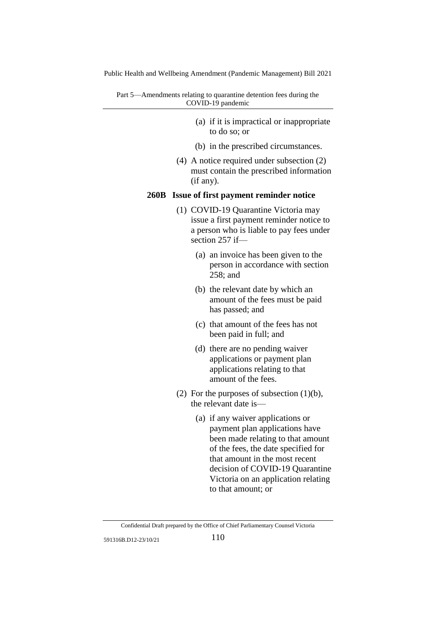Part 5—Amendments relating to quarantine detention fees during the COVID-19 pandemic

- (a) if it is impractical or inappropriate to do so; or
- (b) in the prescribed circumstances.
- (4) A notice required under subsection (2) must contain the prescribed information (if any).

#### **260B Issue of first payment reminder notice**

- (1) COVID-19 Quarantine Victoria may issue a first payment reminder notice to a person who is liable to pay fees under section 257 if—
	- (a) an invoice has been given to the person in accordance with section 258; and
	- (b) the relevant date by which an amount of the fees must be paid has passed; and
	- (c) that amount of the fees has not been paid in full; and
	- (d) there are no pending waiver applications or payment plan applications relating to that amount of the fees.
- (2) For the purposes of subsection  $(1)(b)$ , the relevant date is—
	- (a) if any waiver applications or payment plan applications have been made relating to that amount of the fees, the date specified for that amount in the most recent decision of COVID-19 Quarantine Victoria on an application relating to that amount; or

Confidential Draft prepared by the Office of Chief Parliamentary Counsel Victoria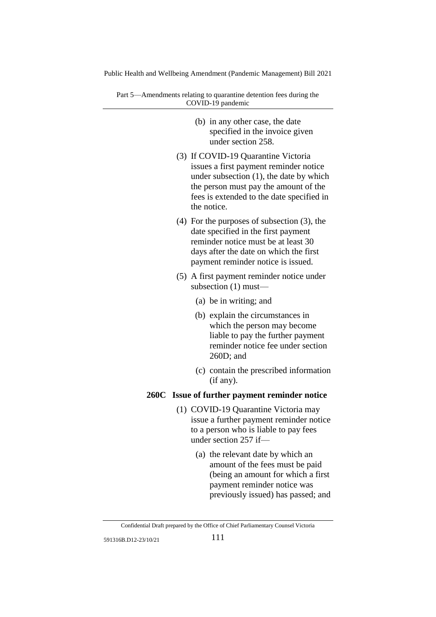| (b) in any other case, the date<br>specified in the invoice given<br>under section 258.<br>(3) If COVID-19 Quarantine Victoria<br>issues a first payment reminder notice<br>under subsection (1), the date by which<br>the person must pay the amount of the<br>fees is extended to the date specified in<br>the notice.<br>$(4)$ For the purposes of subsection $(3)$ , the<br>date specified in the first payment<br>reminder notice must be at least 30<br>days after the date on which the first<br>payment reminder notice is issued.<br>(5) A first payment reminder notice under<br>subsection $(1)$ must—<br>(a) be in writing; and<br>(b) explain the circumstances in<br>which the person may become<br>liable to pay the further payment<br>reminder notice fee under section<br>$260D$ ; and<br>(c) contain the prescribed information<br>(if any).<br>260C Issue of further payment reminder notice<br>(1) COVID-19 Quarantine Victoria may<br>issue a further payment reminder notice<br>to a person who is liable to pay fees<br>under section 257 if-<br>(a) the relevant date by which an<br>amount of the fees must be paid<br>(being an amount for which a first<br>payment reminder notice was<br>previously issued) has passed; and | $\mathsf{cov}\left( \mathsf{D-1}\right)$ pandemic |
|----------------------------------------------------------------------------------------------------------------------------------------------------------------------------------------------------------------------------------------------------------------------------------------------------------------------------------------------------------------------------------------------------------------------------------------------------------------------------------------------------------------------------------------------------------------------------------------------------------------------------------------------------------------------------------------------------------------------------------------------------------------------------------------------------------------------------------------------------------------------------------------------------------------------------------------------------------------------------------------------------------------------------------------------------------------------------------------------------------------------------------------------------------------------------------------------------------------------------------------------------------|---------------------------------------------------|
|                                                                                                                                                                                                                                                                                                                                                                                                                                                                                                                                                                                                                                                                                                                                                                                                                                                                                                                                                                                                                                                                                                                                                                                                                                                          |                                                   |
|                                                                                                                                                                                                                                                                                                                                                                                                                                                                                                                                                                                                                                                                                                                                                                                                                                                                                                                                                                                                                                                                                                                                                                                                                                                          |                                                   |
|                                                                                                                                                                                                                                                                                                                                                                                                                                                                                                                                                                                                                                                                                                                                                                                                                                                                                                                                                                                                                                                                                                                                                                                                                                                          |                                                   |
|                                                                                                                                                                                                                                                                                                                                                                                                                                                                                                                                                                                                                                                                                                                                                                                                                                                                                                                                                                                                                                                                                                                                                                                                                                                          |                                                   |
|                                                                                                                                                                                                                                                                                                                                                                                                                                                                                                                                                                                                                                                                                                                                                                                                                                                                                                                                                                                                                                                                                                                                                                                                                                                          |                                                   |
|                                                                                                                                                                                                                                                                                                                                                                                                                                                                                                                                                                                                                                                                                                                                                                                                                                                                                                                                                                                                                                                                                                                                                                                                                                                          |                                                   |
|                                                                                                                                                                                                                                                                                                                                                                                                                                                                                                                                                                                                                                                                                                                                                                                                                                                                                                                                                                                                                                                                                                                                                                                                                                                          |                                                   |
|                                                                                                                                                                                                                                                                                                                                                                                                                                                                                                                                                                                                                                                                                                                                                                                                                                                                                                                                                                                                                                                                                                                                                                                                                                                          |                                                   |
|                                                                                                                                                                                                                                                                                                                                                                                                                                                                                                                                                                                                                                                                                                                                                                                                                                                                                                                                                                                                                                                                                                                                                                                                                                                          |                                                   |
|                                                                                                                                                                                                                                                                                                                                                                                                                                                                                                                                                                                                                                                                                                                                                                                                                                                                                                                                                                                                                                                                                                                                                                                                                                                          |                                                   |

Part 5—Amendments relating to quarantine detention fees during the COVID-19 pandemic

591316B.D12-23/10/21 111

 $\overline{\phantom{a}}$ 

Confidential Draft prepared by the Office of Chief Parliamentary Counsel Victoria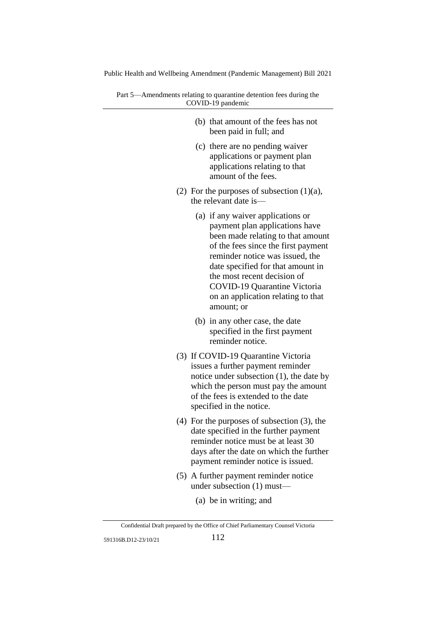| COVID-19 pandemic                                                                                                                                                                                                                                                                                                                                 |
|---------------------------------------------------------------------------------------------------------------------------------------------------------------------------------------------------------------------------------------------------------------------------------------------------------------------------------------------------|
| (b) that amount of the fees has not<br>been paid in full; and                                                                                                                                                                                                                                                                                     |
| (c) there are no pending waiver<br>applications or payment plan<br>applications relating to that<br>amount of the fees.                                                                                                                                                                                                                           |
| (2) For the purposes of subsection $(1)(a)$ ,<br>the relevant date is—                                                                                                                                                                                                                                                                            |
| (a) if any waiver applications or<br>payment plan applications have<br>been made relating to that amount<br>of the fees since the first payment<br>reminder notice was issued, the<br>date specified for that amount in<br>the most recent decision of<br><b>COVID-19 Quarantine Victoria</b><br>on an application relating to that<br>amount; or |
| (b) in any other case, the date<br>specified in the first payment<br>reminder notice.                                                                                                                                                                                                                                                             |
| (3) If COVID-19 Quarantine Victoria<br>issues a further payment reminder<br>notice under subsection (1), the date by<br>which the person must pay the amount<br>of the fees is extended to the date<br>specified in the notice.                                                                                                                   |
| $(4)$ For the purposes of subsection $(3)$ , the<br>date specified in the further payment<br>reminder notice must be at least 30<br>days after the date on which the further<br>payment reminder notice is issued.                                                                                                                                |
| (5) A further payment reminder notice<br>under subsection (1) must—                                                                                                                                                                                                                                                                               |
| $(a)$ he in writing and                                                                                                                                                                                                                                                                                                                           |

Part 5—Amendments relating to quarantine detention fees during the

(a) be in writing; and

Confidential Draft prepared by the Office of Chief Parliamentary Counsel Victoria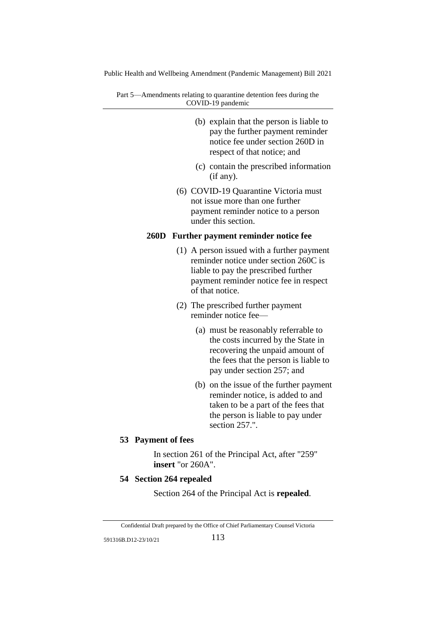| Part 5—Amendments relating to quarantine detention fees during the |
|--------------------------------------------------------------------|
| COVID-19 pandemic                                                  |

- (b) explain that the person is liable to pay the further payment reminder notice fee under section 260D in respect of that notice; and
- (c) contain the prescribed information (if any).
- (6) COVID-19 Quarantine Victoria must not issue more than one further payment reminder notice to a person under this section.

### **260D Further payment reminder notice fee**

- (1) A person issued with a further payment reminder notice under section 260C is liable to pay the prescribed further payment reminder notice fee in respect of that notice.
- (2) The prescribed further payment reminder notice fee—
	- (a) must be reasonably referrable to the costs incurred by the State in recovering the unpaid amount of the fees that the person is liable to pay under section 257; and
	- (b) on the issue of the further payment reminder notice, is added to and taken to be a part of the fees that the person is liable to pay under section 257.".

### **53 Payment of fees**

In section 261 of the Principal Act, after "259" **insert** "or 260A".

### **54 Section 264 repealed**

Section 264 of the Principal Act is **repealed**.

Confidential Draft prepared by the Office of Chief Parliamentary Counsel Victoria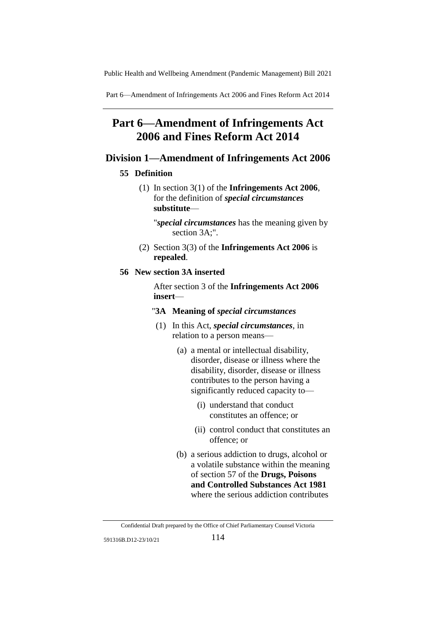Part 6—Amendment of Infringements Act 2006 and Fines Reform Act 2014

## **Part 6—Amendment of Infringements Act 2006 and Fines Reform Act 2014**

### **Division 1—Amendment of Infringements Act 2006**

### **55 Definition**

(1) In section 3(1) of the **Infringements Act 2006**, for the definition of *special circumstances*  **substitute**—

"*special circumstances* has the meaning given by section 3A:".

(2) Section 3(3) of the **Infringements Act 2006** is **repealed**.

### **56 New section 3A inserted**

After section 3 of the **Infringements Act 2006 insert**—

### "**3A Meaning of** *special circumstances*

- (1) In this Act, *special circumstances*, in relation to a person means—
	- (a) a mental or intellectual disability, disorder, disease or illness where the disability, disorder, disease or illness contributes to the person having a significantly reduced capacity to—
		- (i) understand that conduct constitutes an offence; or
		- (ii) control conduct that constitutes an offence; or
	- (b) a serious addiction to drugs, alcohol or a volatile substance within the meaning of section 57 of the **Drugs, Poisons and Controlled Substances Act 1981** where the serious addiction contributes

Confidential Draft prepared by the Office of Chief Parliamentary Counsel Victoria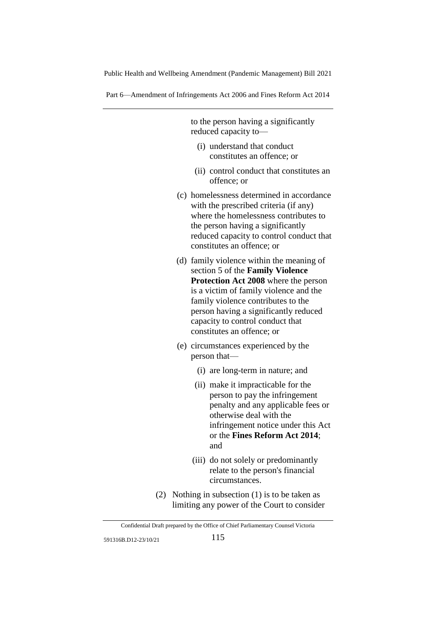Part 6—Amendment of Infringements Act 2006 and Fines Reform Act 2014

to the person having a significantly reduced capacity to—

- (i) understand that conduct constitutes an offence; or
- (ii) control conduct that constitutes an offence; or
- (c) homelessness determined in accordance with the prescribed criteria (if any) where the homelessness contributes to the person having a significantly reduced capacity to control conduct that constitutes an offence; or
- (d) family violence within the meaning of section 5 of the **Family Violence Protection Act 2008** where the person is a victim of family violence and the family violence contributes to the person having a significantly reduced capacity to control conduct that constitutes an offence; or
- (e) circumstances experienced by the person that—
	- (i) are long-term in nature; and
	- (ii) make it impracticable for the person to pay the infringement penalty and any applicable fees or otherwise deal with the infringement notice under this Act or the **Fines Reform Act 2014**; and
	- (iii) do not solely or predominantly relate to the person's financial circumstances.
- (2) Nothing in subsection (1) is to be taken as limiting any power of the Court to consider

Confidential Draft prepared by the Office of Chief Parliamentary Counsel Victoria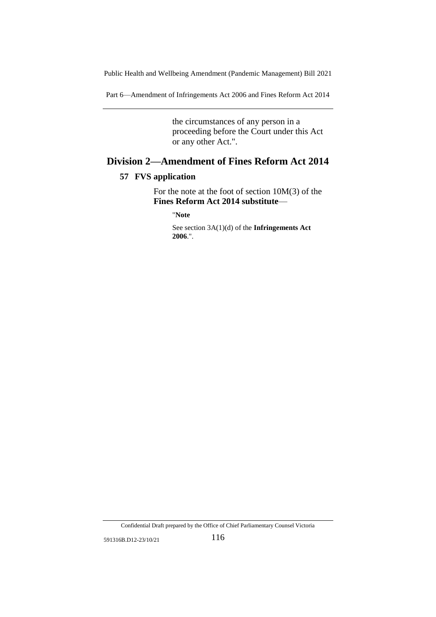Part 6—Amendment of Infringements Act 2006 and Fines Reform Act 2014

the circumstances of any person in a proceeding before the Court under this Act or any other Act.".

### **Division 2—Amendment of Fines Reform Act 2014**

### **57 FVS application**

For the note at the foot of section 10M(3) of the **Fines Reform Act 2014 substitute**—

"**Note**

See section 3A(1)(d) of the **Infringements Act 2006**.".

Confidential Draft prepared by the Office of Chief Parliamentary Counsel Victoria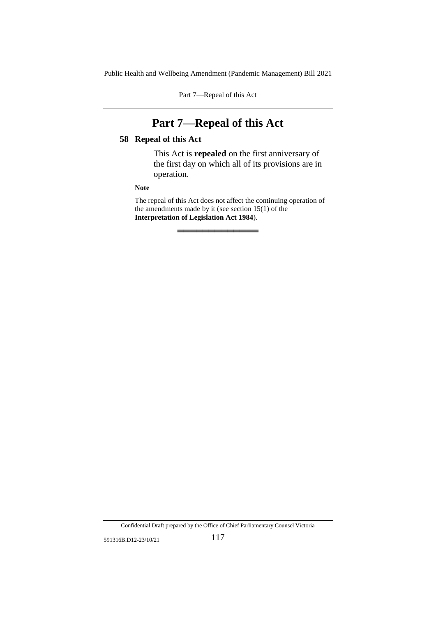Part 7—Repeal of this Act

### **Part 7—Repeal of this Act**

### **58 Repeal of this Act**

This Act is **repealed** on the first anniversary of the first day on which all of its provisions are in operation.

**Note**

The repeal of this Act does not affect the continuing operation of the amendments made by it (see section 15(1) of the **Interpretation of Legislation Act 1984**).

════════════════════════════════════

Confidential Draft prepared by the Office of Chief Parliamentary Counsel Victoria